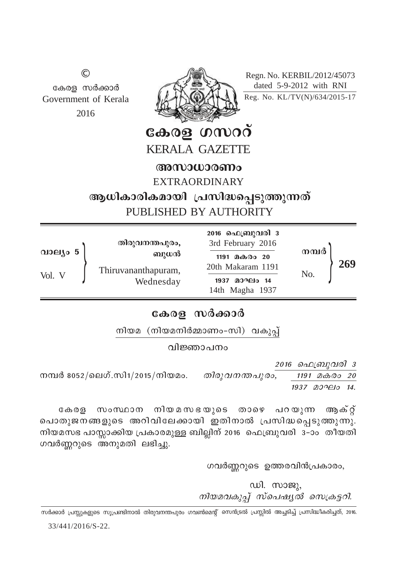Regn. No. KERBIL/2012/45073 dated 5-9-2012 with RNI Reg. No. KL/TV(N)/634/2015-17



© കേരള സർക്കാർ Government of Kerala 2016

> കേരള ഗസററ് KERALA GAZETTE

അസാധാരണം

EXTRAORDINARY

ആധികാരികമായി പ്രസിദ്ധപ്പെടുത്തുന്നത് PUBLISHED BY AUTHORITY

|          | തിരുവനന്തപുരം,                   | <b>2016 ഫെബ്രുവരി</b> 3<br>3rd February 2016 |                |     |
|----------|----------------------------------|----------------------------------------------|----------------|-----|
| വാല്യം 5 | ബുധൻ                             | 1191 മകരം 20                                 | നമ്പർ          |     |
| Vol. V   | Thiruvananthapuram,<br>Wednesday | 20th Makaram 1191                            | N <sub>o</sub> | 269 |
|          |                                  | മാഘം 14<br>1937<br>14th Magha 1937           |                |     |

### $ca$ <sub>02</sub> സർക്കാർ

നിയമ  $(\text{m} \text{normal} \delta \text{normal} - \text{m} \text{normal})$  വകുപ്

വിജ്ഞാപനം

2016 *ഫെബ്രുവരി 3* 

\º¿ 8052/seKv.kn1/2015/\nbaw. *Xncp-h-\-¥-]p-cw, 1191 aIcw 20* 1937 agaple 14.

കേരള സംസഥാന നിയമസഭയുടെ താഴെ പറയുന്ന ആക്റ് പൊതുജനങ്ങളുടെ അറിവിലേക്കായി ഇതിനാൽ പ്രസിദ്ധപ്പെടുത്തുന്നു.  $\overline{m}$ ിയമസഭ പാസ്സാക്കിയ പ്രകാരമുള്ള ബില്ലിന് 2016 ഫെബ്രുവരി 3–ാം തീയതി ഗവർണ്ണറുടെ അനുമതി ലഭിച്ചു.

ഗവർണ്ണറുടെ ഉത്തരവിൻപ്രകാരം,

 $w$ l.  $mv$ *നിയമവകുപ്പ് സ്പെഷ്യൽ സെക്രടറി.* 

33/441/2016/S-22. .<br>സർക്കാർ പ്രസ്സുകളുടെ സൂപ്രണ്ടിനാൽ തിരുവനന്തപുരം ഗവൺമെന്റ് സെൻട്രൽ പ്രസ്സിൽ അച്ചടിച്ച് പ്രസിദ്ധീകരിച്ചത്, 2016.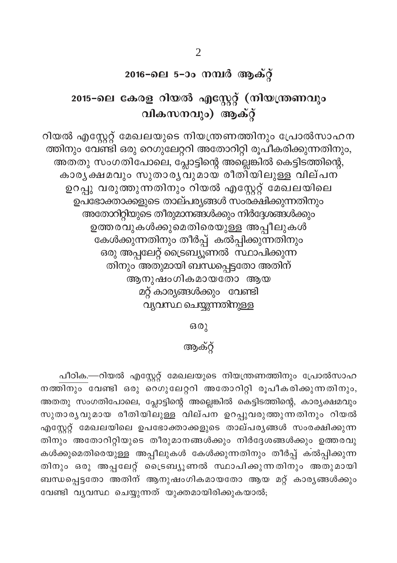### 2016-ലെ 5-ാം നമ്പർ ആക്റ്

# 2015-ലെ കേരള റിയൽ എസ്റ്റേറ്റ് (നിയന്ത്രണവും വികസനവും) ആക്റ്റ്

റിയൽ എസ്റ്റേറ്റ് മേഖലയുടെ നിയന്ത്രണത്തിനും പ്രോൽസാഹന ത്തിനും വേണ്ടി ഒരു റെഗുലേറ്ററി അതോറിറ്റി രൂപീകരിക്കുന്നതിനും, അത്തു സംഗതിപോലെ, പ്ലോട്ടിന്റെ അല്ലെങ്കിൽ കെട്ടിടത്തിന്റെ, കാരൃക്ഷമവും സുതാരൃവുമായ രീതി്യിലുള്ള വില്പന ഉറപ്പു വരുത്തുന്നതിനും റിയൽ എസ്റ്റേറ്റ് മേഖലയിലെ ഉപഭോക്താക്കളുടെ താല്പര്യങ്ങൾ സംരക്ഷിക്കുന്നതിനും അതോറിറ്റിയുടെ തീരുമാനങ്ങൾക്കും നിർദ്ദേശങ്ങൾക്കും ഉത്തരവുകൾക്കുമെതിരെയുള്ള അപ്പീലുകൾ –<br>കേൾക്കുന്നതിനും തീർപ്പ് കൽപ്പിക്കുന്നതിനും ഒരു അപ്പലേറ്റ് ട്രൈബ്യൂണൽ സ്ഥാപിക്കുന്ന തിനും അതുമായി ബന്ധപ്പെട്ടതോ അതിന് ആനുഷംഗികമായതോ ആയ മറ്റ് കാര്യങ്ങൾക്കും വേണ്ടി വ്യവസ്ഥ ചെയ്യുന്നതിനുള്ള

ഒരു

### ആക്റ്

പീഠിക.—റിയൽ എസ്റ്റേറ്റ് മേഖലയുടെ നിയന്ത്രണത്തിനും പ്രോൽസാഹ നത്തിനും വേണ്ടി ഒരു റെഗുലേറ്ററി അതോറിറ്റി രൂപീകരിക്കുന്നതിനും, അതതു സംഗതിപോലെ, പ്ലോട്ടിന്റെ അല്ലെങ്കിൽ കെട്ടിടത്തിന്റെ, കാര്യക്ഷമവും സുതാര്യവുമായ രീതിയിലുള്ള വില്പന ഉറപ്പുവരുത്തുന്നതിനും റിയൽ എസ്റ്റേറ്റ് മേഖലയിലെ ഉപഭോക്താക്കളുടെ താല്പരൃങ്ങൾ സംരക്ഷിക്കുന്ന തിനും അതോറിറ്റിയുടെ തീരുമാനങ്ങൾക്കും നിർദ്ദേശങ്ങൾക്കും ഉത്തരവു കൾക്കുമെതിരെയുള്ള അപ്പീലുകൾ കേൾക്കുന്നതിനും തീർപ്പ് കൽപ്പിക്കുന്ന തിനും ഒരു അപ്പലേറ്റ് ട്രൈബ്യൂണൽ സ്ഥാപിക്കുന്നതിനും അതുമായി ബന്ധപ്പെട്ടതോ അതിന് ആനുഷംഗികമായതോ ആയ മറ്റ് കാര്യങ്ങൾക്കും വേണ്ടി വ്യവസ്ഥ ചെയ്യുന്നത് യുക്തമായിരിക്കുകയാൽ;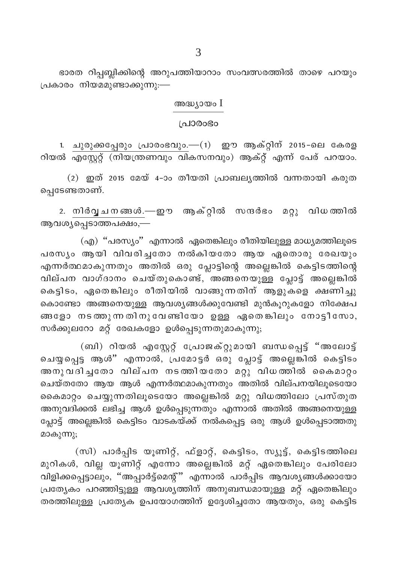ഭാരത റിപ്പബ്ലിക്കിന്റെ അറുപത്തിയാറാം സംവത്സരത്തിൽ താഴെ പറയും പ്രകാരം നിയമമുണ്ടാക്കുന്നു:—

#### അദ്ധ്യായം  $I$

#### ച്രാരാഭാ

1. ചുരുക്കപ്പേരും പ്രാരംഭവും.—(1) ഈ ആക്റ്റിന് 2015-ലെ കേരള റിയൽ എസ്റ്റേറ്റ് (നിയന്ത്രണവും വികസനവും) ആക്റ്റ് എന്ന് പേര് പറയാം.

(2) ഇത് 2015 മേയ് 4-ാം തീയതി പ്രാബല്യത്തിൽ വന്നതായി കരുത പ്പെടേണ്ടതാണ്.

2. നിർവൃചനങ്ങൾ.—ഈ ആക്റ്റിൽ സന്ദർഭം മറ്റു വിധത്തിൽ ആവശ്യപ്പെടാത്തപക്ഷം,—

(എ) "പരസ്യം" എന്നാൽ ഏതെങ്കിലും രീതിയിലുള്ള മാധ്യമത്തിലൂടെ പരസ്യം ആയി വിവരിച്ചതോ നൽകിയതോ ആയ ഏതൊരു രേഖയും എന്നർത്ഥമാകുന്നതും അതിൽ ഒരു പ്ലോട്ടിന്റെ അല്ലെങ്കിൽ കെട്ടിടത്തിന്റെ വില്പന വാഗ്ദാനം ചെയ്തുകൊണ്ട്, അങ്ങനെയുള്ള പ്ലോട്ട് അല്ലെങ്കിൽ കെട്ടിടം, ഏതെങ്കിലും രീതിയിൽ വാങ്ങുന്നതിന് ആളുകളെ ക്ഷണിച്ചു കൊണ്ടോ അങ്ങനെയുള്ള ആവശ്യങ്ങൾക്കുവേണ്ടി മുൻകൂറുകളോ നിക്ഷേപ ങ്ങളോ നടത്തുന്നതിനുവേണ്ടിയോ ഉള്ള ഏതെങ്കിലും നോട്ടീസോ, സർക്കുലറോ മറ്റ് രേഖകളോ ഉൾപ്പെടുന്നതുമാകുന്നു;

(ബി) റിയൽ എസ്റ്റേറ്റ് പ്രോജക്റ്റുമായി ബന്ധപ്പെട്ട് "അലോട്ട് ചെയ്യപ്പെട്ട ആൾ" എന്നാൽ, പ്രമോട്ടർ ഒരു പ്ലോട്ട് അല്ലെങ്കിൽ കെട്ടിടം അനുവദിച്ചതോ വില്പന നടത്തിയതോ മറ്റു വിധത്തിൽ കൈമാറ്റം ചെയ്തതോ ആയ ആൾ എന്നർത്ഥമാകുന്നതും അതിൽ വില്പനയിലൂടെയോ കൈമാറ്റം ചെയ്യുന്നതിലൂടെയോ അല്ലെങ്കിൽ മറ്റു വിധത്തിലോ പ്രസ്തുത അനുവദിക്കൽ ലഭിച്ച ആൾ ഉൾപ്പെടുന്നതും എന്നാൽ അതിൽ അങ്ങനെയുള്ള പ്ലോട്ട് അല്ലെങ്കിൽ കെട്ടിടം വാടകയ്ക്ക് നൽകപ്പെട്ട ഒരു ആൾ ഉൾപ്പെടാത്തതു മാകുന്നു;

(സി) പാർപ്പിട യൂണിറ്റ്, ഫ്ളാറ്റ്, കെട്ടിടം, സ്യൂട്ട്, കെട്ടിടത്തിലെ മുറികൾ, വില്ല യൂണിറ്റ് എന്നോ അല്ലെങ്കിൽ മറ്റ് ഏതെങ്കിലും പേരിലോ വിളിക്കപ്പെട്ടാലും, ''അപ്പാർട്ട്മെന്റ്'' എന്നാൽ പാർപ്പിട ആവശ്യങ്ങൾക്കായോ പ്രത്യേകം പറഞ്ഞിട്ടുള്ള ആവശ്യത്തിന് അനുബന്ധമായുള്ള മറ്റ് ഏതെങ്കിലും തരത്തിലുള്ള പ്രത്യേക ഉപയോഗത്തിന് ഉദ്ദേശിച്ചതോ ആയതും, ഒരു കെട്ടിട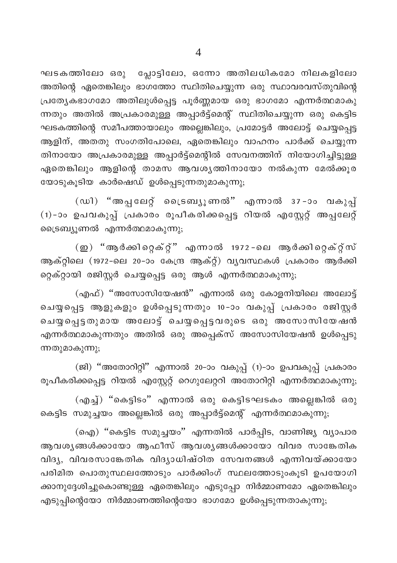ഘടകത്തിലോ ഒരു പ്ലോട്ടിലോ, ഒന്നോ അതിലധികമോ നിലകളിലോ അതിന്റെ ഏതെങ്കിലും ഭാഗത്തോ സ്ഥിതിചെയ്യുന്ന ഒരു സ്ഥാവരവസ്തുവിന്റെ പ്രത്യേകഭാഗമോ അതിലുൾപ്പെട്ട പൂർണ്ണമായ ഒരു ഭാഗമോ എന്നർത്ഥമാകു ന്നതും അതിൽ അപ്രകാരമുള്ള അപ്പാർട്ട്മെന്റ് സ്ഥിതിചെയ്യുന്ന ഒരു കെട്ടിട ഘടകത്തിന്റെ സമീപത്തായാലും അല്ലെങ്കിലും, പ്രമോട്ടർ അലോട്ട് ചെയ്യപ്പെട്ട ആളിന്, അതതു സംഗതിപോലെ, ഏതെങ്കിലും വാഹനം പാർക്ക് ചെയ്യുന്ന തിനായോ അപ്രകാരമുള്ള അപ്പാർട്ട്മെന്റിൽ സേവനത്തിന് നിയോഗിച്ചിട്ടുള്ള ഏതെങ്കിലും ആളിന്റെ താമസ ആവശ്യത്തിനായോ നൽകുന്ന മേൽക്കൂര യോടുകൂടിയ കാർഷെഡ് ഉൾപ്പെടുന്നതുമാകുന്നു;

(ഡി) "അപ്പലേറ്റ് ട്രൈബ്യൂണൽ" എന്നാൽ 37-ാം വകുപ്പ് (1)-ാം ഉപവകുപ്പ് പ്രകാരം രൂപീകരിക്കപ്പെട്ട റിയൽ എസ്റ്റേറ്റ് അപ്പലേറ്റ് ട്രൈബ്യൂണൽ എന്നർത്ഥമാകുന്നു;

(ഇ) "ആർക്കിറ്റെക്റ്" എന്നാൽ 1972-ലെ ആർക്കിറ്റെക്റ്സ് ആക്റ്റിലെ (1972-ലെ 20-ാം കേന്ദ്ര ആക്റ്റ്) വ്യവസ്ഥകൾ പ്രകാരം ആർക്കി റ്റെക്റ്റായി രജിസ്റ്റർ ചെയ്യപ്പെട്ട ഒരു ആൾ എന്നർത്ഥമാകുന്നു;

(എഫ്) "അസോസിയേഷൻ" എന്നാൽ ഒരു കോളനിയിലെ അലോട്ട് ചെയ്യപ്പെട്ട ആളുകളും ഉൾപ്പെടുന്നതും 10-ാം വകുപ്പ് പ്രകാരം രജിസ്റ്റർ ചെയ്യപ്പെട്ടതുമായ അലോട്ട് ചെയ്യപ്പെട്ടവരുടെ ഒരു അസോസിയേഷൻ എന്നർത്ഥമാകുന്നതും അതിൽ ഒരു അപ്പെക്സ് അസോസിയേഷൻ ഉൾപ്പെടു ന്നതുമാകുന്നു;

(ജി) "അതോറിറ്റി" എന്നാൽ 20-ാം വകുപ്പ് (1)-ാം ഉപവകുപ്പ് പ്രകാരം രൂപീകരിക്കപ്പെട്ട റിയൽ എസ്റ്റേറ്റ് റെഗുലേറ്ററി അതോറിറ്റി എന്നർത്ഥമാകുന്നു;

(എച്ച്) "കെട്ടിടം" എന്നാൽ ഒരു കെട്ടിടഘടകം അല്ലെങ്കിൽ ഒരു കെട്ടിട സമുച്ചയം അല്ലെങ്കിൽ ഒരു അപ്പാർട്ട്മെന്റ് എന്നർത്ഥമാകുന്നു;

(ഐ) "കെട്ടിട സമുച്ചയം" എന്നതിൽ പാർപ്പിട, വാണിജ്യ വ്യാപാര ആവശൃങ്ങൾക്കായോ ആഫീസ് ആവശൃങ്ങൾക്കായോ വിവര സാങ്കേതിക വിദ്യ, വിവരസാങ്കേതിക വിദ്യാധിഷ്ഠിത സേവനങ്ങൾ എന്നിവയ്ക്കായോ പരിമിത പൊതുസ്ഥലത്തോടും പാർക്കിംഗ് സ്ഥലത്തോടുംകൂടി ഉപയോഗി ക്കാനുദ്ദേശിച്ചുകൊണ്ടുള്ള ഏതെങ്കിലും എടുപ്പോ നിർമ്മാണമോ ഏതെങ്കിലും എടുപ്പിന്റെയോ നിർമ്മാണത്തിന്റെയോ ഭാഗമോ ഉൾപ്പെടുന്നതാകുന്നു;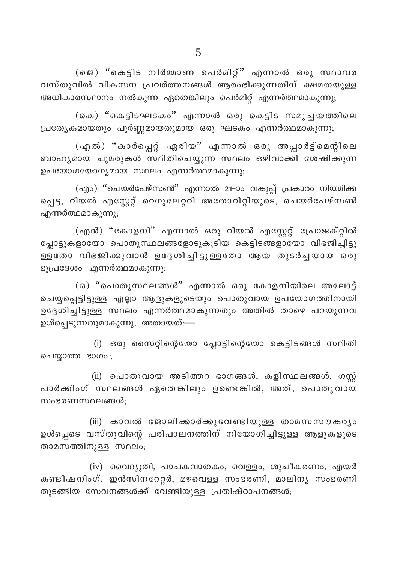(ജെ) "കെട്ടിട നിർമ്മാണ പെർമിറ്റ്" എന്നാൽ ഒരു സ്ഥാവര വസ്തുവിൽ വികസന പ്രവർത്തനങ്ങൾ ആരംഭിക്കുന്നതിന് ക്ഷമതയുള്ള അധികാരസ്ഥാനം നൽകുന്ന ഏതെങ്കിലും പെർമിറ്റ് എന്നർത്ഥമാകുന്നു;

(കെ) "കെട്ടിടഘടകം" എന്നാൽ ഒരു കെട്ടിട സമുച്ചയത്തിലെ പ്രത്യേകമായതും പൂർണ്ണമായതുമായ ഒരു ഘടകം എന്നർത്ഥമാകുന്നു;

(എൽ) "കാർപ്പെറ്റ് ഏരിയ" എന്നാൽ ഒരു അപ്പാർട്ട്മെന്റിലെ ബാഹൃമായ ചുമരുകൾ സ്ഥിതിചെയ്യുന്ന സ്ഥലം ഒഴിവാക്കി ശേഷിക്കുന്ന ഉപയോഗയോഗ്യമായ സ്ഥലം എന്നർത്ഥമാകുന്നു;

(എം) "ചെയർപേഴ്സൺ" എന്നാൽ 21-ാം വകുപ്പ് പ്രകാരം നിയമിക്ക പ്പെട്ട, റിയൽ എസ്റ്റേറ്റ് റെഗുലേറ്ററി അതോറിറ്റിയുടെ, ചെയർപേഴ്സൺ എന്നർത്ഥമാകുന്നു;

(എൻ) "കോളനി" എന്നാൽ ഒരു റിയൽ എസ്റ്റേറ്റ് പ്രോജക്റ്റിൽ പ്ലോട്ടുകളായോ പൊതുസ്ഥലങ്ങളോടുകൂടിയ കെട്ടിടങ്ങളായോ വിഭജിച്ചിട്ടു .<br>ള്ളതോ വിഭജിക്കുവാൻ ഉദ്ദേശിച്ചിട്ടുള്ളതോ ആയ തുടർച്ചയായ ഒരു ഭൂപ്രദേശം എന്നർത്ഥമാകുന്നു;

(ഒ) "പൊതുസ്ഥലങ്ങൾ" എന്നാൽ ഒരു കോളനിയിലെ അലോട്ട് ചെയ്യപ്പെട്ടിട്ടുള്ള എല്ലാ ആളുകളുടെയും പൊതുവായ ഉപയോഗത്തിനായി ഉദ്ദേശിച്ചിട്ടുള്ള സ്ഥലം എന്നർത്ഥമാകുന്നതും അതിൽ താഴെ പറയുന്നവ ഉൾപ്പെടുന്നതുമാകുന്നു, അതായത്:—

(i) ഒരു സൈറ്റിന്റെയോ പ്ലോട്ടിന്റെയോ കെട്ടിടങ്ങൾ സ്ഥിതി ചെയ്യാത്ത ഭാഗം;

(ii) പൊതുവായ അടിത്തറ ഭാഗങ്ങൾ, കളിസ്ഥലങ്ങൾ, ഗസ് പാർക്കിംഗ് സ്ഥലങ്ങൾ ഏതെങ്കിലും ഉണ്ടെങ്കിൽ, അത്, പൊതുവായ സംഭരണസ്ഥലങ്ങൾ:

(iii) കാവൽ ജോലിക്കാർക്കുവേണ്ടിയുള്ള താമസസൗകര്യം ഉൾപ്പെടെ വസ്തുവിന്റെ പരിപാലനത്തിന് നിയോഗിച്ചിട്ടുള്ള ആളുകളുടെ താമസത്തിനുള്ള സ്ഥലം;

 $(iv)$  വൈദ്യുതി, പാചകവാതകം, വെള്ളം, ശുചീകരണം, എയർ കണ്ടീഷനിംഗ്, ഇൻസിനറേറ്റർ, മഴവെള്ള സംഭരണി, മാലിന്യ സംഭരണി തുടങ്ങിയ സേവനങ്ങൾക്ക് വേണ്ടിയുള്ള പ്രതിഷ്ഠാപനങ്ങൾ;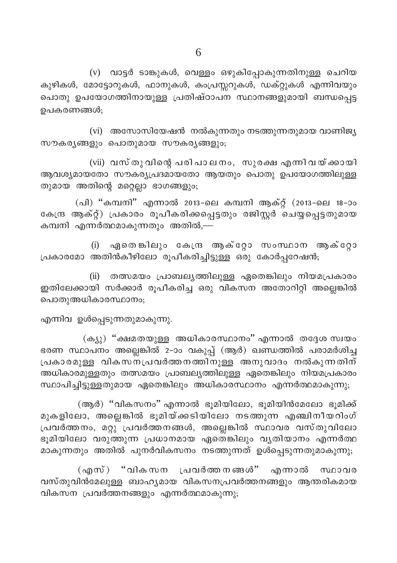(v) വാട്ടർ ടാങ്കുകൾ, വെള്ളം ഒഴുകിപ്പോകുന്നതിനുള്ള ചെറിയ കുഴികൾ, മോട്ടോറുകൾ, ഫാനുകൾ, ക<mark>ംപ്രസ്സ</mark>റുകൾ, ഡക്റ്റുകൾ എന്നിവയും പൊതു ഉപയോഗത്തിനായുള്ള പ്രതിഷ്ഠാപന സ്ഥാനങ്ങളുമായി ബന്ധപ്പെട്ട ഉപകരണങ്ങൾ:

(vi) അസോസിയേഷൻ നൽകുന്നതും നടത്തുന്നതുമായ വാണിജ്യ സൗകര്യങ്ങളും പൊതുമായ സൗകര്യങ്ങളും;

(vii) വസ്തുവിന്റെ പരിപാലനം, സുരക്ഷ എന്നിവയ്ക്കായി ആവശ്യമായതോ സൗകര്യപ്രദമായതോ ആയതും പൊതു ഉപയോഗത്തിലുള്ള തുമായ അതിന്റെ മറ്റെല്ലാ ഭാഗങ്ങളും;

(പി) "കമ്പനി" എന്നാൽ 2013-ലെ കമ്പനി ആക്റ്റ് (2013-ലെ 18-ാം കേന്ദ്ര ആക്റ്റ്) പ്രകാരം രൂപീകരിക്കപ്പെട്ടതും രജിസ്റ്റർ ചെയ്യപ്പെട്ടതുമായ കമ്പനി എന്നർത്ഥമാകുന്നതും അതിൽ,—

ഏതെങ്കിലും കേന്ദ്ര ആക്റ്റോ സംസ്ഥാന ആക്റ്റോ  $(i)$ പ്രകാരമോ അതിൻകീഴിലോ രൂപീകരിച്ചിട്ടുള്ള ഒരു കോർപ്പറേഷൻ;

(ii) തത്സമയം പ്രാബല്യത്തിലുള്ള ഏതെങ്കിലും നിയമപ്രകാരം ഇതിലേക്കായി സർക്കാർ രുപീകരിച്ച ഒരു വികസന അതോറിറ്റി അല്ലെങ്കിൽ പൊതുഅധികാരസ്ഥാനം;

എന്നിവ ഉൾപ്പെടുന്നതുമാകുന്നു.

(ക്യു) "ക്ഷമതയുള്ള അധികാരസ്ഥാനം" എന്നാൽ തദ്ദേശ സ്വയം ഭരണ സ്ഥാപനം അല്ലെങ്കിൽ 2-ാം വകുപ്പ് (ആർ) ഖണ്ഡത്തിൽ പരാമർശിച്ച പ്രകാരമുള്ള വികസന്പ്രവർത്തനത്തിനുള്ള അനുവാദം നൽകുന്നതിന് അധികാരമുള്ളതും തത്സമയം പ്രാബല്യത്തിലുള്ള ഏതെങ്കിലും നിയമപ്രകാരം സ്ഥാപിച്ചിട്ടുള്ളതുമായ ഏതെങ്കിലും അധികാരസ്ഥാനം എന്നർത്ഥമാകുന്നു;

(ആർ) "വികസനം" എന്നാൽ ഭൂമിയിലോ, ഭൂമിയിൻമേലോ ഭൂമിക്ക് മുകളിലോ, അല്ലെങ്കിൽ ഭൂമിയ്ക്കടിയിലോ നടത്തുന്ന എഞ്ചിനീയറിംഗ് പ്രവർത്തനം, മറ്റു പ്രവർത്തനങ്ങൾ, അല്ലെങ്കിൽ സ്ഥാവര വസ്തുവിലോ ഭൂമിയിലോ വരുത്തുന്ന പ്രധാനമായ ഏതെങ്കിലും വൃതിയാനം എന്നർത്ഥ മാകുന്നതും അതിൽ പുനർവികസനം നടത്തുന്നത് ഉൾപ്പെടുന്നതുമാകുന്നു;

(എസ്) "വികസന പ്രവർത്തനങ്ങൾ" എന്നാൽ സ്ഥാവര വസ്തുവിൻമേലുള്ള ബാഹൃമായ വികസനപ്രവർത്തനങ്ങളും ആന്തരികമായ വികസന പ്രവർത്തനങ്ങളും എന്നർത്ഥമാകുന്നു;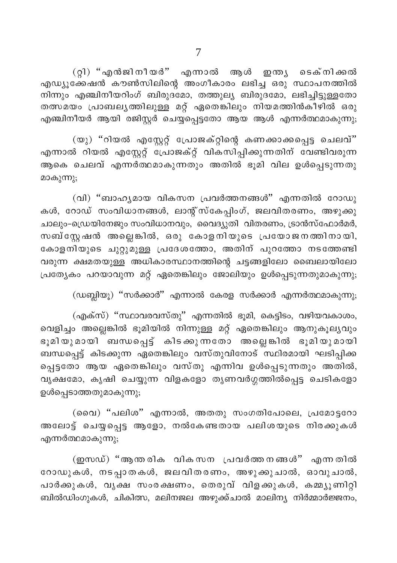(റ്റി) ''എൻജിനീയർ'' എന്നാൽ ആൾ ഇന്ത്യ ടെക്നിക്കൽ എഡ്യൂക്കേഷൻ കൗൺസിലിന്റെ അംഗീകാരം ലഭിച്ച ഒരു സ്ഥാപനത്തിൽ നിന്നും എഞ്ചിനീയറിംഗ് ബിരുദമോ, തത്തുല്യ ബിരുദമോ, ലഭിച്ചിട്ടുള്ളതോ തത്സമയം പ്രാബലൃത്തിലുള്ള മറ്റ് ഏതെങ്കിലും നിയമത്തിൻകീഴിൽ ഒരു എഞ്ചിനീയർ ആയി രജിസ്റ്റർ ചെയ്യപ്പെട്ടതോ ആയ ആൾ എന്നർത്ഥമാകുന്നു;

(യു) "റിയൽ എസ്റ്റേറ്റ് പ്രോജക്റ്റിന്റെ കണക്കാക്കപ്പെട്ട ചെലവ്" എന്നാൽ റിയൽ എസ്റ്റേറ്റ് പ്രോജക്റ്റ് വികസിപ്പിക്കുന്നതിന് വേണ്ടിവരുന്ന ആകെ ചെലവ് എന്നർത്ഥമാകുന്നതും അതിൽ ഭൂമി വില ഉൾപ്പെടുന്നതു മാകുന്നു;

(വി) "ബാഹ്യമായ വികസന പ്രവർത്തനങ്ങൾ" എന്നതിൽ റോഡു കൾ, റോഡ് സംവിധാനങ്ങൾ, ലാന്റ്സ്കേപ്പിംഗ്, ജലവിതരണം, അഴുക്കു ചാലും-ഡ്രെയിനേജും സംവിധാനവും, വൈദ്യുതി വിതരണം, ട്രാൻസ്ഫോർമർ, സബ്സ്റ്റേഷൻ അല്ലെങ്കിൽ, ഒരു കോളനിയുടെ പ്രയോജനത്തിനായി, കോളനിയുടെ ചുറ്റുമുള്ള പ്രദേശത്തോ, അതിന് പുറത്തോ നടത്തേണ്ടി വരുന്ന ക്ഷമതയുള്ള അധികാരസ്ഥാനത്തിന്റെ ചട്ടങ്ങളിലോ ബൈലായിലോ പ്രത്യേകം പറയാവുന്ന മറ്റ് ഏതെങ്കിലും ജോലിയും ഉൾപ്പെടുന്നതുമാകുന്നു;

 $(\omega$ ബ്ലിയൂ) "സർക്കാർ" എന്നാൽ കേരള സർക്കാർ എന്നർത്ഥമാകുന്നു;

(എക്സ്) "സ്ഥാവരവസ്തു" എന്നതിൽ ഭൂമി, കെട്ടിടം, വഴിയവകാശം, വെളിച്ചം അല്ലെങ്കിൽ ഭൂമിയിൽ നിന്നുള്ള മറ്റ് ഏതെങ്കിലും ആനുകൂല്യവും ഭൂമിയുമായി ബന്ധപ്പെട്ട് കിടക്കുന്നതോ അല്ലെങ്കിൽ ഭൂമിയുമായി ബന്ധപ്പെട്ട് കിടക്കുന്ന ഏതെങ്കിലും വസ്തുവിനോട് സ്ഥിരമായി ഘടിപ്പിക്ക പ്പെട്ടതോ ആയ ഏതെങ്കിലും വസ്തു എന്നിവ ഉൾപ്പെടുന്നതും അതിൽ, വൃക്ഷമോ, കൃഷി ചെയ്യുന്ന വിളകളോ തൃണവർഗ്ഗത്തിൽപ്പെട്ട ചെടികളോ ഉൾപ്പെടാത്തതുമാകുന്നു;

(വൈ) "പലിശ" എന്നാൽ, അതതു സംഗതിപോലെ, പ്രമോട്ടറോ .<br>അലോട്ട് ചെയ്യപ്പെട്ട ആളോ, നൽകേണ്ടതായ പലിശയുടെ നിരക്കുകൾ എന്നർത്ഥമാകുന്നു;

(ഇസഡ്) "ആന്തരിക വികസന പ്രവർത്തനങ്ങൾ" എന്നതിൽ റോഡുകൾ, നടപ്പാതകൾ, ജലവിതരണം, അഴുക്കുചാൽ, ഓവുചാൽ, പാർക്കുകൾ, വൃക്ഷ സംരക്ഷണം, തെരു<mark>വ് വിളക്കുകൾ, കമ്മ്യൂണിറ്റി</mark> ബിൽഡിംഗുകൾ, ചികിത്സ, മലിനജല അഴുക്ക്ചാൽ മാലിന്യ നിർമ്മാർജ്ജനം,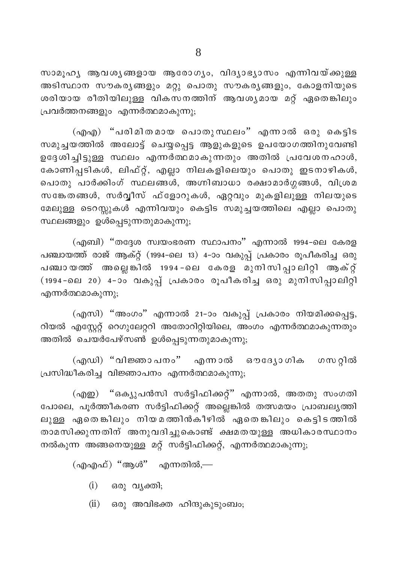സാമൂഹ്യ ആവശ്യങ്ങളായ ആരോഗ്യം, വിദ്യാഭ്യാസം എന്നിവയ്ക്കുള്ള അടിസ്ഥാന സൗകരൃങ്ങളും മറ്റു പൊതു സൗകരൃങ്ങളും, കോളനിയുടെ ശരിയായ രീതിയിലുള്ള വികസനത്തിന് ആവശൃമായ മറ്റ് ഏതെങ്കിലും പ്രവർത്തനങ്ങളും എന്നർത്ഥമാകുന്നു;

(എഎ) "പരിമിതമായ പൊതുസ്ഥലം" എന്നാൽ ഒരു കെട്ടിട സമുച്ചയത്തിൽ അലോട്ട് ചെയ്യപ്പെട്ട ആളുകളുടെ ഉപയോഗത്തിനുവേണ്ടി ഉദ്ദേശിച്ചിട്ടുള്ള സ്ഥലം എന്നർത്ഥമാകുന്നതും അതിൽ പ്രവേശനഹാൾ, കോണിപ്പടികൾ, ലിഫ്റ്റ്, എല്ലാ നിലകളിലെയും പൊതു ഇടനാഴികൾ, പൊതു പാർക്കിംഗ് സ്ഥലങ്ങൾ, അഗ്നിബാധാ രക്ഷാമാർഗ്ഗങ്ങൾ, വിശ്രമ സങ്കേതങ്ങൾ, സർവ്വീസ് ഫ്ളോറുകൾ, ഏറ്റവും മുകളിലുള്ള നിലയുടെ മേലുള്ള ടെറസ്സുകൾ എന്നിവയും കെട്ടിട സമുച്ചയത്തിലെ എല്ലാ പൊതു സ്ഥലങ്ങളും ഉൾപ്പെടുന്നതുമാകുന്നു;

(എബി) "തദ്ദേശ സ്വയംഭരണ സ്ഥാപനം" എന്നാൽ 1994-ലെ കേരള പഞ്ചായത്ത് രാജ് ആക്റ്റ് (1994-ലെ 13) 4-ാം വകുപ്പ് പ്രകാരം രൂപീകരിച്ച ഒരു പഞ്ചായത്ത് അല്ലെങ്കിൽ 1994-ലെ കേരള മുനിസിപ്പാലിറ്റി ആക്റ്റ് (1994-ലെ 20) 4-ാം വകുപ്പ് പ്രകാരം രൂപീകരിച്ച ഒരു മുനിസിപ്പാലിറ്റി എന്നർത്ഥമാകുന്നു;

(എസി) "അംഗം" എന്നാൽ 21-ാം വകുപ്പ് പ്രകാരം നിയമിക്കപ്പെട്ട, റിയൽ എസ്റ്റേറ്റ് റെഗുലേറ്ററി അതോറിറ്റിയിലെ, അംഗം എന്നർത്ഥമാകുന്നതും അതിൽ ചെയർപേഴ്സൺ ഉൾപ്പെടുന്നതുമാകുന്നു;

(എഡി) "വിജ്ഞാപനം" എന്നാൽ ഔദ്യോഗിക ഗസറ്റിൽ പ്രസിദ്ധീകരിച്ച വിജ്ഞാപനം എന്നർത്ഥമാകുന്നു;

(എഇ) "ഒക്യുപൻസി സർട്ടിഫിക്കറ്റ്" എന്നാൽ, അതതു സംഗതി പോലെ, പൂർത്തീകരണ സർട്ടിഫിക്കറ്റ് അല്ലെങ്കിൽ തത്സമയം പ്രാബല്യത്തി ലുള്ള ഏതെങ്കിലും നിയമത്തിൻകീഴിൽ ഏതെങ്കിലും കെട്ടിടത്തിൽ താമസിക്കുന്നതിന് അനുവദിച്ചുകൊണ്ട് ക്ഷമതയുള്ള അധികാരസ്ഥാനം നൽകുന്ന അങ്ങനെയുള്ള മറ്റ് സർട്ടിഫിക്കറ്റ്, എന്നർത്ഥമാകുന്നു;

(എഎഫ്) ''ആൾ'' എന്നതിൽ,—

 $(i)$ ഒരു വൃക്തി;

 $(ii)$ ഒരു അവിഭക്ത ഹിന്ദുകൂടുംബം;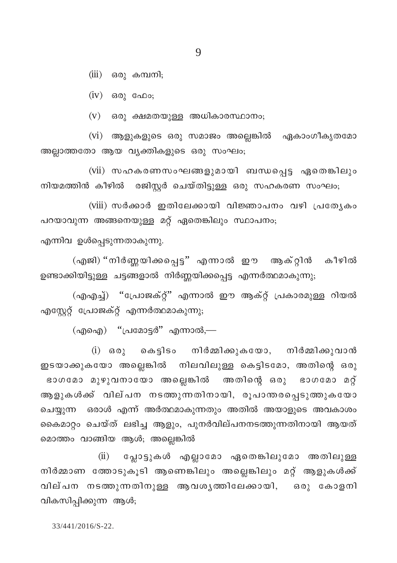$(iii)$  ഒരു കമ്പനി;

 $(iv)$  ഒരു ഫോ;

 $(v)$  ഒരു ക്ഷമതയുള്ള അധികാരസ്ഥാനം;

(vi) ആളുകളുടെ ഒരു സമാജം അല്ലെങ്കിൽ ഏകാംഗീകൃതമോ അല്ലാത്തതോ ആയ വൃക്തികളുടെ ഒരു സംഘം;

(vii) സഹകരണസംഘങ്ങളുമായി ബന്ധപ്പെട്ട ഏതെങ്കിലും നിയമത്തിൻ കീഴിൽ രജിസ്റ്റർ ചെയ്തിട്ടുള്ള ഒരു സഹകരണ സംഘം;

(viii) സർക്കാർ ഇതിലേക്കായി വിജ്ഞാപനം വഴി പ്രത്യേകം പറയാവുന്ന അങ്ങനെയുള്ള മറ്റ് ഏതെങ്കിലും സ്ഥാപനം;

എന്നിവ ഉൾപ്പെടുന്നതാകുന്നു.

(എജി) "നിർണ്ണയിക്കപ്പെട്ട" എന്നാൽ ഈ ആക്റ്റിൻ കീഴിൽ ഉണ്ടാക്കിയിട്ടുള്ള ചട്ടങ്ങളാൽ നിർണ്ണയിക്കപ്പെട്ട എന്നർത്ഥമാകുന്നു;

(എഎച്ച്) "പ്രോജക്റ്റ്" എന്നാൽ ഈ ആക്റ്റ് പ്രകാരമുള്ള റിയൽ എസ്റ്റേറ്റ് പ്രോജക്റ്റ് എന്നർത്ഥമാകുന്നു;

 $\phi$ (എഐ) "പ്രമോട്ടർ" എന്നാൽ,—

(i) ഒരു കെട്ടിടം നിർമ്മിക്കുകയോ, നിർമ്മിക്കുവാൻ ഇടയാക്കുകയോ അല്ലെങ്കിൽ നിലവിലുള്ള കെട്ടിടമോ, അതിന്റെ ഒരു ഭാഗമോ മുഴുവനായോ അല്ലെങ്കിൽ അതിന്റെ ഒരു ഭാഗമോ മറ്റ് ആളുകൾക്ക് വില്പന നടത്തുന്നതിനായി, രൂപാന്തരപ്പെടുത്തുകയോ ചെയ്യുന്ന ഒരാൾ എന്ന് അർത്ഥമാകുന്നതും അതിൽ അയാളുടെ അവകാശം കൈമാറ്റം ചെയ്ത് ലഭിച്ച ആളും, പുനർവില്പനനടത്തുന്നതിനായി ആയത് മൊത്തം വാങ്ങിയ ആൾ; അല്ലെങ്കിൽ

 $(ii)$ പ്ലോട്ടുകൾ എല്ലാമോ ഏതെങ്കിലുമോ അതിലുള്ള നിർമ്മാണ ത്തോടുകൂടി ആണെങ്കിലും അല്ലെങ്കിലും മറ്റ് ആളുകൾക്ക് വില്പന നടത്തുന്നതിനുള്ള ആവശൃത്തിലേക്കായി, ഒരു കോളനി വികസിപ്പിക്കുന്ന ആൾ;

33/441/2016/S-22.

 $\overline{Q}$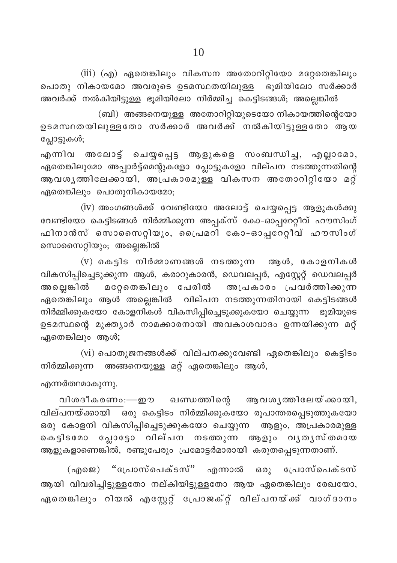$(iii)$   $(q)$  ഏതെങ്കിലും വികസന അതോറിറ്റിയോ മറ്റേതെങ്കിലും പൊതു നികായമോ അവരുടെ ഉടമസ്ഥതയിലുള്ള ഭൂമിയിലോ സർക്കാർ .<br>അവർക്ക് നൽകിയിട്ടുള്ള ഭൂമിയിലോ നിർമ്മിച്ച കെട്ടിടങ്ങൾ; അല്ലെങ്കിൽ

 $\delta$  (ബി) അങ്ങനെയുള്ള അതോറിറ്റിയുടെയോ നികായത്തിന്റെയോ .<br>ഉടമസ്ഥതയിലുള്ളതോ സർക്കാർ അവർക്ക് നൽകിയിട്ടുള്ളതോ ആയ പ്ലോട്ടുകൾ;

എന്നിവ അലോട്ട് ചെയ്യപ്പെട്ട ആളുകളെ സംബന്ധിച്ച, എല്ലാമോ, ഏതെങ്കിലുമോ അപ്പാർട്ട്മെന്റുകളോ പ്ലോട്ടുകളോ വില്പന നടത്തുന്നതിന്റെ ആവശൃത്തിലേക്കായി, അപ്രകാരമുള്ള വികസന അതോറിറ്റിയോ മറ്റ് ഏതെങ്കിലും പൊതുനികായമോ;

 $(iv)$  അംഗങ്ങൾക്ക് വേണ്ടിയോ അലോട്ട് ചെയ്യപ്പെട്ട ആളുകൾക്കു വേണ്ടിയോ കെട്ടിടങ്ങൾ നിർമ്മിക്കുന്ന അപ്പക്സ് കോ-ഓപ്പറേറ്റീവ് ഹൗസിംഗ് ഹിനാൻസ് സൊസൈറ്റിയും, പ്രൈമറി കോ-ഓപ്പറേറ്റീവ് ഹൗസിംഗ് സൊസൈറ്റിയും; അല്ലെങ്കിൽ

(v) കെട്ടിട നിർമ്മാണങ്ങൾ നടത്തുന്ന ആൾ, കോളനികൾ വികസിപ്പിച്ചെടുക്കുന്ന ആൾ, കരാറുകാരൻ, ഡെവലപ്പർ, എസ്റ്റേറ്റ് ഡെവലപ്പർ അല്ലെങ്കിൽ മറ്റേതെങ്കിലും പേരിൽ അപ്രകാരം പ്രവർത്തിക്കുന്ന .<br>ഏതെങ്കിലും ആൾ അല്ലെങ്കിൽ വില്പന നടത്തുന്നതിനായി കെട്ടിടങ്ങൾ നിർമ്മിക്കുകയോ കോളനികൾ വികസിപ്പിച്ചെടുക്കുകയോ ചെയ്യുന്ന ഭൂമിയുടെ  $\mathbf e$ ടമസ്ഥന്റെ മുക്ത്യാർ നാമക്കാരനായി അവകാശവാദം ഉന്നയിക്കുന്ന മറ് ഏതെങ്കിലും ആൾ;

 $(vi)$  പൊതുജനങ്ങൾക്ക് വില്പനക്കുവേണ്ടി ഏതെങ്കിലും കെട്ടിടം നിർമ്മിക്കുന്ന അങ്ങനെയുള്ള മറ്റ് ഏതെങ്കിലും ആൾ,

എന്നർത്ഥമാകുന്നു.

വിശദീകരണം $:=$ ഈ ഖണ്ഡത്തിന്റെ ആവശൃത്തിലേയ്ക്കായി, വില്പനയ്ക്കായി ഒരു കെട്ടിടം നിർമ്മിക്കുകയോ രൂപാന്തരപ്പെടുത്തുകയോ ഒരു കോളനി വികസിപ്പിച്ചെടുക്കുകയോ ചെയ്യുന്ന ആളും, അപ്രകാരമുള്ള കെട്ടിടമോ പ്ലോട്ടോ വില്പന നടത്തുന്ന ആളും വൃതൃസ്തമായ ആളുകളാണെങ്കിൽ, രണ്ടുപേരും പ്രമോട്ടർമാരായി കരുതപ്പെടുന്നതാണ്.

 $(n)$  "പ്രോസ്പെക്ടസ്" എന്നാൽ ഒരു പ്രോസ്പെക്ടസ് ആയി വിവരിച്ചിട്ടുള്ളതോ നല്കിയിട്ടുള്ളതോ ആയ ഏതെങ്കിലും രേഖയോ, ഏതെങ്കിലും റിയൽ എസ്റ്റേറ്റ് പ്രോജക്റ്റ് വില്പനയ്ക്ക് വാഗ്ദാനം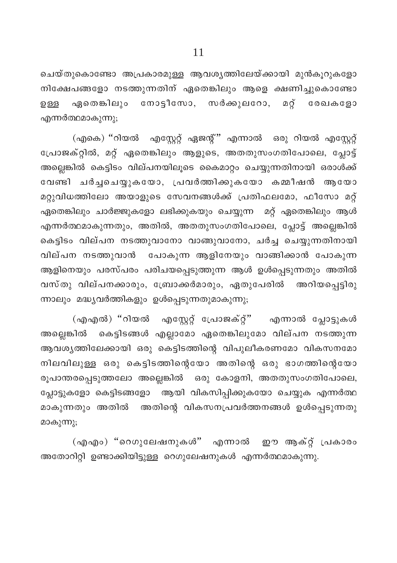ചെയ്തുകൊണ്ടോ അപ്രകാരമുള്ള ആവശ്യത്തിലേയ്ക്കായി മുൻകുറുകളോ നിക്ഷേപങ്ങളോ നടത്തുന്നതിന് ഏതെങ്കിലും ആളെ ക്ഷണിച്ചുകൊണ്ടോ ഏതെങ്കിലും നോട്ടീസോ, സർക്കുലറോ, മറ്റ് രേഖകളോ ഉള്ള എന്നർത്ഥമാകുന്നു;

(എകെ) ''റിയൽ എസ്റ്റേറ്റ് ഏജന്റ്'' എന്നാൽ ഒരു റിയൽ എസ്റ്റേറ്റ് പ്രോജക്റ്റിൽ, മറ്റ് ഏതെങ്കിലും ആളുടെ, അതതുസംഗതിപോലെ, പ്ലോട്ട് അല്ലെങ്കിൽ കെട്ടിടം വില്പനയിലൂടെ കൈമാറ്റം ചെയ്യുന്നതിനായി ഒരാൾക്ക് വേണ്ടി ചർച്ചചെയ്യുകയോ, പ്രവർത്തിക്കുകയോ കമ്മീഷൻ ആയോ മറ്റുവിധത്തിലോ അയാളുടെ സേവനങ്ങൾക്ക് പ്രതിഫലമോ, ഫീസോ മറ്റ് ഏതെങ്കിലും ചാർജ്ജുകളോ ലഭിക്കുകയും ചെയ്യുന്ന മറ്റ് ഏതെങ്കിലും ആൾ എന്നർത്ഥമാകുന്നതും, അതിൽ, അതതുസംഗതിപോലെ, പ്ലോട്ട് അല്ലെങ്കിൽ കെട്ടിടം വില്പന നടത്തുവാനോ വാങ്ങുവാനോ, ചർച്ച ചെയ്യുന്നതിനായി വില്പന നടത്തുവാൻ പോകുന്ന ആളിനേയും വാങ്ങിക്കാൻ പോകുന്ന ആളിനെയും പരസ്പരം പരിചയപ്പെടുത്തുന്ന ആൾ ഉൾപ്പെടുന്നതും അതിൽ വസ്തു വില്പനക്കാരും, ബ്രോക്കർമാരും, ഏതുപേരിൽ അറിയപ്പെട്ടിരു ന്നാലും മദ്ധ്യവർത്തികളും ഉൾപ്പെടുന്നതുമാകുന്നു;

(എഎൽ) "റിയൽ എസ്റ്റേറ്റ് പ്രോജക്റ്്' എന്നാൽ പ്ലോട്ടുകൾ അല്ലെങ്കിൽ കെട്ടിടങ്ങൾ എല്ലാമോ ഏതെങ്കിലുമോ വില്പന നടത്തുന്ന ആവശ്യത്തിലേക്കായി ഒരു കെട്ടിടത്തിന്റെ വിപുലീകരണമോ വികസനമോ നിലവിലുള്ള ഒരു കെട്ടിടത്തിന്റെയോ അതിന്റെ ഒരു ഭാഗത്തിന്റെയോ രൂപാന്തരപ്പെടുത്തലോ അല്ലെങ്കിൽ ഒരു കോളനി, അതതുസംഗതിപോലെ, ആയി വികസിപ്പിക്കുകയോ ചെയ്യുക എന്നർത്ഥ പ്ലോട്ടുകളോ കെട്ടിടങ്ങളോ അതിന്റെ വികസനപ്രവർത്തനങ്ങൾ ഉൾപ്പെടുന്നതു മാകുന്നതും അതിൽ മാകുന്നു;

(എഎം) "റെഗുലേഷനുകൾ" എന്നാൽ ഈ ആക്റ്റ് പ്രകാരം അതോറിറ്റി ഉണ്ടാക്കിയിട്ടുള്ള റെഗുലേഷനുകൾ എന്നർത്ഥമാകുന്നു.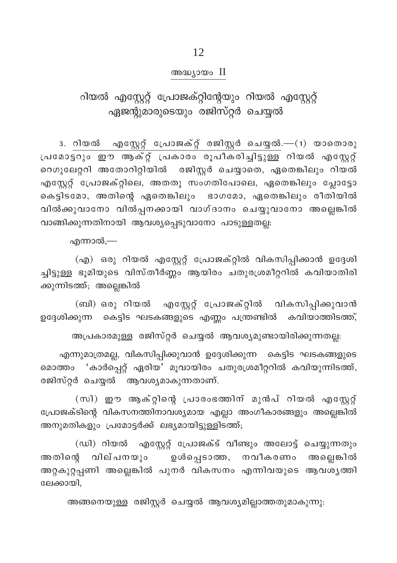### അദ്ധ്യായം II

റിയൽ എസ്റ്റേറ്റ് പ്രോജക്റ്റിന്റേയും റിയൽ എസ്റ്റേറ്റ് ഏജന്റുമാരുടെയും രജിസ്റ്റർ ചെയ്യൽ

3. റിയൽ എസ്റ്റേറ്റ് പ്രോജക്റ്റ് രജിസ്റ്റർ ചെയ്യൽ.—(1) യാതൊരു പ്രമോട്ടറും ഈ ആക്റ്റ് പ്രകാരം രൂപീകരിച്ചിട്ടുള്ള റിയൽ എസ്റ്റേറ്റ് റെഗുലേറ്ററി അതോറിറ്റിയിൽ രജിസ്റ്റർ ചെയ്യാതെ, ഏതെങ്കിലും റിയൽ എസ്റ്റേറ്റ് പ്രോജക്റ്റിലെ, അതതു സംഗതിപോലെ, ഏതെങ്കിലും പ്ലോട്ടോ കെട്ടിടമോ, അതിന്റെ ഏതെങ്കിലും ഭാഗമോ, ഏതെങ്കിലും രീതിയിൽ വിൽക്കുവാനോ വിൽപ്പനക്കായി വാഗ്ദാനം ചെയ്യുവാനോ അല്ലെങ്കിൽ വാങ്ങിക്കുന്നതിനായി ആവശ്യപ്പെടുവാനോ പാടുള്ളതല്ല:

എന്നാൽ,—

(എ) ഒരു റിയൽ എസ്റ്റേറ്റ് പ്രോജക്റ്റിൽ വികസിപ്പിക്കാൻ ഉദ്ദേശി ച്ചിട്ടുള്ള ഭൂമിയുടെ വിസ്തീർണ്ണം ആയിരം ചതുരശ്രമീറ്ററിൽ കവിയാതിരി ക്കുന്നിടത്ത്; അല്ലെങ്കിൽ

(ബി) ഒരു റിയൽ എസ്റ്റേറ്റ് പ്രോജക്റ്റിൽ വികസിപ്പിക്കുവാൻ ഉദ്ദേശിക്കുന്ന കെട്ടിട<sup>, ഫ്ര</sup>ടകങ്ങളുടെ എണ്ണം പന്ത്രണ്ടിൽ കവിയാത്തിടത്ത്,

അപ്രകാരമുള്ള രജിസ്റ്റർ ചെയ്യൽ ആവശ്യമുണ്ടായിരിക്കുന്നതല്ല:

എന്നുമാത്രമല്ല, വികസിപ്പിക്കുവാൻ ഉദ്ദേശിക്കുന്ന കെട്ടിട ഘടകങ്ങളുടെ മൊത്തം 'കാർപ്പെറ്റ് ഏരിയ' മൂവായിരം ചതുരശ്രമീറ്ററിൽ കവിയുന്നിടത്ത്, രജിസ്റ്റർ ചെയ്യൽ ആവശ്യമാകുന്നതാണ്.

(സി) ഈ ആക്റ്റിന്റെ പ്രാരംഭത്തിന് മുൻപ് റിയൽ എസ്റ്റേറ്റ് പ്രോജക്ടിന്റെ വികസനത്തിനാവശ്യമായ എല്ലാ അംഗീകാരങ്ങളും അല്ലെങ്കിൽ അനുമതികളും പ്രമോട്ടർക്ക് ലഭ്യമായിട്ടുള്ളിടത്ത്;

(ഡി) റിയൽ എസ്റ്റേറ്റ് പ്രോജക്ട് വീണ്ടും അലോട്ട് ചെയ്യുന്നതും അതിന്റെ വില്പനയും ഉൾപ്പെടാത്ത, നവീകരണം അല്ലെങ്കിൽ അറ്റകുറ്റപ്പണി അല്ലെങ്കിൽ പുനർ വികസനം എന്നിവയുടെ ആവശൃത്തി ലേക്കായി.

അങ്ങനെയുള്ള രജിസ്റ്റർ ചെയ്യൽ ആവശ്യമില്ലാത്തതുമാകുന്നു: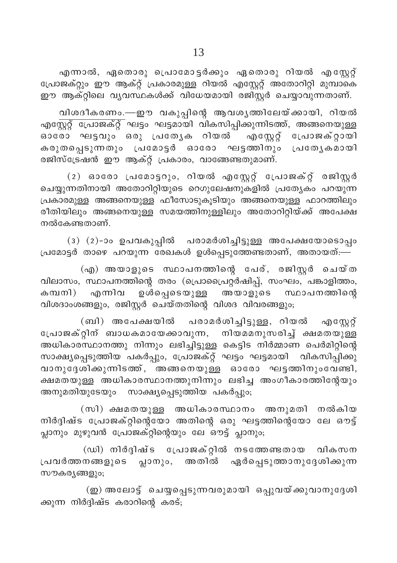എന്നാൽ, ഏതൊരു പ്രൊമോട്ടർക്കും ഏതൊരു റിയൽ എസ്റ്റേറ്റ് പ്രോജക്റ്റും ഈ ആക്റ്റ് പ്രകാരമുള്ള റിയൽ എസ്റ്റേറ്റ് അതോറിറ്റി മുമ്പാകെ ഈ ആക്റ്റിലെ വ്യവസ്ഥകൾക്ക് വിധേയമായി രജിസ്റ്റർ ചെയ്യാവുന്നതാണ്.

വിശദീകരണം.—ഈ വകുപ്പിന്റെ ആവശൃത്തിലേയ്ക്കായി, റിയൽ എസ്റ്റേറ്റ് പ്രോജക്റ്റ് ഘട്ടം ഘട്ടമായി വികസിപ്പിക്കുന്നിടത്ത്, അങ്ങനെയുള്ള എസ്റ്റേറ്റ് പ്രോജക്റ്റായി ഓരോ ഘട്ടവും ഒരു പ്രത്യേക റിയൽ കരുതപ്പെടുന്നതും പ്രമോട്ടർ ഓരോ ഘട്ടത്തിനും പ്രത്യേകമായി രജിസ്ട്രേഷൻ ഈ ആക്റ്റ് പ്രകാരം, വാങ്ങേണ്ടതുമാണ്.

(2) ഓരോ പ്രമോട്ടറും, റിയൽ എസ്റ്റേറ്റ് പ്രോജക്റ്റ് രജിസ്റ്റർ ചെയ്യുന്നതിനായി അതോറിറ്റിയുടെ റെഗുലേഷനുകളിൽ പ്രത്യേകം പറയുന്ന പ്രകാരമുള്ള അങ്ങനെയുള്ള ഫീസോടുകൂടിയും അങ്ങനെയുള്ള ഫാറത്തിലും രീതിയിലും അങ്ങനെയുള്ള സമയത്തിനുള്ളിലും അതോറിറ്റിയ്ക്ക് അപേക്ഷ നൽകേണ്ടതാണ്.

(3) (2)-ാം ഉപവകുപ്പിൽ പരാമർശിച്ചിട്ടുള്ള അപേക്ഷയോടൊപ്പം പ്രമോട്ടർ താഴെ പറയുന്ന രേഖകൾ ഉൾപ്പെടുത്തേണ്ടതാണ്, അതായത്:—

(എ) അയാളുടെ സ്ഥാപനത്തിന്റെ പേര്, രജിസ്റ്റർ ചെയ്ത വിലാസം, സ്ഥാപനത്തിന്റെ തരം (പ്രൊപ്രൈറ്റർഷിപ്പ്, സംഘം, പങ്കാളിത്തം, കമ്പനി) എന്നിവ ഉൾപ്പെടെയുള്ള അയാളുടെ സ്ഥാപനത്തിന്റെ വിശദാംശങ്ങളും, രജിസ്റ്റർ ചെയ്തതിന്റെ വിശദ വിവരങ്ങളും;

(ബി) അപേക്ഷയിൽ പരാമർശിച്ചിട്ടുള്ള, റിയൽ എസ്റ്റേറ്റ് പ്രോജക്റ്റിന് ബാധകമായേക്കാവുന്ന, നിയമമനുസരിച്ച് ക്ഷമതയുള്ള അധികാരസ്ഥാനത്തു നിന്നും ലഭിച്ചിട്ടുള്ള കെട്ടിട നിർമ്മാണ പെർമിറ്റിന്റെ സാക്ഷ്യപ്പെടുത്തിയ പകർപ്പും, പ്രോജക്റ്റ് ഘട്ടം ഘട്ടമായി വികസിപ്പിക്കു വാനുദ്ദേശിക്കുന്നിടത്ത്, അങ്ങനെയുള്ള ഓരോ ഘട്ടത്തിനുംവേണ്ടി, ക്ഷമതയുള്ള അധികാരസ്ഥാനത്തുനിന്നും ലഭിച്ച അംഗീകാരത്തിന്റേയും അനുമതിയുടേയും സാക്ഷ്യപ്പെടുത്തിയ പകർപ്പും;

(സി) ക്ഷമതയുള്ള അധികാരസ്ഥാനം അനുമതി നൽകിയ നിർദ്ദിഷ്ട പ്രോജക്റ്റിന്റെയോ അതിന്റെ ഒരു ഘട്ടത്തിന്റെയോ ലേ ഔട്ട് പ്ലാനും മുഴുവൻ പ്രോജക്റ്റിന്റെയും ലേ ഔട്ട് പ്ലാനും;

(ഡി) നിർദ്ദിഷ്ട പ്രോജക്റ്റിൽ നടത്തേണ്ടതായ വികസന പ്രവർത്തനങ്ങളുടെ പ്ലാനും, അതിൽ ഏർപ്പെടുത്താനുദ്ദേശിക്കുന്ന സൗകര്യങ്ങളും;

(ഇ) അലോട്ട് ചെയ്യപ്പെടുന്നവരുമായി ഒപ്പുവയ്ക്കുവാനുദ്ദേശി ക്കുന്ന നിർദ്ദിഷ്ട കരാറിന്റെ കരട്;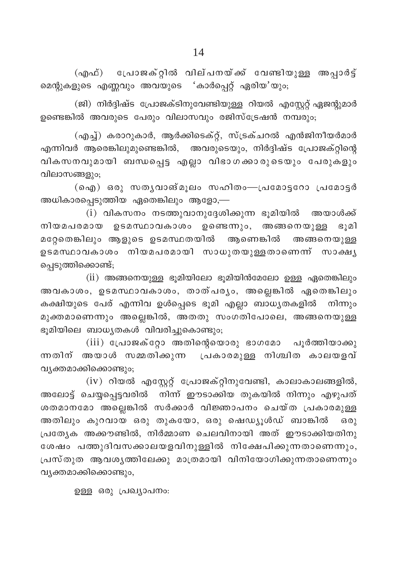(എഫ്) പ്രോജക്റ്റിൽ വില്പനയ്ക്ക് വേണ്ടിയുള്ള അപ്പാർട്ട് മെന്റുകളുടെ എണ്ണവും അവയുടെ 'കാർപ്പെറ്റ് ഏരിയ'യും;

(ജി) നിർദ്ദിഷ്ട പ്രോജക്ടിനുവേണ്ടിയുള്ള റിയൽ എസ്റ്റേറ്റ് ഏജന്റുമാർ ഉണ്ടെങ്കിൽ അവരുടെ പേരും വിലാസവും രജിസ്ട്രേഷൻ നമ്പരും:

(എച്ച്) കരാറുകാർ, ആർക്കിടെക്റ്റ്, സ്ട്രക്ചറൽ എൻജിനീയർമാർ എന്നിവർ ആരെങ്കിലുമുണ്ടെങ്കിൽ, അവരുടെയും, നിർദ്ദിഷ്ട പ്രോജക്റ്റിന്റെ വികസനവുമായി ബന്ധപ്പെട്ട എല്ലാ വിഭാഗക്കാരുടെയും പേരുകളും വിലാസങ്ങളും;

(ഐ) ഒരു സതൃവാങ്മൂലം സഹിതം—പ്രമോട്ടറോ പ്രമോട്ടർ അധികാരപ്പെടുത്തിയ ഏതെങ്കിലും ആളോ,—

 $(i)$  വികസനം നടത്തുവാനുദ്ദേശിക്കുന്ന ഭൂമിയിൽ അയാൾക്ക് നിയമപരമായ ഉടമസ്ഥാവകാശം ഉണ്ടെന്നും, അങ്ങനെയുള്ള ഭുമി മറ്റേതെങ്കിലും ആളുടെ ഉടമസ്ഥതയിൽ ആണെങ്കിൽ അങ്ങനെയുള്ള ഉടമസ്ഥാവകാശം നിയമപരമായി സാധുതയുള്ളതാണെന്ന് സാക്ഷൃ പെടുത്തിക്കൊണ്ട്;

 $(ii)$  അങ്ങനെയുള്ള ഭൂമിയിലോ ഭൂമിയിൻമേലോ ഉള്ള ഏതെങ്കിലും അവകാശം, ഉടമസ്ഥാവകാശം, താത്പരൃം, അല്ലെങ്കിൽ ഏതെങ്കിലും കക്ഷിയുടെ പേര് എന്നിവ ഉൾപ്പെടെ ഭൂമി എല്ലാ ബാധൃതകളിൽ നിന്നും മുക്തമാണെന്നും അല്ലെങ്കിൽ, അതതു സംഗതിപോലെ, അങ്ങനെയുള്ള ഭുമിയിലെ ബാധ്യതകൾ വിവരിച്ചുകൊണ്ടും;

 $(iii)$  പ്രോജക്റ്റോ അതിന്റെയൊരു ഭാഗമോ പൂർത്തിയാക്കു ന്നതിന് അയാൾ സമ്മതിക്കുന്ന പ്രകാരമുള്ള നിശ്ചിത കാലയളവ് വ്യക്തമാക്കിക്കൊണ്ടും;

 $(iv)$  റിയൽ എസ്റ്റേറ്റ് പ്രോജക്റ്റിനുവേണ്ടി, കാലാകാലങ്ങളിൽ, അലോട്ട് ചെയ്യപ്പെട്ടവരിൽ നിന്ന് ഈടാക്കിയ തുകയിൽ നിന്നും എഴുപത് ശതമാനമോ അല്ലെങ്കിൽ സർക്കാർ വിജ്ഞാപനം ചെയ്ത പ്രകാരമുള്ള അതിലും കുറവായ ഒരു തുകയോ, ഒരു ഷെഡ്യൂൾഡ് ബാങ്കിൽ  $6301$ പ്രത്യേക അക്കൗണ്ടിൽ, നിർമ്മാണ ചെലവിനായി അത് ഈടാക്കിയതിനു ശേഷം പത്തുദിവസക്കാലയളവിനുള്ളിൽ നിക്ഷേപിക്കുന്നതാണെന്നും, പ്രസ്തുത ആവശൃത്തിലേക്കു മാത്രമായി വിനിയോഗിക്കുന്നതാണെന്നും വ്യക്തമാക്കിക്കൊണ്ടും,

ഉള്ള ഒരു പ്രഖ്യാപനം: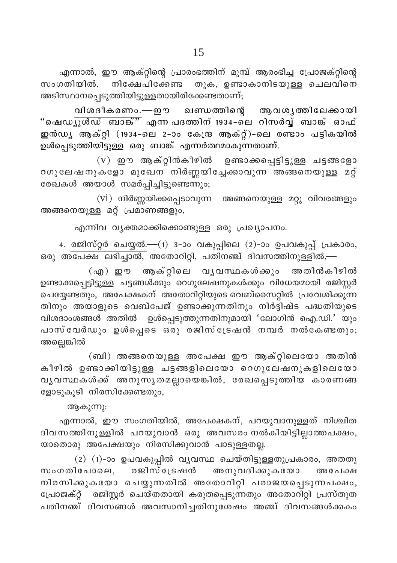വിശദീകരണം.—ഈ ഖണ്ഡത്തിന്റെ ആവശൃത്തിലേക്കായി ''ഷെഡ<u>⊼ുൾഡ് ബാങ്ക്''</u> എന്ന പദത്തിന് 1934–ലെ റിസർവ്ൃ് ബാങ്ക് ഓഫ് .<br>ഇൻഡു ആക്റ്റി (1934-ലെ 2-ാം കേന്ദ്ര ആക്റ്റ്)-ലെ രണ്ടാം പട്ടികയിൽ ഉൾപ്പെടുത്തിയിട്ടുള്ള ഒരു ബാങ്ക് എന്നർത്ഥമാകുന്നതാണ്.

(v) ഈ ആക്റ്റിൻകീഴിൽ ഉണ്ടാക്കപ്പെട്ടിട്ടുള്ള ചട്ടങ്ങളോ റഗുലേഷനുകളോ മുഖേന<sup>്</sup> നിർണ്ണയിച്ചേക്കാവുന്ന അങ്ങനെയുള്ള മറ്റ് രേഖകൾ അയാൾ സമർപ്പിച്ചിട്ടുണ്ടെന്നും;

 $(vi)$  നിർണ്ണയിക്കപ്പെടാവുന്ന അങ്ങനെയുള്ള മറ്റു വിവരങ്ങളും അങ്ങനെയുള്ള മറ്റ് പ്രമാണങ്ങളും,

എന്നിവ വൃക്തമാക്കിക്കൊണ്ടുള്ള ഒരു പ്രഖ്യാപനം.

4. രജിസ്റ്റർ ചെയ്യൽ.—(1) 3-ാം വകുപ്പിലെ (2)-ാം ഉപവകുപ്പ് പ്രകാരം, ഒരു അപേക്ഷ ലഭിച്ചാൽ, അതോറിറ്റി, പതിനഞ്ച് ദിവസത്തിനുള്ളിൽ,—

(എ) ഈ ആക്റ്റിലെ വൃവസ്ഥകൾക്കും അതിൻകീഴിൽ ഉണ്ടാക്കപ്പെട്ടിട്ടുള്ള ചട്ടങ്ങൾക്കും റെഗുലേഷനുകൾക്കും വിധേയമായി രജിസ്റ്റർ ചെയ്യേണ്ടതും, അപേക്ഷകന് അതോറിറ്റിയുടെ വെബ്സൈറ്റിൽ പ്രവേശിക്കുന്ന തിനും അയാളുടെ വെബ്പേജ് ഉണ്ടാക്കുന്നതിനും നിർദ്ദിഷ്ട പദ്ധതിയുടെ വിശദാംശങ്ങൾ അതിൽ ഉൾപ്പെടുത്തുന്നതിനുമായി 'ലോഗിൻ ഐ.ഡി.' യും പാസ്വേർഡും ഉൾപ്പെടെ ഒരു രജിസ്ട്രേഷൻ നമ്പർ നൽകേണ്ടതും; അല്ലെങ്കിൽ

(ബി) അങ്ങനെയുള്ള അപേക്ഷ ഈ ആക്റ്റിലെയോ അതിൻ കീഴിൽ ഉണ്ടാക്കിയിട്ടുള്ള ചട്ടങ്ങളിലെയോ റെഗുലേഷനുകളിലെയോ വൃവസ്ഥകൾക്ക് അനുസൃതമല്ലായെങ്കിൽ, രേഖപ്പെടുത്തിയ കാരണങ്ങ ളോടുകൂടി നിരസിക്കേണ്ടതും,

ആകുന്നു:

എന്നാൽ, ഈ സംഗതിയിൽ, അപേക്ഷകന്, പറയുവാനുള്ളത് നിശ്ചിത ദിവസത്തിനുള്ളിൽ പറയുവാൻ ഒരു അവസരം നൽകിയിട്ടില്ലാത്തപക്ഷം, യാതൊരു അപേക്ഷയും നിരസിക്കുവാൻ പാടുള്ളതല്ല.

(2) (1)-ാം ഉപവകുപ്പിൽ വ്യവസ്ഥ ചെയ്തിട്ടുള്ളതുപ്രകാരം, അതതു സംഗതിപോലെ, രജിസ്ട്രേഷൻ അനുവദിക്കുകയോ അപേക്ഷ നിരസിക്കുകയോ ചെയ്യുന്നതിൽ അതോറിറ്റി പരാജയപ്പെടുന്നപക്ഷം, പോജക്റ്റ് രജിസ്റ്റർ ചെയ്തതായി കരുതപ്പെടുന്നതും അതോറിറ്റി പ്രസ്തുത പതിനഞ്ച് ദിവസങ്ങൾ അവസാനിച്ചതിനുശേഷം അഞ്ച് ദിവസങ്ങൾക്കകം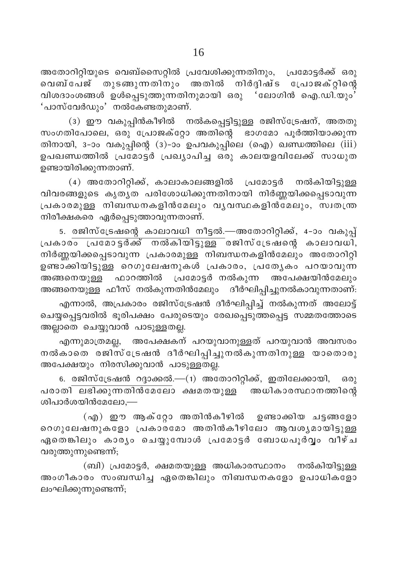അതോറിറ്റിയുടെ വെബ്സൈറ്റിൽ പ്രവേശിക്കുന്നതിനും, പ്രമോട്ടർക്ക് ഒരു വെബ്പേജ് തുടങ്ങുന്നതിനും അതിൽ നിർദ്ദിഷ്ട പ്രോജക്റ്റിന്റെ വിശദാംശങ്ങൾ ഉൾപ്പെടുത്തുന്നതിനുമായി ഒരു 'ലോഗിൻ ഐ.ഡി.യും' 'പാസ്വേർഡും' നൽകേണ്ടതുമാണ്.

(3) ഈ വകുപ്പിൻകീഴിൽ നൽകപ്പെട്ടിട്ടുള്ള രജിസ്ട്രേഷന്, അതതു സംഗതിപോലെ, ഒരു പ്രോജക്റ്റോ അതിന്റെ ഭാഗമോ പൂർത്തിയാക്കുന്ന തിനായി, 3-ാം വകുപ്പിന്റെ (3)-ാം ഉപവകുപ്പിലെ (ഐ) ഖണ്ഡത്തിലെ ( $\overline{\text{iii}}$ ) ഉപഖണ്ഡത്തിൽ പ്രമോട്ടർ പ്രഖ്യാപിച്ച ഒരു കാലയളവിലേക്ക് സാധുത ഉണ്ടായിരിക്കുന്നതാണ്.

(4) അതോറിറ്റിക്ക്, കാലാകാലങ്ങളിൽ പ്രമോട്ടർ നൽകിയിട്ടുള്ള വിവരങ്ങളുടെ കൃതൃത പരിശോധിക്കുന്നതിനായി നിർണ്ണയിക്കപ്പെടാവുന്ന പ്രകാരമുള്ള നിബന്ധനകളിൻമേലും വൃവസ്ഥകളിൻദ്മലും, സ്വതന്ത്ര നിരീക്ഷകരെ ഏർപ്പെടുത്താവുന്നതാണ്.

5. രജിസ്ട്രേഷന്റെ കാലാവധി നീട്ടൽ.—അതോറിറ്റിക്ക്, 4-ാം വകുപ്പ് പ്രകാരം പ്രമോട്ടർക്ക് നൽകിയിട്ടുള്ള രജിസ്ട്രേഷന്റെ കാലാവധി, നിർണ്ണയിക്കപ്പെടാവുന്ന പ്രകാരമുള്ള നിബന്ധനകളിൻമേലും അതോറിറ്റി ഉണ്ടാക്കിയിട്ടുള്ള റെഗുലേഷനുകൾ പ്രകാരം, പ്രത്യേകം പറയാവുന്ന അങ്ങനെയുള്ള ഫാറത്തിൽ പ്രമോട്ടർ നൽകുന്ന അപേക്ഷയിൻമേലും അങ്ങനെയുള്ള ഫീസ് നൽകുന്നതിൻമേലും ദീർഘിപ്പിച്ചുനൽകാവുന്നതാണ്.

എന്നാൽ, അപ്രകാരം രജിസ്ട്രേഷൻ ദീർഘിപ്പിച്ച് നൽകുന്നത് അലോട്ട് ചെയ്യപ്പെട്ടവരിൽ ഭൂരിപക്ഷം പേരുടെയും രേഖപ്പെടുത്തപ്പെട്ട സമ്മതത്തോടെ അല്ലാതെ ചെയ്യുവാൻ പാടുള്ളതല്ല.

എന്നുമാത്രമല്ല, അപേക്ഷകന് പറയുവാനുള്ളത് പറയുവാൻ അവസരം നൽകാതെ രജിസ്ട്രേഷൻ ദീർഘിപ്പിച്ചുനൽകുന്നതിനുള്ള യാതൊരു അപേക്ഷയും നിരസിക്കുവാൻ പാടുള്ളതല്ല.

6. രജിസ്ട്രേഷൻ റദ്ദാക്കൽ.—(1) അതോറിറ്റിക്ക്, ഇതിലേക്കായി,  $63(0)$ <u>പരാതി ലഭിക്കുന്നതിൻമേലോ ക്ഷമതയുള്ള ്അധികാരസ്ഥാനത്തിന്റെ</u> ശിപാർശയിൻമേലോ,—

(എ) ഈ ആക്റ്റോ അതിൻകീഴിൽ ഉണ്ടാക്കിയ ചട്ടങ്ങളോ റെഗുലേഷനുകളോ പ്രകാരമോ അതിൻകീഴിലോ ആവശൃമായിട്ടുള്ള .<br>ഏതെങ്കിലും കാരൃം ചെയ്യുമ്പോൾ പ്രമോട്ടർ ബോധപൂർവൃം വീഴ്ച വരുത്തുന്നുണ്ടെന്ന്;

(ബി) പ്രമോട്ടർ, ക്ഷമതയുള്ള അധികാരസ്ഥാനം നൽകിയിട്ടുള്ള അംഗീകാരം സംബന്ധിച്ച ഏതെങ്കിലും നിബന്ധനകളോ ഉപാധികളോ ലംഘിക്കുന്നുണ്ടെന്ന്;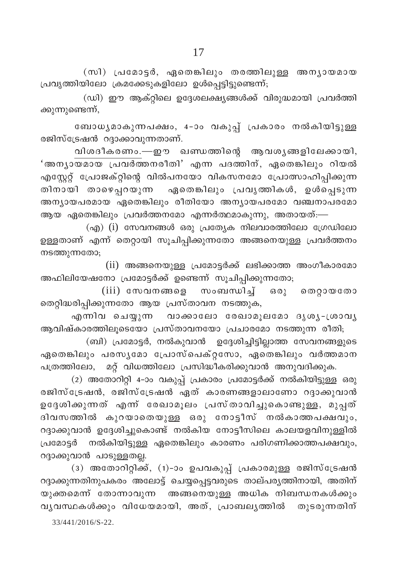(സി) പ്രമോട്ടർ, ഏതെങ്കിലും തരത്തിലുള്ള അന്യായമായ പ്രവൃത്തിയിലോ ക്രമക്കേടുകളിലോ ഉൾപ്പെട്ടിട്ടുണ്ടെന്ന്;

(ഡി) ഈ ആക്റ്റിലെ ഉദ്ദേശലക്ഷ്യങ്ങൾക്ക് വിരുദ്ധമായി പ്രവർത്തി ക്കുന്നുണ്ടെന്ന്,

ബോധൃമാകുന്നപക്ഷം, 4-ാം വകുപ്പ് പ്രകാരം നൽകിയിട്ടുള്ള രജിസ്ട്രേഷൻ റദ്ദാക്കാവുന്നതാണ്.

വിശദീകരണം.—ഈ ഖണ്ഡത്തിന്റെ ആവശൃങ്ങളിലേക്കായി, 'അനൃായമായ പ്രവർത്തനരീതി' എന്ന പദത്തിന്, ഏതെങ്കിലും റിയൽ എസ്റ്റേറ്റ് പ്രോജക്റ്റിന്റെ വിൽപനയോ വികസനമോ പ്രോത്സാഹിപ്പിക്കുന്ന തിനായി താഴെപ്പറയുന്ന ഏതെങ്കിലും പ്രവൃത്തികൾ, ഉൾപ്പെടുന്ന അന്യായപരമായ ഏതെങ്കിലും രീതിയോ അന്യായപരമോ വഞ്ചനാപരമോ ആയ ഏതെങ്കിലും പ്രവർത്തനമോ എന്നർത്ഥമാകുന്നു, അതായത്:—

 $\alpha$ എ) (i) സേവനങ്ങൾ ഒരു പ്രത്യേക നിലവാരത്തിലോ ഗ്രേഡിലോ ഉള്ളതാണ് എന്ന് തെറ്റായി സൂചിപ്പിക്കുന്നതോ അങ്ങനെയുള്ള പ്രവർത്തനം നടത്തുന്നതോ;

(ii) അങ്ങനെയുള്ള പ്രമോട്ടർക്ക് ലഭിക്കാത്ത അംഗീകാരമോ അഫിലിയേഷനോ പ്രമോട്ടർക്ക് ഉണ്ടെന്ന് സൂചിപ്പിക്കുന്നതോ;

(iii) സേവനങ്ങളെ സംബന്ധിച്ച് ഒരു തെറ്റായതോ തെറ്റിദ്ധരിപ്പിക്കുന്നതോ ആയ പ്രസ്താവന നടത്തുക,

എന്നിവ ചെയ്യുന്ന വാക്കാലോ രേഖാമുലമോ ദൃശൃ-ശ്രാവൃ ആവിഷ്കാരത്തിലൂടെയോ പ്രസ്താവനയോ പ്രചാരമോ നടത്തുന്ന രീതി;

(ബി) പ്രമോട്ടർ, നൽകുവാൻ ഉദ്ദേശിച്ചിട്ടില്ലാത്ത സേവനങ്ങളുടെ .<br>ഏതെങ്കിലും പരസൃമോ പ്രോസ്പെക്റ്റസോ, ഏതെങ്കിലും വർത്തമാന പത്രത്തിലോ, മറ്റ് വിധത്തിലോ പ്രസിദ്ധീകരിക്കുവാൻ അനുവദിക്കുക.

(2) അതോറിറ്റി 4-ാം വകുപ്പ് പ്രകാരം പ്രമോട്ടർക്ക് നൽകിയിട്ടുള്ള ഒരു രജിസ്ട്രേഷൻ, രജിസ്ട്രേഷൻ ഏത് കാരണങ്ങളാലാണോ റദ്ദാക്കുവാൻ ഉദ്ദേശിക്കുന്നത് എന്ന് രേഖാമൂലം പ്രസ്താവിച്ചുകൊണ്ടുള്ള, മുപ്പത് ദിവസത്തിൽ കുറയാതെയുള്ള ഒരു നോട്ടീസ് നൽകാത്തപക്ഷവും, റദ്ദാക്കുവാൻ ഉദ്ദേശിച്ചുകൊണ്ട് നൽകിയ നോട്ടീസിലെ കാലയളവിനുള്ളിൽ പ്രമോട്ടർ നൽകിയിട്ടുള്ള ഏതെങ്കിലും കാരണം പരിഗണിക്കാത്തപക്ഷവും, റദ്ദാക്കുവാൻ പാടുള്ളതല്ല.

(3) അതോറിറ്റിക്ക്, (1)-ാം ഉപവകുപ്പ് പ്രകാരമുള്ള രജിസ്ട്രേഷൻ റദ്ദാക്കുന്നതിനുപകരം അലോട്ട് ചെയ്യപ്പെട്ടവരുടെ താല്പര്യത്തിനായി, അതിന് യുക്തമെന്ന് തോന്നാവുന്ന അങ്ങനെയുള്ള അധിക നിബന്ധനകൾക്കും വൃവസ്ഥകൾക്കും വിധേയമായി, അത്, പ്രാബലൃത്തിൽ തുടരുന്നതിന്

33/441/2016/S-22.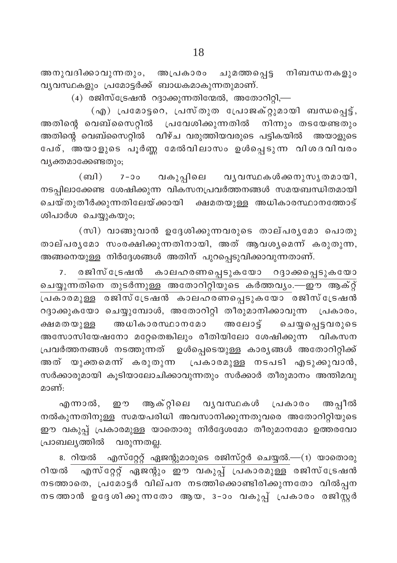അനുവദിക്കാവുന്നതും, അപ്രകാരം ചുമത്തപ്പെട്ട നിബന്ധനകളും വ്യവസ്ഥകളും പ്രമോട്ടർക്ക് ബാധകമാകുന്നതുമാണ്.

 $(4)$  രജിസ്ട്രേഷൻ റദ്ദാക്കുന്നതിന്മേൽ, അതോറിറ്റി,—

(എ) പ്രമോട്ടറെ, പ്രസ്തുത പ്രോജക്റ്റുമായി ബന്ധപ്പെട്ട്, അതിന്റെ വെബ്സൈറ്റിൽ പ്രവേശിക്കുന്നതിൽ നിന്നും തടയേണ്ടതും അതിന്റെ വെബ്സൈറ്റിൽ വീഴ്ച വരുത്തിയവരുടെ പട്ടികയിൽ അയാളുടെ പേര്, അയാളുടെ പൂർണ്ണ മേൽവിലാസം ഉൾപ്പെടുന്ന വിശദവിവരം വ്യക്തമാക്കേണ്ടതും;

7-ാം വകുപ്പിലെ വൃവസ്ഥകൾക്കനുസൃതമായി,  $(m<sub>1</sub>)$ നടപ്പിലാക്കേണ്ട ശേഷിക്കുന്ന വികസനപ്രവർത്തനങ്ങൾ സമയബന്ധിതമായി ചെയ്തുതീർക്കുന്നതിലേയ്ക്കായി ക്ഷമതയുള്ള അധികാരസ്ഥാനത്തോട് ശിപാർശ ചെയ്യുകയും;

(സി) വാങ്ങുവാൻ ഉദ്ദേശിക്കുന്നവരുടെ താല്പര്യമോ പൊതു താല്പരൃമോ സംരക്ഷിക്കുന്നതിനായി, അത് ആവശൃമെന്ന് കരുതുന്ന, അങ്ങനെയുള്ള നിർദ്ദേശങ്ങൾ അതിന് പുറപ്പെടുവിക്കാവുന്നതാണ്.

രജിസ്ട്രേഷൻ കാലഹരണപ്പെടുകയോ റദ്ദാക്കപ്പെടുകയോ  $7.$ ചെയ്യുന്നതിനെ തുടർന്നുള്ള അതോറിറ്റിയുടെ കർത്തവൃം.—ഈ ആക്റ്റ് .<br>പ്രകാരമുള്ള രജിസ്ട്രേഷൻ കാലഹരണപ്പെടുകയോ രജിസ്ട്രേഷൻ റദ്ദാക്കുകയോ ചെയ്യുമ്പോൾ, അതോറിറ്റി തീരുമാനിക്കാവുന്ന പ്രകാരം, അധികാരസ്ഥാനമോ അലോട്ട് ചെയ്യപ്പെട്ടവരുടെ ക്ഷമതയുള്ള അസോസിയേഷനോ മറ്റേതെങ്കിലും രീതിയിലോ ശേഷിക്കുന്ന വികസന പ്രവർത്തനങ്ങൾ നടത്തുന്നത് ഉൾപ്പെടെയുള്ള കാര്യങ്ങൾ അതോറിറ്റിക്ക് അത് യുക്തമെന്ന് കരുതുന്ന പ്രകാരമുള്ള നടപടി എടുക്കുവാൻ, സർക്കാരുമായി കൂടിയാലോചിക്കാവുന്നതും സർക്കാർ തീരുമാനം അന്തിമവു മാണ്:

എന്നാൽ, ഈ ആക്റ്റിലെ വൃവസ്ഥകൾ പ്രകാരം അപ്പീൽ നൽകുന്നതിനുള്ള സമയപരിധി അവസാനിക്കുന്നതുവരെ അതോറിറ്റിയുടെ ഈ വകുപ്പ് പ്രകാരമുള്ള യാതൊരു നിർദ്ദേശമോ തീരുമാനമോ ഉത്തരവോ പ്രാബല്യത്തിൽ വരുന്നതല്ല.

8. റിയൽ എസ്റ്റേറ്റ് ഏജന്റുമാരുടെ രജിസ്റ്റർ ചെയ്യൽ.—(1) യാതൊരു റിയൽ എസ്റ്റേറ്റ് ഏജന്റും ഈ വകുപ്പ് പ്രകാരമുള്ള രജിസ്ട്രേഷൻ നടത്താതെ, പ്രമോട്ടർ വില്പന നടത്തിക്കൊണ്ടിരിക്കുന്നതോ വിൽപ്പന നടത്താൻ ഉദ്ദേശിക്കുന്നതോ ആയ, 3-ാം വകുപ്പ് പ്രകാരം രജിസ്റ്റർ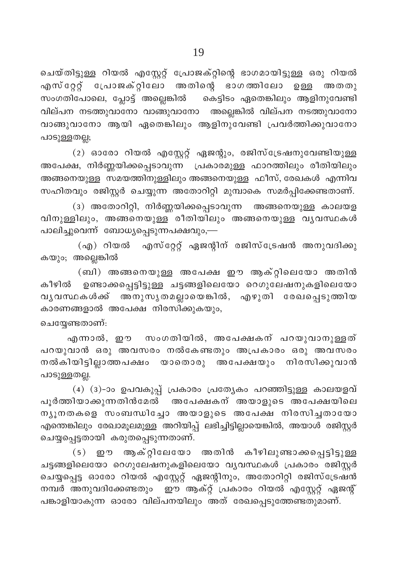ചെയ്തിട്ടുള്ള റിയൽ എസ്റ്റേറ്റ് പ്രോജക്റ്റിന്റെ ഭാഗമായിട്ടുള്ള ഒരു റിയൽ എസ്റ്റേറ്റ് പ്രോജക്റ്റിലോ അതിന്റെ ഭാഗത്തിലോ ഉള്ള അതതു സംഗതിപോലെ, പ്ലോട്ട് അല്ലെങ്കിൽ കെട്ടിടം ഏതെങ്കിലും ആളിനുവേണ്ടി വില്പന നടത്തുവാനോ വാങ്ങുവാനോ അല്ലെങ്കിൽ വില്പന നടത്തുവാനോ വാങ്ങുവാനോ ആയി ഏതെങ്കിലും ആളിനുവേണ്ടി പ്രവർത്തിക്കുവാനോ പാടുള്ളതല്ല;

(2) ഓരോ റിയൽ എസ്റ്റേറ്റ് ഏജന്റും, രജിസ്ട്രേഷനുവേണ്ടിയുള്ള അപേക്ഷ, നിർണ്ണയിക്കപ്പെടാവുന്ന പ്രകാരമുള്ള ഫാറത്തിലും രീതിയിലും അങ്ങനെയുള്ള സമയത്തിനുള്ളിലും അങ്ങനെയുള്ള ഫീസ്, രേഖകൾ എന്നിവ സഹിതവും രജിസ്റ്റർ ചെയ്യുന്ന അതോറിറ്റി മുമ്പാകെ സമർപ്പിക്കേണ്ടതാണ്.

(3) അതോറിറ്റി, നിർണ്ണയിക്കപ്പെടാവുന്ന അങ്ങനെയുള്ള കാലയള വിനുള്ളിലും, അങ്ങനെയുള്ള രീതിയിലും അങ്ങനെയുള്ള വൃവസ്ഥകൾ പാലിച്ചുവെന്ന് ബോധ്യപ്പെടുന്നപക്ഷവും,–

(എ) റിയൽ എസ്റ്റേറ്റ് ഏജന്റിന് രജിസ്ട്രേഷൻ അനുവദിക്കു കയും; അല്ലെങ്കിൽ

(ബി) അങ്ങനെയുള്ള അപേക്ഷ ഈ ആക്റ്റിലെയോ അതിൻ .<br>കീഴിൽ ഉണ്ടാക്കപ്പെട്ടിട്ടുള്ള ചട്ടങ്ങളിലെയോ റെഗുലേഷനുകളിലെയോ വൃവസ്ഥകൾക്ക് അനുസൃതമല്ലായെങ്കിൽ, എഴുതി രേഖപ്പെടുത്തിയ കാരണങ്ങളാൽ അപേക്ഷ നിരസിക്കുകയും,

#### ചെയ്യേണ്ടതാണ്:

എന്നാൽ, ഈ സംഗതിയിൽ, അപേക്ഷകന് പറയുവാനുള്ളത് പറയുവാൻ ഒരു അവസരം നൽകേണ്ടതും അപ്രകാരം ഒരു അവസരം നൽകിയിട്ടില്ലാത്തപക്ഷം യാതൊരു അപേക്ഷയും നിരസിക്കുവാൻ പാടുള്ളതല്ല.

(4) (3)-ാം ഉപവകുപ്പ് പ്രകാരം പ്രത്യേകം പറഞ്ഞിട്ടുള്ള കാലയളവ് പൂർത്തിയാക്കുന്നതിൻമേൽ അപേക്ഷകന് അയാളുടെ അപേക്ഷയിലെ ന്യൂനതകളെ സംബന്ധിച്ചോ അയാളുടെ അപേക്ഷ നിരസിച്ചതായോ എന്തെങ്കിലും രേഖാമൂലമുള്ള അറിയിപ്പ് ലഭിച്ചിട്ടില്ലായെങ്കിൽ, അയാൾ രജിസ്റ്റർ ചെയ്യപ്പെട്ടതായി കരുതപ്പെടുന്നതാണ്.

(5) ഈ ആക്റ്റിലേയോ അതിൻ കീഴിലുണ്ടാക്കപ്പെട്ടിട്ടുള്ള ചട്ടങ്ങളിലെയോ റെഗുലേഷനുകളിലെയോ വൃവസ്ഥകൾ പ്രകാരം രജിസ്റ്റർ ചെയ്യപ്പെട്ട ഓരോ റിയൽ എസ്റ്റേറ്റ് ഏജന്റിനും, അതോറിറ്റി രജിസ്ട്രേഷൻ നമ്പർ അനുവദിക്കേണ്ടതും ഈ ആക്റ്റ് പ്രകാരം റിയൽ എസ്റ്റേറ്റ് ഏജന്റ് പങ്കാളിയാകുന്ന ഓരോ വില്പനയിലും അത് രേഖപ്പെടുത്തേണ്ടതുമാണ്.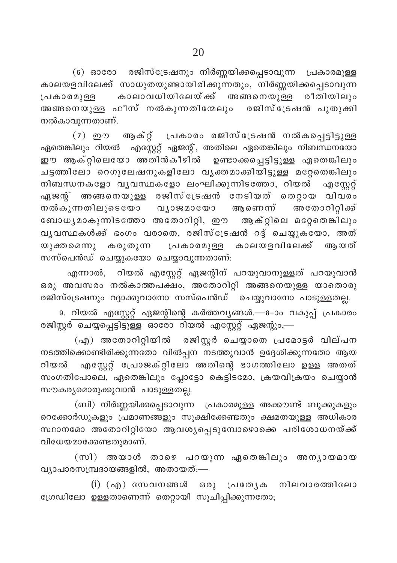$(6)$  ഓരോ രജിസ്ട്രേഷനും നിർണ്ണയിക്കപ്പെടാവുന്ന പ്രകാരമുള്ള കാലയളവിലേക്ക് സാധുതയുണ്ടായിരിക്കുന്നതും, നിർണ്ണയിക്കപ്പെടാവുന്ന <sub>്പതോരമുള്ള</sub> കാലാവധിയിലേയ്ക്ക് അങ്ങനെയുള്ള രീതിയിലും അങ്ങനെയുള്ള ഫീസ് നൽകുന്നതിനേലും രജിസ്ട്രേഷൻ പുതുക്കി നൽകാവുന്നതാണ്.

 $(7)$  ഈ ആക്റ്റ് പ്രകാരം രജിസ്ട്രേഷൻ നൽകപ്പെട്ടിട്ടുള്ള ഏതെങ്കിലും റിയൽ എസ്റ്റേറ്റ് ഏജന്റ്, അതിലെ ഏതെങ്കിലും നിബന്ധനയോ ഈ ആക്റ്റിലെയോ അതിൻകീഴിൽ ഉണ്ടാക്കപ്പെട്ടിട്ടുള്ള ഏതെങ്കിലും ചട്ടത്തിലോ റെഗുലേഷനുകളിലോ വൃക്തമാക്കിയിട്ടുള്ള മറ്റേതെങ്കിലും  $\mathfrak m$ ിബന്ധനകളോ വൃവസ്ഥകളോ ലംഘിക്കുന്നിടത്തോ, റിയൽ $\quad$  എസ്റ്റേറ്റ് .<br>എജനു് അങ്ങനെയുള്ള രജിസ്ട്രേഷൻ നേടിയത് തെറ്റായ വിവരം .<br>നൽകുന്നതിലൂടെയോ വൃാജമായോ ആണെന്ന് അതോറിറ്റിക്ക് ഭബാധൃമാകുന്നിടത്തോ അതോറിറ്റി, ഈ ആക്റ്റിലെ മറ്റേതെങ്കിലും  $\alpha$ ൃവസ്ഥകൾക്ക് ഭംഗം വരാതെ, രജിസ്ട്രേഷൻ റദ്ദ് ചെയ്യുകയോ, അത് യുക്തമെന്നു കരുതുന്ന (പകാരമുള്ള കാലയളവിലേക്ക് ആയത് സസ്പെൻഡ് ചെയ്യുകയോ ചെയ്യാവുന്നതാണ്:

എന്നാൽ, റിയൽ എസ്റ്റേറ്റ് ഏജന്റിന് പറയുവാനുള്ളത് പറയുവാൻ ഒരു അവസരം നൽകാത്തപക്ഷം, അതോറിറ്റി അങ്ങനെയുള്ള യാതൊരു രജിസ്ട്രേഷനും റദ്ദാക്കുവാനോ സസ്പെൻഡ് ചെയ്യുവാനോ പാടുള്ളതല്ല.

9. റിയൽ എസ്റ്റേറ്റ് ഏജന്റിന്റെ കർത്തവൃങ്ങൾ.—8-ാം വകുപ്പ് പ്രകാരം <u>്ക്ക് ചെയ്യപ്പെട്ടിട്ടുള്ള ഓരോ റിയൽ എസ്റ്റേറ്റ് ഏ</u>ജന്റും,—

 $\mathcal{L}(\mathfrak{q}_0)$  അതോറിറ്റിയിൽ രജിസ്റ്റർ ചെയ്യാതെ പ്രമോട്ടർ വില്പന നടത്തിക്കൊണ്ടിരിക്കുന്നതോ വിൽപ്പന<sup>്</sup>നടത്തുവാൻ ഉദ്ദേശിക്കുന്നതോ ആയ റിയൽ എസ്റ്റേറ്റ് പ്രോജക്റ്റിലോ അതിന്റെ ഭാഗത്തിലോ ഉള്ള അതത് സംഗതിപോലെ, ഏതെങ്കിലും പ്ലോട്ടോ കെട്ടിടമോ, ക്രയവിക്രയം ചെയ്യാൻ സൗകര്യമൊരുക്കുവാൻ പാടുള്ളതല്ല.

(ബി) നിർണ്ണയിക്കപ്പെടാവുന്ന (പകാരമുള്ള അക്കൗണ്ട് ബുക്കുകളും ം<br>സൈക്കാർഡുകളും പ്രമാണങ്ങളും സൂക്ഷിക്കേണ്ടതും ക്ഷമതയുള്ള അധികാര സ്ഥാനമോ അതോറിറ്റിയോ ആവശ്യപ്പെടുമ്പോഴൊക്കെ പരിശോധനയ്ക്ക് വിധേയമാക്കേണ്ടതുമാണ്.

(സി) അയാൾ താഴെ പറയുന്ന ഏതെങ്കിലും അനൃായമായ  $\alpha$ ്യാപാരസമ്പ്രദായങ്ങളിൽ, അതായത്:—

 $(i)$   $(\alpha \emptyset)$  സേവനങ്ങൾ ഒരു പ്രത്യേക നിലവാരത്തിലോ ്രേഡിലോ ഉള്ളതാണെന്ന് തെറ്റായി സൂചിപ്പിക്കുന്നതോ;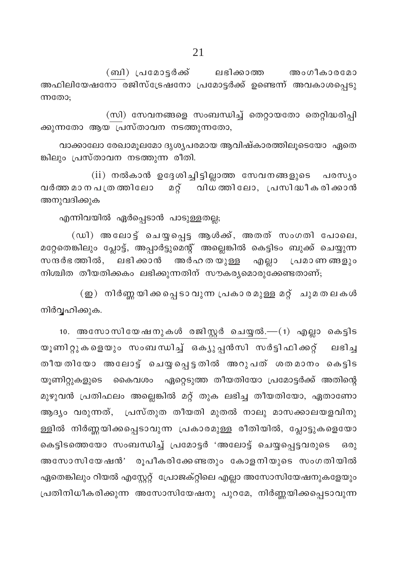(ബി) പ്രമോട്ടർക്ക് ലഭിക്കാത്ത അംഗീകാരമോ അഫിലിയേഷനോ രജിസ്ട്രേഷനോ പ്രമോട്ടർക്ക് ഉണ്ടെന്ന് അവകാശപ്പെടു ന്നതോ:

(സി) സേവനങ്ങളെ സംബന്ധിച്ച് തെറ്റായതോ തെറ്റിദ്ധരിപ്പി ക്കുന്നതോ ആയ പ്രസ്താവന നടത്തുന്നതോ,

വാക്കാലോ രേഖാമൂലമോ ദൃശൃപരമായ ആവിഷ്കാരത്തിലൂടെയോ ഏതെ ങ്കിലും പ്രസ്താവന നടത്തുന്ന രീതി.

(ii) നൽകാൻ ഉദ്ദേശിച്ചിട്ടില്ലാത്ത സേവനങ്ങളുടെ പരസ്യം വർത്ത മാനപത്രത്തിലോ മറ്റ് വിധത്തിലോ, പ്രസിദ്ധീകരിക്കാൻ അനുവദിക്കുക

എന്നിവയിൽ ഏർപ്പെടാൻ പാടുള്ളതല്ല;

(ഡി) അലോട്ട് ചെയ്യപ്പെട്ട ആൾക്ക്, അതത് സംഗതി പോലെ, മറ്റേതെങ്കിലും പ്ലോട്ട്, അപ്പാർട്ടുമെന്റ് അല്ലെങ്കിൽ കെട്ടിടം ബുക്ക് ചെയ്യുന്ന സന്ദർഭത്തിൽ, ലഭിക്കാൻ അർഹതയുള്ള എല്ലാ പ്രമാണങ്ങളും നിശ്ചിത തീയതിക്കകം ലഭിക്കുന്നതിന് സൗകര്യമൊരുക്കേണ്ടതാണ്;

(ഇ) നിർണ്ണയിക്കപ്പെടാവുന്ന പ്രകാരമുള്ള മറ്റ് ചുമതലകൾ നിർവ്വഹിക്കുക.

10. അസോസിയേഷനുകൾ രജിസ്റ്റർ ചെയ്യൽ.—(1) എല്ലാ കെട്ടിട യൂണിറ്റുകളെയും സംബന്ധിച്ച് ഒക്യുപ്പൻസി സർട്ടിഫിക്കറ്റ് ലഭിച്ച തീയതിയോ അലോട്ട ചെയ്യപ്പെട്ടതിൽ അറുപത് ശതമാനം കെട്ടിട യൂണിറ്റുകളുടെ കൈവശം ഏറ്റെടുത്ത തീയതിയോ പ്രമോട്ടർക്ക് അതിന്റെ മുഴുവൻ പ്രതിഫലം അല്ലെങ്കിൽ മറ്റ് തുക ലഭിച്ച തീയതിയോ, ഏതാണോ ആദ്യം വരുന്നത്, പ്രസ്തുത തീയതി മുതൽ നാലു മാസക്കാലയളവിനു ള്ളിൽ നിർണ്ണയിക്കപ്പെടാവുന്ന പ്രകാരമുള്ള രീതിയിൽ, പ്ലോട്ടുകളെയോ കെട്ടിടത്തെയോ സംബന്ധിച്ച് പ്രമോട്ടർ 'അലോട്ട് ചെയ്യപ്പെട്ടവരുടെ  $60$ അസോസിയേഷൻ' രൂപീകരിക്കേണ്ടതും കോളനിയുടെ സംഗതിയിൽ ഏതെങ്കിലും റിയൽ എസ്റ്റേറ്റ് പ്രോജക്റ്റിലെ എല്ലാ അസോസിയേഷനുകളേയും പ്രതിനിധീകരിക്കുന്ന അസോസിയേഷനു പുറമേ, നിർണ്ണയിക്കപ്പെടാവുന്ന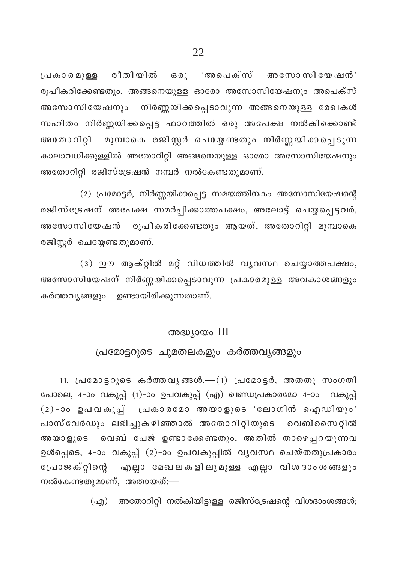$[$ പകാരമുള്ള രീതിയിൽ ഒരു 'അപെക്സ് അസോസിയേഷൻ' രൂപീകരിക്കേണ്ടതും, അങ്ങനെയുള്ള ഓരോ അസോസിയേഷനും അപെക്സ് അസോസിയേഷനും നിർണ്ണയിക്കപ്പെടാവുന്ന അങ്ങനെയുള്ള രേഖകൾ സഹിതം നിർണ്ണയിക്കപ്പെട്ട ഫാറത്തിൽ ഒരു അപേക്ഷ നൽകിക്കൊണ്ട് അതോറിറ്റി മുമ്പാകെ രജിസ്റ്റർ ചെയ്യേണ്ടതും നിർണ്ണയിക്കപ്പെടുന്ന കാലാവധിക്കുള്ളിൽ അതോറിറ്റി അങ്ങനെയുള്ള ഓരോ അസോസിയേഷനു<mark>ം</mark> അതോറിറ്റി രജിസ്ട്രേഷൻ നമ്പർ നൽകേണ്ടതുമാണ്.

 $(2)$  പ്രമോട്ടർ, നിർണ്ണയിക്കപ്പെട്ട സമയത്തിനകം അസോസിയേഷന്റെ രജിസ്ട്രേഷന് അപേക്ഷ സമർപ്പിക്കാത്തപക്ഷം, അലോട്ട് ചെയ്യപ്പെട്ടവർ, അസോസിയേഷൻ രൂപീകരിക്കേണ്ടതും ആയത്, അതോറിറ്റി മുമ്പാകെ രജിസ്റ്റർ ചെയ്യേണ്ടതുമാണ്.

 $(3)$  ഈ ആക്റ്റിൽ മറ്റ് വിധത്തിൽ വൃവസ്ഥ ചെയ്യാത്തപക്ഷം, അസോസിയേഷന് നിർണ്ണയിക്കപ്പെടാവുന്ന പ്രകാരമുള്ള അവകാശങ്ങളും കർത്തവൃങ്ങളും ഉണ്ടായിരിക്കുന്നതാണ്.

### അദ്ധ്യായം III

#### പ്രമോട്ടറുടെ ചുമതലകളും കർത്തവൃങ്ങളും

 $11.$  പ്രമോട്ടറുടെ കർത്തവൃങ്ങൾ.— $(1)$  പ്രമോട്ടർ, അതതു സംഗതി പോലെ, 4-ാം വകുപ്പ് (1)-ാം ഉപവകുപ്പ് (എ) ഖണ്ഡപ്രകാരമോ 4-ാം വകുപ്പ്  $(2)$ -ാം ഉപവകുപ്പ് പ്രകാരമോ അയാളുടെ 'ലോഗിൻ ഐഡിയും' പാസ്വേർഡും ലഭിച്ചുകഴിഞ്ഞാൽ അതോറിറ്റിയുടെ വെബ്സൈറ്റിൽ അയാളുടെ വെബ് പേജ് ഉണ്ടാക്കേണ്ടതും, അതിൽ താഴെപ്പറയുന്നവ ഉൾപ്പെടെ, 4-ാം വകുപ്പ് (2)-ാം ഉപവകുപ്പിൽ വൃവസ്ഥ ചെയ്തതുപ്രകാര<mark>ം</mark> ്പോജക്റ്റിന്റെ എല്ലാ മേഖലകളിലുമുള്ള എല്ലാ വിശദാംശങ്ങളും നൽകേണ്ടതുമാണ്, അതായത്:—

 $\Gamma(\alpha, \beta)$  അതോറിറ്റി നൽകിയിട്ടുള്ള രജിസ്ട്രേഷന്റെ വിശദാംശങ്ങൾ;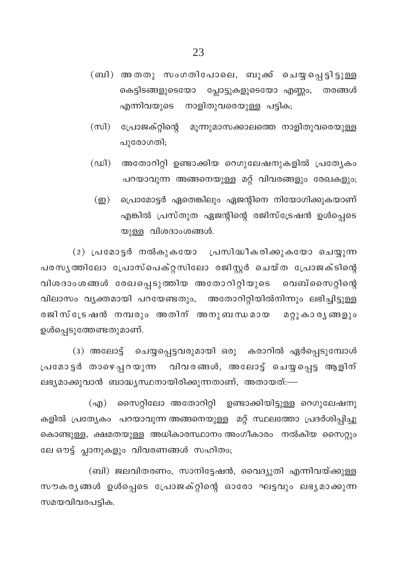- (ബി) അതതു സംഗതിപോലെ, ബുക്ക് ചെയ്യപ്പെട്ടിട്ടുള്ള കെട്ടിടങ്ങളുടെയോ പ്ലോട്ടുകളുടെയോ എണ്ണം, തരങ്ങൾ എന്നിവയുടെ നാളിതുവരെയുള്ള പട്ടിക;
- (സി) പ്രോജക്റ്റിന്റെ മൂന്നുമാസക്കാലത്തെ നാളിതുവരെയുള്ള പുരോഗതി;
- $(\omega)$ അതോറിറ്റി ഉണ്ടാക്കിയ റെഗുലേഷനുകളിൽ പ്രത്യേകം പറയാവുന്ന അങ്ങനെയുള്ള മറ്റ് വിവരങ്ങളും രേഖകളും;
	- (ഇ) പ്രൊമോട്ടർ ഏതെങ്കിലും ഏജന്റിനെ നിയോഗിക്കുകയാണ് എങ്കിൽ പ്രസ്തുത ഏജന്റിന്റെ രജിസ്ട്രേഷൻ ഉൾപ്പെടെ യുള്ള വിശദാംശങ്ങൾ.

(2) പ്രമോട്ടർ നൽകുകയോ പ്രസിദ്ധീകരിക്കുകയോ ചെയ്യുന്ന പരസൃത്തിലോ പ്രോസ്പെക്റ്റസിലോ രജിസ്റ്റർ ചെയ്ത പ്രോജക്ടിന്റെ വിശദാംശങ്ങൾ രേഖപ്പെടുത്തിയ അതോറിറ്റിയുടെ വെബ്സൈറ്റിന്റെ വിലാസം വ്യക്തമായി പറയേണ്ടതും, അതോറിറ്റിയിൽനിന്നും ലഭിച്ചിട്ടുള്ള രജിസ്ട്രേഷൻ നമ്പരും അതിന് അനുബന്ധമായ മറ്റുകാരൃങ്ങളും ഉൾപ്പെടുത്തേണ്ടതുമാണ്.

(3) അലോട്ട് ചെയ്യപ്പെട്ടവരുമായി ഒരു കരാറിൽ ഏർപ്പെടുമ്പോൾ പ്രമോട്ടർ താഴെപ്പറയുന്ന വിവരങ്ങൾ, അലോട്ട് ചെയ്യപ്പെട്ട ആളിന് ലഭ്യമാക്കുവാൻ ബാദ്ധ്യസ്ഥനായിരിക്കുന്നതാണ്, അതായത്:—

(എ) സൈറ്റിലോ അതോറിറ്റി ഉണ്ടാക്കിയിട്ടുള്ള റെഗുലേഷനു കളിൽ പ്രത്യേകം പറയാവുന്ന അങ്ങനെയുള്ള മറ്റ് സ്ഥലത്തോ പ്രദർശിപ്പിച്ചു കൊണ്ടുള്ള, ക്ഷമതയുള്ള അധികാരസ്ഥാനം അംഗീകാരം നൽകിയ സൈറ്റും ലേ ഔട്ട് പ്ലാനുകളും വിവരണങ്ങൾ സഹിതം;

(ബി) ജലവിതരണം, സാനിട്ടേഷൻ, വൈദ്യുതി എന്നിവയ്ക്കുള്ള സൗകര്യങ്ങൾ ഉൾപ്പെടെ പ്രോജക്റ്റിന്റെ ഓരോ ഘട്ടവും ലഭ്യമാക്കുന്ന സമയവിവരപട്ടിക.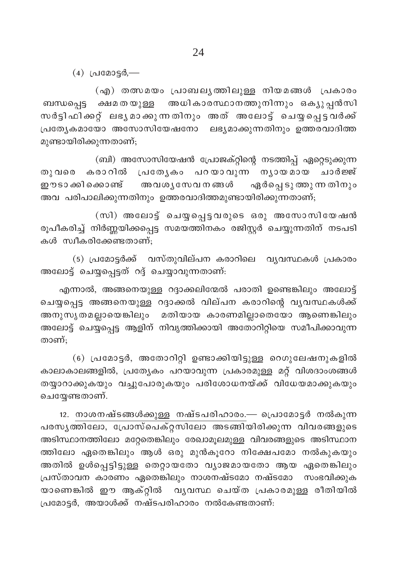$(4)$  (alcossid,-

(എ) തത്സമയം പ്രാബലൃത്തിലുള്ള നിയമങ്ങൾ പ്രകാരം ബന്ധപ്പെട്ട ക്ഷമതയുള്ള അധികാരസ്ഥാനത്തുനിന്നും ഒക്യുപ്പൻസി സർട്ടിഫിക്കറ്റ് ലഭൃമാക്കുന്നതിനും അത് അലോട്ട് ചെയ്യപ്പെട്ടവർക്ക് പ്രത്യേകമായോ അസോസിയേഷനോ ലഭ്യമാക്കുന്നതിനും ഉത്തരവാദിത്ത മുണ്ടായിരിക്കുന്നതാണ്;

(ബി) അസോസിയേഷൻ പ്രോജക്റ്റിന്റെ നടത്തിപ്പ് ഏറ്റെടുക്കുന്ന തുവരെ കരാറിൽ പ്രത്യേകം പറയാവുന്ന ന്യായമായ ചാർജ്ജ് ഈ ടാക്കിക്കൊണ്ട് അവശൃസേവനങ്ങൾ ഏർപ്പെടുത്തുന്നതിനു<mark>ം</mark> അവ പരിപാലിക്കുന്നതിനും ഉത്തരവാദിത്തമുണ്ടായിരിക്കുന്നതാണ്;

(സി) അലോട്ട് ചെയ്യപ്പെട്ടവരുടെ ഒരു അസോസിയേഷൻ രൂപീകരിച്ച് നിർണ്ണയിക്കപ്പെട്ട സമയത്തിനകം രജിസ്റ്റർ ചെയ്യുന്നതിന് നടപടി കൾ സ്വീകരിക്കേണ്ടതാണ്;

(5) പ്രമോട്ടർക്ക് വസ്തുവില്പന കരാറിലെ വൃവസ്ഥകൾ പ്രകാരം അലോട്ട് ചെയ്യപ്പെട്ടത് റദ്ദ് ചെയ്യാവുന്നതാണ്:

എന്നാൽ, അങ്ങനെയുള്ള റദ്ദാക്കലിന്മേൽ പരാതി ഉണ്ടെങ്കിലും അലോട്ട് ചെയ്യപ്പെട്ട അങ്ങനെയുള്ള റദ്ദാക്കൽ വില്പന കരാറിന്റെ വൃവസ്ഥകൾക്ക് .<br>അനുസൃതമല്ലായെങ്കിലും മതിയായ കാരണമില്ലാതെയോ ആണെങ്കിലും .<br>അലോട്ട് ചെയ്യപ്പെട്ട ആളിന് നിവൃത്തിക്കായി അതോറിറ്റിയെ സമീപിക്കാവുന്ന താണ്:

(6) പ്രമോട്ടർ, അതോറിറ്റി ഉണ്ടാക്കിയിട്ടുള്ള റെഗുലേഷനുകളിൽ കാലാകാലങ്ങളിൽ, പ്രത്യേകം പറയാവുന്ന പ്രകാരമുള്ള മറ്റ് വിശദാംശങ്ങൾ തയ്യാറാക്കുകയും വച്ചുപോരുകയും പരിശോധനയ്ക്ക് വിധേയമാക്കുകയും ചെയ്യേണ്ടതാണ്.

12. നാശനഷ്ടങ്ങൾക്കുള്ള നഷ്ടപരിഹാരം.— പ്രൊമോട്ടർ നൽകുന്ന പരസൃത്തിലോ, പ്രോസ്പെക്റ്റസിലോ അടങ്ങിയിരിക്കുന്ന വിവരങ്ങളുടെ അടിസ്ഥാനത്തിലോ മറ്റേതെങ്കിലും രേഖാമൂലമുള്ള വിവരങ്ങളുടെ അടിസ്ഥാന ത്തിലോ ഏതെങ്കിലും ആൾ ഒരു മുൻകൂറോ നിക്ഷേപമോ നൽകുകയും അതിൽ ഉൾപ്പെട്ടിട്ടുള്ള തെറ്റായതോ വ്യാജമായതോ ആയ ഏതെങ്കിലും .<br>പ്രസ്താവന കാരണം ഏതെങ്കിലും നാശനഷ്ടമോ നഷ്ടമോ സംഭവിക്കുക യാണെങ്കിൽ ഈ ആക്റ്റിൽ വൃവസ്ഥ ചെയ്ത പ്രകാരമുള്ള രീതിയിൽ പ്രമോട്ടർ, അയാൾക്ക് നഷ്ടപരിഹാരം നൽകേണ്ടതാണ്: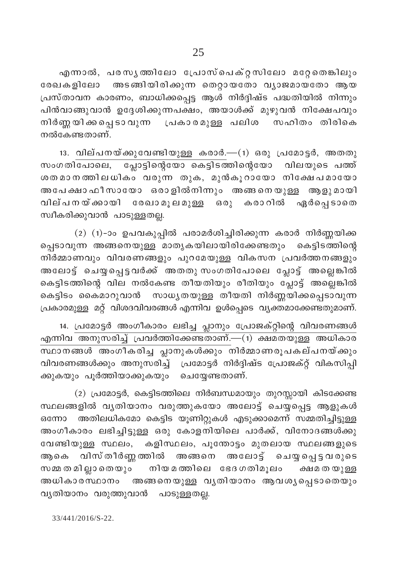എന്നാൽ, പരസൃത്തിലോ പ്രോസ്പെക്റ്റസിലോ മറ്റേതെങ്കിലും രേഖകളിലോ അടങ്ങിയിരിക്കുന്ന തെറ്റായതോ വ്യാജമായതോ ആയ പ്രസ്താവന കാരണം, ബാധിക്കപ്പെട്ട ആൾ നിർദ്ദിഷ്ട പദ്ധതിയിൽ നിന്നും പിൻവാങ്ങുവാൻ ഉദ്ദേശിക്കുന്നപക്ഷം, അയാൾക്ക് മുഴുവൻ നിക്ഷേപവും നിർണ്ണയിക്കപ്പെടാവുന്ന പ്രകാരമുള്ള പലിശ സഹിതം തിരികെ നൽകേണ്ടതാണ്.

13. വില്പനയ്ക്കുവേണ്ടിയുള്ള കരാർ.—(1) ഒരു പ്രമോട്ടർ, അതതു സംഗതിപോലെ, പ്ലോട്ടിന്റെയോ കെട്ടിടത്തിന്റെയോ വിലയുടെ പത്ത് ശതമാനത്തിലധികം വരുന്ന തുക, മുൻകൂറായോ നിക്ഷേപമായോ അപേക്ഷാ ഫീസായോ ഒരാളിൽനിന്നും അങ്ങനെയുള്ള ആളുമായി വില്പനയ്ക്കായി രേഖാമൂലമുള്ള ഒരു കരാറിൽ ഏർപ്പെടാതെ സ്വീകരിക്കുവാൻ പാടുള്ളതല്ല.

 $(2)$   $(1)$ -ാം ഉപവകുപ്പിൽ പരാമർശിച്ചിരിക്കുന്ന കരാർ നിർണ്ണയിക്ക പ്പെടാവുന്ന അങ്ങനെയുള്ള മാതൃകയിലായിരിക്കേണ്ടതും കെട്ടിടത്തിന്റെ .<br>നിർമ്മാണവും വിവരണങ്ങളും പുറമേയുള്ള വികസന പ്രവർത്തനങ്ങളും അലോട്ട് ചെയ്യപ്പെട്ടവർക്ക് അതതു സംഗതിപോലെ പ്ലോട്ട് അല്ലെങ്കിൽ കെട്ടിടത്തിന്റെ വില നൽകേണ്ട തീയതിയും രീതിയും പ്ലോട്ട് അല്ലെങ്കിൽ കെട്ടിടം കൈമാറുവാൻ സാധൃതയുള്ള തീയതി നിർണ്ണയിക്കപ്പെടാവുന്ന പ്രകാരമുള്ള മറ്റ് വിശദവിവരങ്ങൾ എന്നിവ ഉൾപ്പെടെ വ്യക്തമാക്കേണ്ടതുമാണ്.

14. പ്രമോട്ടർ അംഗീകാരം ലഭിച്ച പ്ലാനും പ്രോജക്റ്റിന്റെ വിവരണങ്ങൾ എന്നിവ അനുസരിച്ച് പ്രവർത്തിക്കേണ്ടതാണ്.—(1) ക്ഷമതയുള്ള അധികാര വിവരണങ്ങൾക്കും അനുസരിച്ച് പ്രമോട്ടർ നിർദ്ദിഷ്ട പ്രോജക്റ്റ് വികസിപ്പി ക്കുകയും പൂർത്തിയാക്കുകയും ചെയ്യേണ്ടതാണ്.

(2) പ്രമോട്ടർ, കെട്ടിടത്തിലെ നിർബന്ധമായും തുറസ്സായി കിടക്കേണ്ട സ്ഥലങ്ങളിൽ വൃതിയാനം വരുത്തുകയോ അലോട്ട് ചെയ്യപ്പെട്ട ആളുകൾ അതിലധികമോ കെട്ടിട യൂണിറ്റുകൾ എടുക്കാമെന്ന് സമ്മതിച്ചിട്ടുള്ള ഒന്നോ അംഗീകാരം ലഭിച്ചിട്ടുള്ള ഒരു കോളനിയിലെ പാർക്ക്, വിനോദങ്ങൾക്കു വേണ്ടിയുള്ള സ്ഥലം, കളിസ്ഥലം, പൂന്തോട്ടം മുതലായ സ്ഥലങ്ങളുടെ ആകെ വിസ്തീർണ്ണത്തിൽ അങ്ങനെ അലോട്ട് ചെയ്യപ്പെട്ടവരുടെ സമ്മ ത മി ല്ലാ തെയും നിയ മത്തിലെ ഭേദഗതിമൂലം ക്ഷമ ത യുള്ള അധികാരസ്ഥാനം അങ്ങനെയുള്ള വൃതിയാനം ആവശൃപ്പെടാതെയും വൃതിയാനം വരുത്തുവാൻ പാടുള്ളതല്ല.

33/441/2016/S-22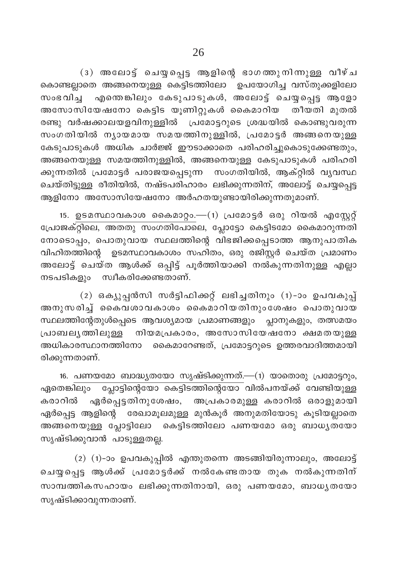(3) അലോട്ട് ചെയ്യപ്പെട്ട ആളിന്റെ ഭാഗത്തുനിന്നുള്ള വീഴ്ച കൊണ്ടല്ലാതെ അങ്ങനെയുള്ള കെട്ടിടത്തിലോ ഉപയോഗിച്ച വസ്തുക്കളിലോ സംഭവിച്ച എന്തെങ്കിലും കേടുപാടുകൾ, അലോട്ട് ചെയ്യപ്പെട്ട ആളോ അസോസിയേഷനോ കെട്ടിട യൂണിറ്റുകൾ കൈമാറിയ തീയതി മുതൽ രണ്ടു വർഷക്കാലയളവിനുള്ളിൽ പ്രമോട്ടറുടെ ശ്രദ്ധയിൽ കൊണ്ടുവരുന്ന സംഗതിയിൽ നൃായമായ സമയത്തിനുള്ളിൽ, പ്രമോട്ടർ അങ്ങനെയുള്ള കേടുപാടുകൾ അധിക ചാർജ്ജ് ഈടാക്കാതെ പരിഹരിച്ചുകൊടുക്കേണ്ടതും, അങ്ങനെയുള്ള സമയത്തിനുള്ളിൽ, അങ്ങനെയുള്ള കേടുപാടുകൾ പരിഹരി ക്കുന്നതിൽ പ്രമോട്ടർ പരാജയപ്പെടുന്ന സംഗതിയിൽ, ആക്റ്റിൽ വൃവസ്ഥ ചെയ്തി<u>ട്ടുള്ള</u> രീതിയിൽ, നഷ്ടപരിഹാരം ലഭിക്കുന്നതിന്, അലോട്ട് ചെയ്യപ്പെട്ട ആളിനോ അസോസിയേഷനോ അർഹതയുണ്ടായിരിക്കുന്നതുമാണ്.

15. ഉടമസ്ഥാവകാശ കൈമാറ്റം.—(1) പ്രമോട്ടർ ഒരു റിയൽ എസ്റ്റേറ്റ് പോജക്റ്റിലെ, അതതു സംഗതിപോലെ, പ്ലോട്ടോ കെട്ടിടമോ കൈമാറുന്നതി നോടൊപ്പം, പൊതുവായ സ്ഥലത്തിന്റെ വിഭജിക്കപ്പെടാത്ത ആനുപാതിക വിഹിതത്തിന്റെ ഉടമസ്ഥാവകാശം സഹിതം, ഒരു രജിസ്റ്റർ ചെയ്ത പ്രമാണം അലോട്ട് ചെയ്ത ആൾക്ക് ഒപ്പിട്ട് പൂർത്തിയാക്കി നൽകുന്നതിനുള്ള എല്ലാ നടപടികളും സ്വീകരിക്കേണ്ടതാണ്.

(2) ഒക്യൂപ്പൻസി സർട്ടിഫിക്കറ്റ് ലഭിച്ചതിനും (1)-ാം ഉപവകുപ്പ് അനുസരിച്ച് കൈവശാവകാശം കൈമാറിയതിനുംശേഷം പൊതുവായ സ്ഥലത്തിന്റേതുൾപ്പെടെ ആവശ്യമായ പ്രമാണങ്ങളും പ്ലാനുകളും, തത്സമയം പ്രാബലൃത്തിലുള്ള നിയമപ്രകാരം, അസോസിയേഷനോ ക്ഷമതയുള്ള അധികാരസ്ഥാനത്തിനോ കൈമാറേണ്ടത്, പ്രമോട്ടറുടെ ഉത്തരവാദിത്തമായി രിക്കുന്നതാണ്.

16. പണയമോ ബാദ്ധ്യതയോ സൃഷ്ടിക്കുന്നത്.—(1) യാതൊരു പ്രമോട്ടറും, ഏതെങ്കിലും പ്ലോട്ടിന്റെയോ കെട്ടിടത്തിന്റെയോ വിൽപനയ്ക്ക് വേണ്ടിയുള്ള കരാറിൽ ഏർപ്പെട്ടതിനുശേഷം, അപ്രകാരമുള്ള കരാറിൽ ഒരാളുമായി ഏർപ്പെട്ട ആളിന്റെ രേഖാമൂലമുള്ള മുൻകൂർ അനുമതിയോടു കൂടിയല്ലാതെ അങ്ങനെയുള്ള പ്ലോട്ടിലോ കെട്ടിടത്തിലോ പണയമോ ഒരു ബാധൃതയോ സൃഷ്ടിക്കുവാൻ പാടുള്ളതല്ല.

 $(2)$   $(1)$ -ാം ഉപവകുപ്പിൽ എന്തുതന്നെ അടങ്ങിയിരുന്നാലും, അലോട്ട് ചെയ്യപ്പെട്ട ആൾക്ക് പ്രമോട്ടർക്ക് നൽകേണ്ടതായ തുക നൽകുന്നതിന് സാമ്പത്തികസഹായം ലഭിക്കുന്നതിനായി, ഒരു പണയമോ, ബാധൃതയോ സൃഷ്ടിക്കാവുന്നതാണ്.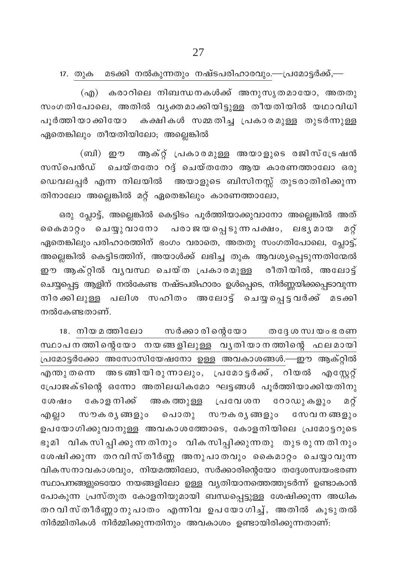17. തുക മടക്കി നൽകുന്നതും നഷ്ടപരിഹാരവും.—പ്രമോട്ടർക്ക്,—

(എ) കരാറിലെ നിബന്ധനകൾക്ക് അനുസൃതമായോ, അതതു സംഗതിപോലെ, അതിൽ വൃക്തമാക്കിയിട്ടുള്ള തീയതിയിൽ യഥാവിധി പൂർത്തിയാക്കിയോ കക്ഷികൾ സമ്മതിച്ച പ്രകാരമുള്ള തുടർന്നുള്ള ഏതെങ്കിലും തീയതിയിലോ; അല്ലെങ്കിൽ

(ബി) ഈ ആക്റ്റ് പ്രകാരമുള്ള അയാളുടെ രജിസ്ട്രേഷൻ സസ്പെൻഡ് ചെയ്തതോ റദ്ദ് ചെയ്തതോ ആയ കാരണത്താലോ ഒരു ഡെവലപ്പർ എന്ന നിലയിൽ അയാളുടെ ബിസിനസ്സ് തുടരാതിരിക്കുന്ന തിനാലോ അല്ലെങ്കിൽ മറ്റ് ഏതെങ്കിലും കാരണത്താലോ,

ഒരു പ്ലോട്ട്, അല്ലെങ്കിൽ കെട്ടിടം പൂർത്തിയാക്കുവാനോ അല്ലെങ്കിൽ അത് കൈമാറ്റം ചെയ്യുവാനോ പരാജയപ്പെടുന്നപക്ഷം, ലഭൃമായ മറ്റ് ഏതെങ്കിലും പരിഹാരത്തിന് ഭംഗം വരാതെ, അതതു സംഗതിപോലെ, പ്ലോട്ട്, .<br>അല്ലെങ്കിൽ കെട്ടിടത്തിന്, അയാൾക്ക് ലഭിച്ച തുക ആവശ്യപ്പെടുന്നതിന്മേൽ ഈ ആക്റ്റിൽ വൃവസ്ഥ ചെയ്ത പ്രകാരമുള്ള രീതിയിൽ, അലോട്ട് ചെയ്യപ്പെട്ട ആളിന് നൽകേണ്ട നഷ്ടപരിഹാരം ഉൾപ്പെടെ, നിർണ്ണയിക്കപ്പെടാവുന്ന നിരക്കിലുള്ള പലിശ സഹിതം അലോട്ട് ചെയ്യപ്പെട്ടവർക്ക് മടക്കി നൽകേണ്ടതാണ്.

സർക്കാരിന്റെയോ തദ്ദേശ സ്വയം ഭരണ 18. നിയ മത്തിലോ സ്ഥാപനത്തിന്റെയോ നയങ്ങളിലുള്ള വൃതിയാനത്തിന്റെ ഫലമായി പ്രമോട്ടർക്കോ അസോസിയേഷനോ ഉള്ള അവകാശങ്ങൾ.—ഈ ആക്റ്റിൽ എന്തുതന്നെ അടങ്ങിയിരുന്നാലും, പ്രമോട്ടർക്ക്, റിയൽ എസ്റ്റേറ്റ് പ്രോജക്ടിന്റെ ഒന്നോ അതിലധികമോ ഘട്ടങ്ങൾ പൂർത്തിയാക്കിയതിനു കോള നിക്ക് അകത്തുള്ള പ്രവേശന റോഡുകളും ശേഷം മറ്റ് എല്ലാ സൗകരൃങ്ങളും പൊതു സൗകരൃങ്ങളും സേവനങ്ങളും ഉപയോഗിക്കുവാനുള്ള അവകാശത്തോടെ, കോളനിയിലെ പ്രമോട്ടറുടെ ഭൂമി വികസിപ്പിക്കുന്നതിനും വികസിപ്പിക്കുന്നതു തുടരുന്നതിനും ശേഷിക്കുന്ന തറവിസ്തീർണ്ണ അനുപാതവും കൈമാറ്റം ചെയ്യാവുന്ന വികസനാവകാശവും, നിയമത്തിലോ, സർക്കാരിന്റെയോ തദ്ദേശസ്ഥയംഭരണ സ്ഥാപനങ്ങളുടെയോ നയങ്ങളിലോ ഉള്ള വ്യതിയാനത്തെത്തുടർന്ന് ഉണ്ടാകാൻ പോകുന്ന പ്രസ്തുത കോളനിയുമായി ബന്ധപ്പെട്ടുള്ള ശേഷിക്കുന്ന അധിക തറവിസ്തീർണ്ണാനുപാതം എന്നിവ ഉപയോഗിച്ച്, അതിൽ കൂടുതൽ നിർമ്മിതികൾ നിർമ്മിക്കുന്നതിനും അവകാശം ഉണ്ടായിരിക്കുന്നതാണ്: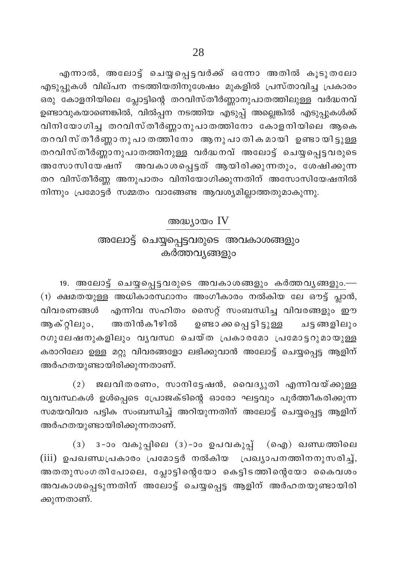എന്നാൽ, അലോട്ട് ചെയ്യപ്പെട്ടവർക്ക് ഒന്നോ അതിൽ കൂടുതലോ എടുപ്പുകൾ വില്പന നടത്തിയതിനുശേഷം മുകളിൽ പ്രസ്താവിച്ച പ്രകാരം ഒരു കോളനിയിലെ പ്ലോട്ടിന്റെ തറവിസ്തീർണ്ണാനുപാതത്തിലുള്ള വർദ്ധനവ് ഉണ്ടാവുകയാണെങ്കിൽ, വിൽപ്പന നടത്തിയ എടുപ്പ് അല്ലെങ്കിൽ എടുപ്പുകൾക്ക് വിനിയോഗിച്ച തറവിസ്തീർണ്ണാനുപാതത്തിനോ കോളനിയിലെ ആകെ തറവിസ് തീർണ്ണാ നു പാ തത്തിനോ ആനു പാ തിക മായി ഉണ്ടാ യിട്ടുള്ള തറവിസ്തീർണ്ണാനുപാതത്തിനുള്ള വർദ്ധനവ് അലോട്ട് ചെയ്യപ്പെട്ടവരുടെ അസോസിയേഷന് തറ വിസ്തീർണ്ണ അനുപാതം വിനിയോഗിക്കുന്നതിന് അസോസിയേഷനിൽ നിന്നും പ്രമോട്ടർ സമ്മതം വാങ്ങേണ്ട ആവശ്യമില്ലാത്തതുമാകുന്നു.

അദ്ധ്യായം IV

## അലോട്ട് ചെയ്യപ്പെട്ടവരുടെ അവകാശങ്ങളും കർത്തവ്യങ്ങളും

19. അലോട്ട് ചെയ്യപ്പെട്ടവരുടെ അവകാശങ്ങളും കർത്തവൃങ്ങളും.— (1) ക്ഷമതയുള്ള അധികാരസ്ഥാനം അംഗീകാരം നൽകിയ ലേ ഔട്ട് പ്ലാൻ, എന്നിവ സഹിതം സൈറ്റ് സംബന്ധിച്ച വിവരങ്ങളും ഈ വിവരണങ്ങൾ ആക്റ്റിലും, അതിൻകീഴിൽ ഉണ്ടാ ക്കപ്പെ ട്ടി ട്ടുള്ള ചട്ടങ്ങളിലും റഗുലേഷനുകളിലും വൃവസ്ഥ ചെയ്ത പ്രകാരമോ പ്രമോട്ടറുമായുള്ള കരാറിലോ ഉള്ള മറ്റു വിവരങ്ങളോ ലഭിക്കുവാൻ അലോട്ട് ചെയ്യപ്പെട്ട ആളിന് അർഹതയുണ്ടായിരിക്കുന്നതാണ്.

ജലവിതരണം, സാനിട്ടേഷൻ, വൈദ്യുതി എന്നിവയ്ക്കുള്ള  $(2)$ വ്യവസ്ഥകൾ ഉൾപ്പെടെ പ്രോജക്ടിന്റെ ഓരോ ഘട്ടവും പൂർത്തീകരിക്കുന്ന സമയവിവര പട്ടിക സംബന്ധിച്ച് അറിയുന്നതിന് അലോട്ട് ചെയ്യപ്പെട്ട ആളിന് അർഹതയുണ്ടായിരിക്കുന്നതാണ്.

3-ാം വകുപ്പിലെ (3)-ാം ഉപവകുപ്പ് (ഐ) ഖണ്ഡത്തിലെ  $(3)$ (iii) ഉപഖണ്ഡപ്രകാരം പ്രമോട്ടർ നൽകിയ പ്രഖ്യാപനത്തിനനുസരിച്ച്, അതതുസംഗതിപോലെ, പ്ലോട്ടിന്റെയോ കെട്ടിടത്തിന്റെയോ കൈവശ<mark>ം</mark> അവകാശപ്പെടുന്നതിന് അലോട്ട് ചെയ്യപ്പെട്ട ആളിന് അർഹതയുണ്ടായിരി ക്കുന്നതാണ്.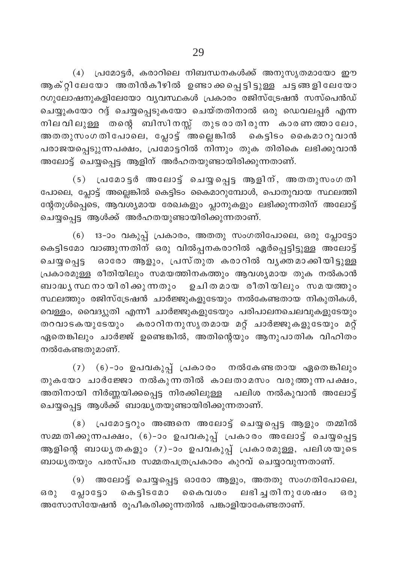$(4)$  പ്രമോട്ടർ, കരാറിലെ നിബന്ധനകൾക്ക് അനുസൃതമായോ ഈ ആക്റ്റിലേയോ അതിൻകീഴിൽ ഉണ്ടാക്കപ്പെട്ടിട്ടുള്ള ചട്ടങ്ങളിലേയോ റഗുലോഷനുകളിലേയോ വ്യവസ്ഥകൾ പ്രകാരം രജിസ്ട്രേഷൻ സസ്പെൻഡ് ചെയ്യുകയോ റദ്ദ് ചെയ്യപ്പെടുകയോ ചെയ്തതിനാൽ ഒരു ഡെവലപ്പർ എന്ന നിലവിലുളള തന്റെ ബിസിനസ്സ് തുടരാതിരുന്ന കാരണത്താലോ, അതതുസംഗതിപോലെ, പ്ലോട്ട് അല്ലെങ്കിൽ കെട്ടിടം കൈമാറുവാൻ പരാജയപ്പെടുുന്നപക്ഷം, പ്രമോട്ടറിൽ നിന്നും തുക തിരികെ ലഭിക്കുവാൻ അലോട്ട് ചെയ്യപ്പെട്ട ആളിന് അർഹതയുണ്ടായിരിക്കുന്നതാണ്.

 $(5)$  പ്രമോട്ടർ അലോട്ട് ചെയ്യപ്പെട്ട ആളിന്, അതതുസംഗതി പോലെ, പ്ലോട്ട് അല്ലെങ്കിൽ കെട്ടിടം കൈമാറുമ്പോൾ, പൊതുവായ സ്ഥലത്തി ന്റേതുൾപ്പെടെ, ആവശ്യമായ രേഖകളും പ്ലാനുകളും ലഭിക്കുന്നതിന് അലോട്ട് ചെയ്യപ്പെട്ട ആൾക്ക് അർഹതയുണ്ടായിരിക്കുന്നതാണ്.

 $(6)$  13-ാം വകുപ്പ് പ്രകാരം, അതതു സംഗതിപോലെ, ഒരു പ്ലോട്ടോ കെട്ടിഭമോ വാങ്ങുന്നതിന് ഒരു വിൽപ്പനകരാറിൽ ഏർപ്പെട്ടിട്ടുള്ള അ്ലോട്ട് ചെയ്യപ്പെട്ട ഓരോ ആളും, പ്രസ്തുത കരാറിൽ വൃക്തമാക്കിയിട്ടുള്ള (പകാരമുള്ള രീതിയിലും സമയത്തിനകത്തും ആവശ്യമായ തുക നൽകാൻ ബാദ്ധൃസ്ഥനായിരിക്കുന്നതും ഉചിതമായ രീതിയിലും സമയത്തും സ്ഥലത്തും രജിസ്ട്രേഷൻ ചാർജ്ജുകളുടേയും നൽകേണ്ടതായ നികുതികൾ, വെള്ളം, വൈദ്യുതി എന്നീ ചാർജ്ജുകളുടേയും പരിപാലനചെലവുകളുടേയും തറവാടകയുടേയും കരാറിനനുസൃതമായ മറ്റ് ചാർജ്ജുകളുടേയും മറ്റ് ഏതെങ്കിലും ചാർജ്ജ് ഉണ്ടെങ്കിൽ, അതിന്റെയും ആനുപാതിക വിഹിതം നൽകേണ്ടതുമാണ്.

(7)  $(6)$ -ാം ഉപവകുപ്പ് പ്രകാരം നൽകേണ്ടതായ ഏതെങ്കിലും തുകയോ ചാർജ്ജോ നൽകുന്നതിൽ കാലതാമസം വരുത്തുന്നപക്ഷം, അതിനായി നിർണ്ണയിക്കപ്പെട്ട നിരക്കിലുള്ള പലിശ നൽകുവാൻ അലോട്ട് ചെയ്യപ്പെട്ട ആൾക്ക് ബാദ്ധ്യതയുണ്ടായിരിക്കുന്നതാണ്.

(8) പ്രമോട്ടറും അങ്ങനെ അലോട്ട് ചെയ്യപ്പെട്ട ആളും തമ്മിൽ സമ്മതിക്കുന്നപക്ഷം, (6)-ാം ഉപവകുപ്പ് പ്രകാരം അലോട്ട് ചെയ്യപ്പെട്ട ആളിന്റെ ബാധൃതകളും (7)-ാം ഉപവകുപ്പ് പ്രകാരമുള്ള, പലിശയുടെ ബാധൃതയും പരസ്പര സമ്മതപത്രപ്രകാരം കുറവ് ചെയ്യാവുന്നതാണ്.

 $(9)$  അലോട്ട് ചെയ്യപ്പെട്ട ഓരോ ആളും, അതതു സംഗതിപോലെ, ഒരു പ്ലോട്ടോ കെട്ടിടമോ കൈവശം ലഭിച്ചതിനുശേഷം ഒരു അസോസിയേഷൻ രൂപീകരിക്കുന്നതിൽ പങ്കാളിയാകേണ്ടതാണ്.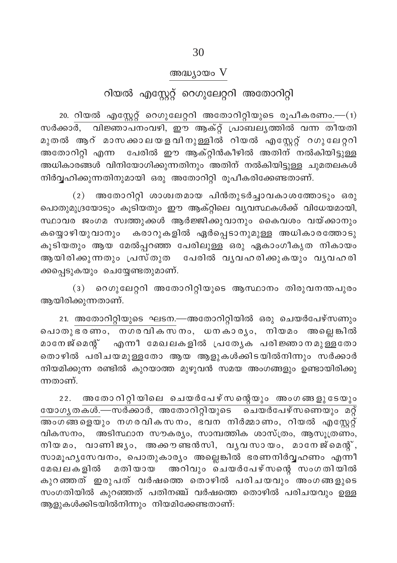#### അദ്ധ്യായം V

## റിയൽ എസ്കേറ്റ് റെഗുലേറ്ററി അതോറിറ്റി

 $20.$  റിയൽ എസ്റ്റേറ്റ് റെഗുലേറ്ററി അതോറിറ്റിയുടെ രൂപീകരണം.— $(1)$ സർക്കാർ, വിജ്ഞാപനംവഴി, ഈ ആക്റ്റ് പ്രാബലൃത്തിൽ വന്ന തീയതി മുതൽ ആറ് മാസക്കാലയളവിനുള്ളിൽ റിയൽ എസ്റ്റേറ്റ് റഗുലേറ്ററി അതോറിറ്റി എന്ന പേരിൽ ഈ ആക്റ്റിൻകീഴിൽ അതിന് നൽകിയിട്ടുള്ള അധികാരങ്ങൾ വിനിയോഗിക്കുന്നതിനും അതിന് നൽകിയിട്ടുള്ള ചുമതലകൾ നിർവ്വഹിക്കുന്നതിനുമായി ഒരു അതോറിറ്റി രൂപീകരിക്കേണ്ടതാണ്.

(2) അതോറിറ്റി ശാശ്വതമായ പിൻതുടർച്ചാവകാശത്തോടും ഒരു പൊതുമുദ്രയോടും കൂടിയതും ഈ ആക്റ്റിലെ വൃവസ്ഥകൾക്ക് വിധേയമായി, സ്ഥാവര ജംഗമ സ്വത്തുക്കൾ ആർജ്ജിക്കുവാനും കൈവശം വയ്ക്കാനും കയ്യൊഴിയുവാനും കരാറുകളിൽ ഏർപ്പെടാനുമുള്ള അധികാരത്തോടു കൂടിയതും ആയ മേൽപ്പറഞ്ഞ പേരിലുള്ള ഒരു ഏകാംഗീകൃത നികായം ആയിരിക്കുന്നതും പ്രസ്തുത പേരിൽ വൃവഹരിക്കുകയും വൃവഹരി ക്കപ്പെടുകയും ചെയ്യേണ്ടതുമാണ്.

(3) റെഗുലേറ്ററി അതോറിറ്റിയുടെ ആസ്ഥാനം തിരുവനന്തപുരം ആയിരിക്കുന്നതാണ്.

21. അതോറിറ്റിയുടെ ഘടന.—അതോറിറ്റിയിൽ ഒരു ചെയർപേഴ്സണും പൊതുഭരണം, നഗരവികസനം, ധനകാര്യം, നിയമം അല്ലെങ്കിൽ മാനേജ്മെന്റ് എന്നീ മേഖലകളിൽ പ്രത്യേക പരിജ്ഞാനമുള്ളതോ തൊഴിൽ പരിചയമുള്ളതോ ആയ ആളുകൾക്കിടയിൽനിന്നും സർക്കാർ നിയമിക്കുന്ന രണ്ടിൽ കുറയാത്ത മുഴുവൻ സമയ അംഗങ്ങളും ഉണ്ടായിരിക്കു ന്നതാണ്.

22. അതോറിറ്റിയിലെ ചെയർപേഴ്സന്റെയും അംഗങ്ങളുടേയും യോഗൃതകൾ.—സർക്കാർ, അതോറിറ്റിയുടെ ചെയർപേഴ്സണെയും മറ് വികസനം, അടിസ്ഥാന സൗകര്യം, സാമ്പത്തിക ശാസ്ത്രം, ആസൂത്രണം, നിയമം, വാണിജ്യം, അക്കൗണ്ടൻസി, വൃവസായം, മാനേജ്മെന്റ്, സാമൂഹ്യസേവനം, പൊതുകാര്യം അല്ലെങ്കിൽ ഭരണനിർവ്വഹണം എന്നീ മതിയായ അറിവും ചെയർപേഴ്സന്റെ സംഗതിയിൽ മേഖലകളിൽ കുറഞ്ഞത് ഇരുപത് വർഷത്തെ തൊഴിൽ പരിചയവും അംഗങ്ങളുടെ സംഗതിയിൽ കുറഞ്ഞത് പതിനഞ്ച് വർഷത്തെ തൊഴിൽ പരിചയവും ഉള്ള ആളുകൾക്കിടയിൽനിന്നും നിയമിക്കേണ്ടതാണ്: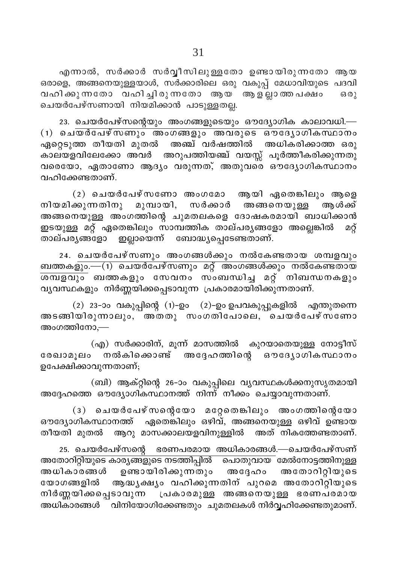23. ചെയർപേഴ്സന്റെയും അംഗങ്ങളുടെയും ഔദ്യോഗിക കാലാവധി.—  $(1)$  ചെയർപേഴ്സണും അംഗങ്ങളും അവരുടെ ഔദ്യോഗികസ്ഥാനം ഏറ്റെടുത്ത തീയതി മുതൽ അഞ്ച് വർഷത്തിൽ അധികരിക്കാത്ത ഒരു ്ക് റ്റ്ം<br>കാലയളവിലേക്കോ അവർ അറുപത്തിയഞ്ച് വയസ്സ് പൂർത്തീകരിക്കുന്നതു വരെയോ, ഏതാണോ ആദ്യം വരുന്നത്, അതുവരെ ഔദ്യോഗികസ്ഥാനം വഹിക്കേണ്ടതാണ്.

 $(2)$  ചെയർപേഴ്സണോ അംഗമോ ആയി ഏതെങ്കിലും ആളെ നിയമിക്കുന്നതിനു മുമ്പായി, സർക്കാർ അങ്ങനെയുള്ള അം ൾക്ക് അങ്ങനെയുള്ള അംഗത്തിന്റെ ചുമതലകളെ ദോഷകരമായി ബാധിക്കാൻ ഇടയുള്ള മറ്റ് ഏതെങ്കിലും സാമ്പത്തിക താല്പര്യങ്ങളോ അല്ലെങ്കിൽ മറ് താല്പര്യങ്ങളോ ഇല്ലായെന്ന് ബോദ്ധ്യപെടേണ്ടതാണ്.

24. ചെയർപേഴ്സണും അംഗങ്ങൾക്കും നൽകേണ്ടതായ ശമ്പളവു<mark>ം</mark> ബത്തകളും.—(1) ചെയർപേഴ്സണും മറ്റ് അംഗങ്ങൾക്കും നൽകേണ്ടതായ \_\_\_\_\_\_\_\_\_\_\_<br><u>ശമ്പളവു</u>ം ബത്തകളും സേവനം സംബന്ധിച്ച മറ്റ് നിബന്ധനകളും വൃവസ്ഥകളും നിർണ്ണയിക്കപ്പെടാവുന്ന പ്രകാരമായിരിക്കുന്നതാണ്.

 $(2)$  23-ാം വകുപ്പിന്റെ  $(1)$ -ഉം  $(2)$ -ഉം ഉപവകുപ്പുകളിൽ എന്തുതന്നെ അടങ്ങിയിരുന്നാലും, അതതു സംഗതിപോലെ, ചെയർപേഴ്സ്ണോ അംഗത്തിനോ,—

(എ) സർക്കാരിന്, മൂന്ന് മാസത്തിൽ കുറയാതെയുള്ള നോട്ടീസ് രേഖാമൂലം നൽകിക്കൊണ്ട് അദ്ദേഹത്തിന്റെ ഔദ്യോഗികസ്ഥാനം ഉപേക്ഷിക്കാവുന്നതാണ്;

(ബി) ആക്റ്റിന്റെ 26-ാം വകുപ്പിലെ വ്യവസ്ഥകൾക്കനുസൃതമായി<br>അദ്ദേഹത്തെ ഔദ്യോഗികസ്ഥാനത്ത് നിന്ന് നീക്കം ചെയ്യാവുന്നതാണ്.

(3) ചെയർപേഴ്സന്റെയോ മറ്റേതെങ്കിലും അംഗത്തിന്റെയോ ഔദ്യോഗികസ്ഥാനത്ത് ഏതെങ്കിലും ഒഴിവ്, അങ്ങനെയുള്ള ഒഴിവ് ഉണ്ടായ തീയതി മുതൽ ആറു മാസക്കാലയളവിനുള്ളിൽ അത് നികത്തേണ്ടതാണ്.

25. ചെയർപേഴ്സന്റെ ഭരണപരമായ അധികാരങ്ങൾ.—ചെയർപേഴ്സണ് അതോറിറ്റിയുടെ കാര്യങ്ങളുടെ നടത്തിപ്പിൽ പൊതുവായ മേൽനോട്ടത്തിനുള്ള അധികാരങ്ങൾ ഉണ്ടായിരിക്കുന്നതും അദ്ദേഹം അതോറിറ്റിയുടെ യോഗങ്ങളിൽ ആദ്ധ്യക്ഷ്യം വഹിക്കുന്നതിന് പുറമെ അതോറിറ്റിയുടെ നിർണ്ണയിക്കപ്പെടാവുന്ന പ്രകാരമുള്ള അങ്ങനെയുള്ള ഭരണപരമായ അധികാരങ്ങൾ \_ വിനിയോഗിക്കേണ്ടതും ചുമതലകൾ നിർവ്വഹിക്കേണ്ടതുമാണ്.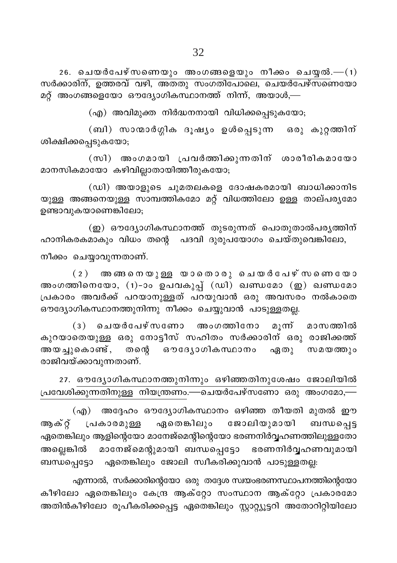$26.$  ചെയർപേഴ്സണെയും അംഗങ്ങളെയും നീക്കം ചെയ്യൽ.— $(1)$ സർക്കാരിന്, ഉത്തരവ് വഴി, അതതു സംഗതിപോലെ, ചെയർപേഴ്സണെയോ മറ്റ് അംഗങ്ങളെയോ ഔദ്യോഗികസ്ഥാനത്ത് നിന്ന്, അയാൾ,—

(എ) അവിമുക്ത നിർദ്ധനനായി വിധിക്കപ്പെടുകയോ;

(ബി) സാന്മാർഗ്ഗിക ദൂഷ്യം ഉൾപ്പെടുന്ന ഒരു കുറ്റത്തിന് ശിക്ഷിക്കപ്പെടുകയോ;

(സി) അംഗമായി പ്രവർത്തിക്കുന്നതിന് ശാരീരികമായോ മാനസികമായോ കഴിവില്ലാതായിത്തീരുകയോ;

(ഡി) അയാളുടെ ചുമതലകളെ ദോഷകരമായി ബാധിക്കാനിട യുള്ള അങ്ങനെയുള്ള സാമ്പത്തികമോ മറ്റ് വിധത്തിലോ ഉള്ള താല്പര്യമോ ഉണ്ടാവുകയാണെങ്കിലോ;

(ഇ) ഔദ്യോഗികസ്ഥാനത്ത് തുടരുന്നത് പൊതുതാൽപര്യത്തിന് ഹാനികരകമാകും വിധം തന്റെ പദവി ദുരുപയോഗം ചെയ്തുവെങ്കിലോ,

നീക്കം ചെയ്യാവുന്നതാണ്.

 $(2)$  അനങ്ങനെയുള്ള യാതൊരു ചെയർപേഴ്സണെയോ അംഗത്തിനെയോ, (1)-ാം ഉപവകുപ്പ് (ഡി) ഖണ്ഡമോ (ഇ) ഖണ്ഡമോ പ്രകാരം അവർക്ക് പറയാനുള്ളത് പറയുവാൻ ഒരു അവസരം നൽകാതെ ഔദ്യോഗികസ്ഥാനത്തുനിന്നു നീക്കം ചെയ്യുവാൻ പാടുള്ളതല്ല.

(3) ചെയർപേഴ്സണോ അംഗത്തിനോ മുന് മാസത്തിൽ കുറയാതെയുള്ള ഒരു നോട്ടീസ് സഹിതം സർക്കാരിന് ഒരു രാജിക്കത്ത് അയച്ചുകൊണ്ട്, തന്റെ ഔദ്യോഗികസ്ഥാനം ഏതു സമയത്തും രാജിവയ്ക്കാവുന്നതാണ്.

27. ഔദ്യോഗികസ്ഥാനത്തുനിന്നും ഒഴിഞ്ഞതിനുശേഷം ജോലിയിൽ പ്രവേശിക്കുന്നതിനുള്ള നിയന്ത്രണം.—ചെയർപേഴ്സണോ ഒരു അംഗമോ,—

(എ) അദ്ദേഹം ഔദ്യോഗികസ്ഥാനം ഒഴിഞ്ഞ തീയതി മുതൽ ഈ ഏതെങ്കിലും ജോലിയുമായി ബന്ധപ്പെട്ട ആക്റ്റ് പ്രകാരമുള്ള .<br>ഏതെങ്കിലും ആളിന്റെയോ മാനേജ്മെന്റിന്റെയോ ഭരണനിർവ്വഹണത്തിലുള്ളതോ .<br>അല്ലെങ്കിൽ മാനേജ്മെന്റുമായി ബന്ധപ്പെട്ടോ ഭരണനിർവ്വഹണവുമായി ബന്ധപെട്ടോ ഏതെങ്കിലും ജോലി സ്വീകരിക്കുവാൻ പാടുള്ളതല്ല:

എന്നാൽ, സർക്കാരിന്റെയോ ഒരു തദ്ദേശ സ്വയംഭരണസ്ഥാപനത്തിന്റെയോ കീഴിലോ ഏതെങ്കിലും കേന്ദ്ര ആക്റ്റോ സംസ്ഥാന ആക്റ്റോ പ്രകാരമോ അതിൻകീഴിലോ രൂപീകരിക്കപ്പെട്ട ഏതെങ്കിലും സ്റ്റാറ്റ്യൂട്ടറി അതോറിറ്റിയിലോ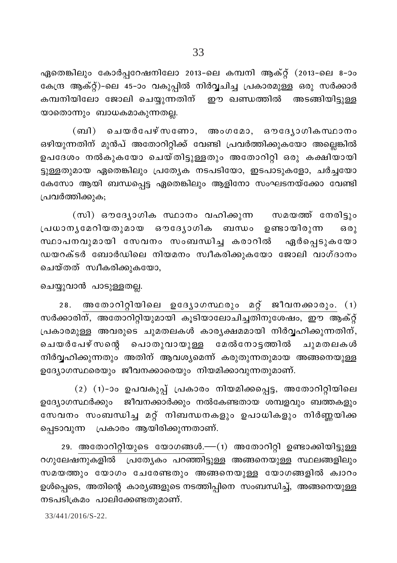ഏതെങ്കിലും കോർപ്പറേഷനിലോ 2013-ലെ കമ്പനി ആക്റ്റ് (2013-ലെ 8-ാം കേന്ദ്ര ആക്റ്റ്)-ലെ 45-ാം വകുപ്പിൽ നിർവ്വചിച്ച പ്രകാരമുള്ള ഒരു സർക്കാർ കമ്പനിയിലോ ജോലി ചെയ്യുന്നതിന് ഈ ഖണ്ഡത്തിൽ അടങ്ങിയിട്ടുള്ള യാതൊന്നും ബാധകമാകുന്നതല്ല.

(ബി) ചെയർപേഴ്സണോ, അംഗമോ, ഔദ്യോഗികസ്ഥാനം ഒഴിയുന്നതിന് മുൻപ് അതോറിറ്റിക്ക് വേണ്ടി പ്രവർത്തിക്കുകയോ അല്ലെങ്കിൽ ഉപദേശം നൽകുകയോ ചെയ്തിട്ടുള്ളതും അതോറിറ്റി ഒരു കക്ഷിയായി ട്ടുള്ളതുമായ ഏതെങ്കിലും പ്രത്യേക നടപടിയോ, ഇടപാടുകളോ, ചർച്ചയോ കേസോ ആയി ബന്ധപ്പെട്ട ഏതെങ്കിലും ആളിനോ സംഘടനയ്ക്കോ വേണ്ടി പ്രവർത്തിക്കുക;

(സി) ഔദ്യോഗിക സ്ഥാനം വഹിക്കുന്ന സമയത്ത് നേരിട്ടും പ്രധാന്യമേറിയതുമായ ഔദ്യോഗിക ബന്ധം ഉണ്ടായിരുന്ന  $6301$ സ്ഥാപനവുമായി സേവനം സംബന്ധിച്ച കരാറിൽ ഏർപ്പെടുകയോ ഡയറക്ടർ ബോർഡിലെ നിയമനം സ്വീകരിക്കുകയോ ജോലി വാഗ്ദാനം ചെയ്തത് സ്വീകരിക്കുകയോ,

#### ചെയ്യുവാൻ പാടുള്ളതല്ല.

28. അതോറിറ്റിയിലെ ഉദ്യോഗസ്ഥരും മറ്റ് ജീവനക്കാരും. (1) സർക്കാരിന്, അതോറിറ്റിയുമായി കൂടിയാലോചിച്ചതിനുശേഷം, ഈ ആക്റ്റ് പ്രകാരമുള്ള അവരുടെ ചുമതലകൾ കാര്യക്ഷമമായി നിർവ്വഹിക്കുന്നതിന്, ചെയർപേഴ്സന്റെ പൊതുവായുള്ള മേൽനോട്ടത്തിൽ ചുമതലകൾ നിർവ്വഹിക്കുന്നതും അതിന് ആവശ്യമെന്ന് കരുതുന്നതുമായ അങ്ങനെയുള്ള ഉദ്യോഗസ്ഥരെയും ജീവനക്കാരെയും നിയമിക്കാവുന്നതുമാണ്.

(2) (1)-ാം ഉപവകുപ്പ് പ്രകാരം നിയമിക്കപ്പെട്ട, അതോറിറ്റിയിലെ ഉദ്യോഗസ്ഥർക്കും ജീവനക്കാർക്കും നൽകേണ്ടതായ ശമ്പളവും ബത്തകളും സേവനം സംബന്ധിച്ച മറ്റ് നിബന്ധനകളും ഉപാധികളും നിർണ്ണയിക്ക പ്പെടാവുന്ന പ്രകാരം ആയിരിക്കുന്നതാണ്.

29. അതോറിറ്റിയുടെ യോഗങ്ങൾ.—(1) അതോറിറ്റി ഉണ്ടാക്കിയിട്ടുള്ള റഗുലേഷനുകളിൽ പ്രത്യേകം പറഞ്ഞിട്ടുള്ള അങ്ങനെയുള്ള സ്ഥലങ്ങളിലും സമയത്തും യോഗം ചേരേണ്ടതും അങ്ങനെയുള്ള യോഗങ്ങളിൽ ക്വാറം ഉൾപ്പെടെ, അതിന്റെ കാര്യങ്ങളുടെ നടത്തിപ്പിനെ സംബന്ധിച്ച്, അങ്ങനെയുള്ള നടപടിക്രമം പാലിക്കേണ്ടതുമാണ്.

 $33/441/2016/S - 22$ .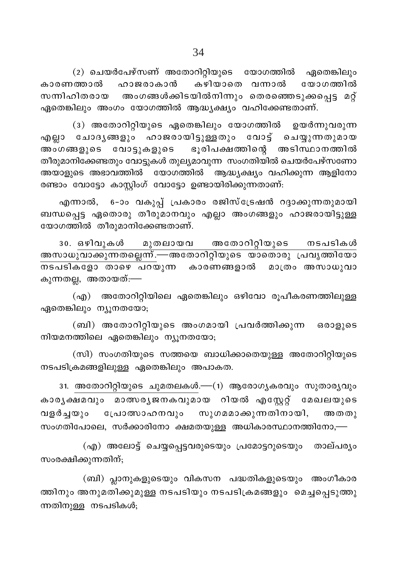(2) ചെയർപേഴ്സണ് അതോറിറ്റിയുടെ യോഗത്തിൽ ഏതെങ്കിലും കാരണത്താൽ ഹാജരാകാൻ കഴിയാതെ വന്നാൽ യോഗത്തിൽ അംഗങ്ങൾക്കിടയിൽനിന്നും തെരഞ്ഞെടുക്കപ്പെട്ട മറ്റ് സന്നിഹിതരായ ഏതെങ്കിലും അംഗം യോഗത്തിൽ ആദ്ധ്യക്ഷ്യം വഹിക്കേണ്ടതാണ്.

(3) അതോറിറ്റിയുടെ ഏതെങ്കിലും യോഗത്തിൽ ഉയർന്നുവരുന്ന എല്ലാ ചോദൃങ്ങളും ഹാജരായിട്ടുള്ളതും വോട്ട് ചെയ്യുന്നതുമായ അംഗങ്ങളുടെ വോട്ടുകളുടെ ഭൂരിപക്ഷത്തിന്റെ അടിസ്ഥാനത്തിൽ തീരുമാനിക്കേണ്ടതും വോട്ടുകൾ തുല്യമാവുന്ന സംഗതിയിൽ ചെയർപേഴ്സണോ അയാളുടെ അഭാവത്തിൽ യോഗത്തിൽ ആദ്ധ്യക്ഷ്യം വഹിക്കുന്ന ആളിനോ രണ്ടാം വോട്ടോ കാസ്റ്റിംഗ് വോട്ടോ ഉണ്ടായിരിക്കുന്നതാണ്:

എന്നാൽ, 6-ാം വകുപ്പ് പ്രകാരം രജിസ്ട്രേഷൻ റദ്ദാക്കുന്നതുമായി ബന്ധപ്പെട്ട ഏതൊരു തീരുമാനവും എല്ലാ അംഗങ്ങളും ഹാജരായിട്ടുള്ള യോഗത്തിൽ തീരുമാനിക്കേണ്ടതാണ്.

30. ഒഴിവുകൾ മുതലായവ അതോറിറ്റിയുടെ നടപടികൾ അസാധുവാക്കുന്നതല്ലെന്ന്.—അതോറിറ്റിയുടെ യാതൊരു പ്രവൃത്തിയോ കുന്നതല്ല, അതായത്:—

(എ) അതോറിറ്റിയിലെ ഏതെങ്കിലും ഒഴിവോ രൂപീകരണത്തിലുള്ള ഏതെങ്കിലും ന്യൂനതയോ;

(ബി) അതോറിറ്റിയുടെ അംഗമായി പ്രവർത്തിക്കുന്ന ഒരാളുടെ നിയമനത്തിലെ ഏതെങ്കിലും ന്യൂനതയോ;

(സി) സംഗതിയുടെ സത്തയെ ബാധിക്കാതെയുള്ള അതോറിറ്റിയുടെ നടപടിക്രമങ്ങളിലുള്ള ഏതെങ്കിലും അപാകത.

31. അതോറിറ്റിയുടെ ചുമതലകൾ.—(1) ആരോഗ്യകരവും സുതാര്യവും കാരൃക്ഷമവും മാത്സരൃജനകവുമായ റിയൽ എസ്റ്റേറ്റ് മേഖലയുടെ വളർച്ചയും പ്രോത്സാഹനവും സുഗമമാക്കുന്നതിനായി, അതതു സംഗതിപോലെ, സർക്കാരിനോ ക്ഷമതയുള്ള അധികാരസ്ഥാനത്തിനോ,—

(എ) അലോട്ട് ചെയ്യപ്പെട്ടവരുടെയും പ്രമോട്ടറുടെയും താല്പര്യം സംരക്ഷിക്കുന്നതിന്;

(ബി) പ്ലാനുകളുടെയും വികസന പദ്ധതികളുടെയും അംഗീകാര ത്തിനും അനുമതിക്കുമുള്ള നടപടിയും നടപടിക്രമങ്ങളും മെച്ചപ്പെടുത്തു ന്നതിനുള്ള നടപടികൾ;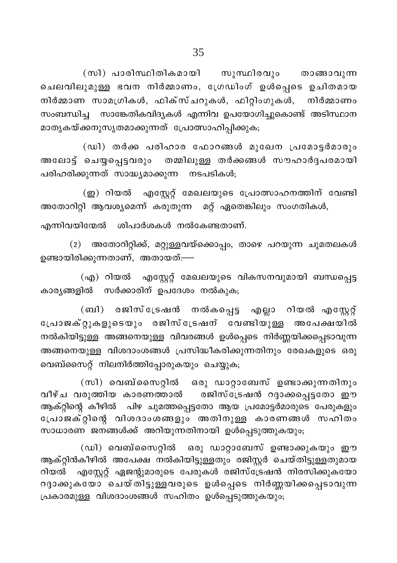(സി) പാരിസ്ഥിതികമായി സുസ്ഥിരവും താങ്ങാവുന്ന ചെലവിലുമുള്ള ഭവന നിർമ്മാണം, ഗ്രേഡിംഗ് ഉൾപ്പെടെ ഉചിതമായ നിർമ്മാണ സാമഗ്രികൾ, ഫിക്സ്ചറുകൾ, ഫിറ്റിംഗുകൾ, നിർമ്മാണം സംബന്ധിച്ച സാങ്കേതികവിദ്യകൾ എന്നിവ ഉപയോഗിച്ചുകൊണ്ട് അടിസ്ഥാന മാതൃകയ്ക്കനുസൃതമാക്കുന്നത് പ്രോത്സാഹിപ്പിക്കുക;

(ഡി) തർക്ക പരിഹാര ഫോറങ്ങൾ മുഖേന പ്രമോട്ടർമാരും അലോട്ട് ചെയ്യപ്പെട്ടവരും തമ്മിലുള്ള തർക്കങ്ങൾ സൗഹാർദ്ദപരമായി പരിഹരിക്കുന്നത് സാദ്ധ്യമാക്കുന്ന നടപടികൾ;

(ഇ) റിയൽ എസ്റ്റേറ്റ് മേഖലയുടെ പ്രോത്സാഹനത്തിന് വേണ്ടി അതോറിറ്റി ആവശ്യമെന്ന് കരുതുന്ന മറ്റ് ഏതെങ്കിലും സംഗതികൾ,

എന്നിവയിന്മേൽ ശിപാർശകൾ നൽകേണ്ടതാണ്.

(2) അതോറിറ്റിക്ക്, മറ്റുള്ളവയ്ക്കൊപ്പം, താഴെ പറയുന്ന ചുമതലകൾ ഉണ്ടായിരിക്കുന്നതാണ്, അതായത്:—

(എ) റിയൽ എസ്റ്റേറ്റ് മേഖലയുടെ വികസനവുമായി ബന്ധപ്പെട്ട കാര്യങ്ങളിൽ സർക്കാരിന് ഉപദേശം നൽകുക;

(ബി) രജിസ്ട്രേഷൻ നൽകപ്പെട്ട എല്ലാ റിയൽ എസ്റ്റേറ്റ് പ്രോജക്റ്റുകളുടെയും രജിസ്ട്രേഷന് വേണ്ടിയുള്ള അപേക്ഷയിൽ നൽകിയിട്ടുള്ള അങ്ങനെയുള്ള വിവരങ്ങൾ ഉൾപ്പെടെ നിർണ്ണയിക്കപ്പെടാവുന്ന അങ്ങനെയുള്ള വിശദാംശങ്ങൾ പ്രസിദ്ധീകരിക്കുന്നതിനും രേഖകളുടെ ഒരു വെബ്സൈറ്റ് നിലനിർത്തിപ്പോരുകയും ചെയ്യുക;

(സി) വെബ്സൈറ്റിൽ ഒരു ഡാറ്റാബേസ് ഉണ്ടാക്കുന്നതിനും .<br>വീഴ്ച വരുത്തിയ കാരണത്താൽ രജിസ്ട്രേഷൻ റദ്ദാക്കപ്പെട്ടതോ ഈ ആക്റ്റിന്റെ കീഴിൽ പിഴ ചുമത്തപ്പെട്ടതോ ആയ പ്രമോട്ടർമാരുടെ പേരുകളും പോജക്റ്റിന്റെ വിശദാംശങ്ങളും അതിനുള്ള കാരണങ്ങൾ സഹിതം സാധാരണ ജനങ്ങൾക്ക് അറിയുന്നതിനായി ഉൾപ്പെടുത്തുകയും;

(ഡി) വെബ്സൈറ്റിൽ ഒരു ഡാറ്റാബേസ് ഉണ്ടാക്കുകയും ഈ ആക്റ്റിൻകീഴിൽ അപേക്ഷ നൽകിയിട്ടുള്ളതും രജിസ്റ്റർ ചെയ്തിട്ടുള്ളതുമായ റിയൽ എസ്റ്റേറ്റ് ഏജന്റുമാരുടെ പേരുകൾ രജിസ്ട്രേഷൻ നിരസിക്കുകയോ റദ്ദാക്കുകയോ ചെയ്തിട്ടുള്ളവരുടെ ഉൾപ്പെടെ നിർണ്ണയിക്കപ്പെടാവുന്ന പ്രകാരമുള്ള വിശദാംശങ്ങൾ സഹിതം ഉൾപ്പെടുത്തുകയും;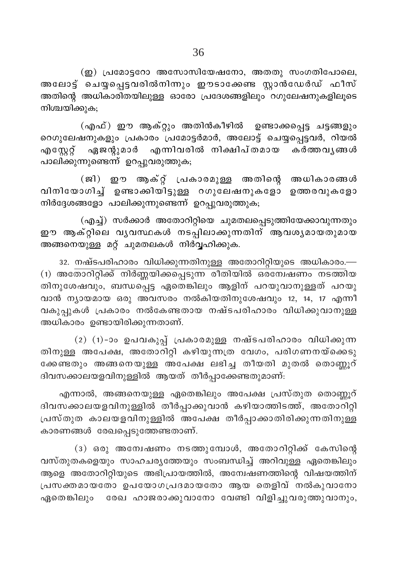$\Omega$ ) പ്രമോട്ടറോ അസോസിയേഷനോ, അതതു സംഗതിപോലെ, അലോട്ട് ചെയ്യപ്പെട്ടവരിൽനിന്നും ഈടാക്കേണ്ട സ്റ്റാൻഡേർഡ് ഫീസ് അതിന്റെ അധികാരിതയിലുള്ള ഓരോ പ്രദേശങ്ങളിലും റഗുലേഷനുകളിലൂടെ നിശ്ചയിക്കുക;

(എഫ്) ഈ ആക്റ്റും അതിൻകീഴിൽ ഉണ്ടാക്കപ്പെട്ട ചട്ടങ്ങളും റെഗുലേഷനുകളും പ്രകാരം പ്രമോട്ടർമാർ, അലോട്ട് ചെയ്യപ്പെട്ടവർ, റിയൽ ഏജന്റുമാർ എന്നിവരിൽ നിക്ഷിപ്തമായ കർത്തവൃങ്ങൾ എസ്റ്റേറ്റ് പാലിക്കുന്നുണ്ടെന്ന് ഉറപ്പുവരുത്തുക;

(ജി) ഈ ആക്റ്റ് പ്രകാരമുള്ള അതിന്റെ അധികാരങ്ങൾ വിനിയോഗിച്ച് ഉണ്ടാക്കിയിട്ടുള്ള റഗുലേഷനുകളോ ഉത്തരവുകളോ നിർദ്ദേശങ്ങളോ പാലിക്കുന്നുണ്ടെന്ന് ഉറപ്പുവരുത്തുക;

(എച്ച്) സർക്കാർ അതോറിറ്റിയെ ചുമതലപ്പെടുത്തിയേക്കാവുന്നതും ഈ ആക്റ്റിലെ വൃവസ്ഥകൾ നടപ്പിലാക്കുന്നതിന് ആവശ്യമായതുമായ അങ്ങനെയുള്ള മറ്റ് ചുമതലകൾ നിർവ്വഹിക്കുക.

32. നഷ്ടപരിഹാരം വിധിക്കുന്നതിനുള്ള അതോറിറ്റിയുടെ അധികാരം.— (1) അതോറിറ്റിക്ക് നിർണ്ണയിക്കപ്പെടുന്ന രീതിയിൽ ഒരമ്പേഷണം നടത്തിയ തിനുശേഷവും, ബന്ധപ്പെട്ട ഏതെങ്കിലും ആളിന് പറയുവാനുള്ളത് പറയു വാൻ ന്യായമായ ഒരു അവസരം നൽകിയതിനുശേഷവും 12, 14, 17 എന്നീ വകുപ്പുകൾ പ്രകാരം നൽകേണ്ടതായ നഷ്ടപരിഹാരം വിധിക്കുവാനുള്ള അധികാരം ഉണ്ടായിരിക്കുന്നതാണ്.

(2) (1)-ാം ഉപവകുപ്പ് പ്രകാരമുള്ള നഷ്ടപരിഹാരം വിധിക്കുന്ന തിനുള്ള അപേക്ഷ, അതോറിറ്റി കഴിയുന്നത്ര വേഗം, പരിഗണനയ്കെെടു ക്കേണ്ടതും അങ്ങനെയുള്ള അപേക്ഷ ലഭിച്ച തീയതി മുതൽ തൊണ്ണൂറ് ദിവസക്കാലയളവിനുള്ളിൽ ആയത് തീർപ്പാക്കേണ്ടതുമാണ്:

എന്നാൽ, അങ്ങനെയുള്ള ഏതെങ്കിലും അപേക്ഷ പ്രസ്തുത തൊണ്ണൂറ് ദിവസക്കാലയളവിനുള്ളിൽ തീർപ്പാക്കുവാൻ കഴിയാത്തിടത്ത്, അതോറിറ്റി പ്രസ്തുത കാലയളവിനുള്ളിൽ അപേക്ഷ തീർപ്പാക്കാതിരിക്കുന്നതിനുള്ള കാരണങ്ങൾ രേഖപ്പെടുത്തേണ്ടതാണ്.

(3) ഒരു അന്വേഷണം നടത്തുമ്പോൾ, അതോറിറ്റിക്ക് കേസിന്റെ വസ്തുതകളെയും സാഹചര്യത്തേയും സംബന്ധിച്ച് അറിവുള്ള ഏതെങ്കിലും ആളെ അതോറിറ്റിയുടെ അഭിപ്രായത്തിൽ, അന്വേഷണത്തിന്റെ വിഷയത്തിന് പ്രസക്തമായതോ ഉപയോഗപ്രദമായതോ ആയ തെളിവ് നൽകുവാനോ ഏതെങ്കിലും രേഖ ഹാജരാക്കുവാനോ വേണ്ടി വിളിച്ചുവരുത്തുവാനും,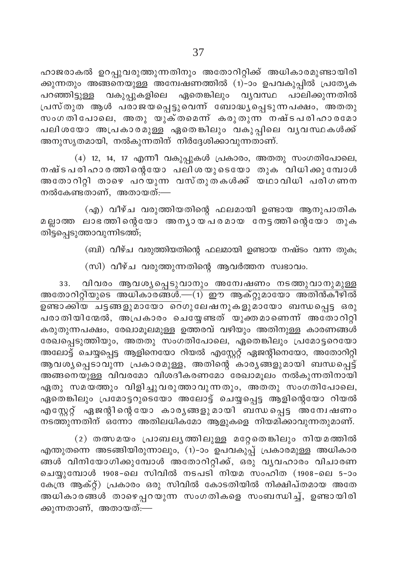ഹാജരാകൽ ഉറപ്പുവരുത്തുന്നതിനും അതോറിറ്റിക്ക് അധികാരമുണ്ടായിരി ക്കുന്നതും അങ്ങനെയുള്ള അന്വേഷണത്തിൽ (1)-ാം ഉപവകുപ്പിൽ പ്രത്യേക പറഞ്ഞിട്ടുള്ള വകുപ്പുകളിലെ ഏതെങ്കിലും വൃവസ്ഥ പാലിക്കുന്നതിൽ പ്രസ്തുത ആൾ പരാജയപ്പെട്ടുവെന്ന് ബോദ്ധ്യപ്പെടുന്നപക്ഷം, അതതു സംഗതിപോലെ, അതു യുക്തമെന്ന് കരുതുന്ന നഷ്ടപരിഹാരമോ പലിശയോ അപ്രകാരമുള്ള ഏതെങ്കിലും വകുപ്പിലെ വൃവസ്ഥകൾക്ക് അനുസൃതമായി, നൽകുന്നതിന് നിർദ്ദേശിക്കാവുന്നതാണ്.

 $(4)$  12, 14, 17 എന്നീ വകുപ്പുകൾ പ്രകാരം, അതതു സംഗതിപോലെ, നഷ്ടപരിഹാരത്തിന്റെയോ പലിശയുടെയോ തുക വിധിക്കുമ്പോൾ അതോറിറ്റി താഴെ പറയുന്ന വസ്തുതകൾക്ക് യഥാവിധി പരിഗണന നൽകേണ്ടതാണ്, അതായത്:—

(എ) വീഴ്ച വരുത്തിയതിന്റെ ഫലമായി ഉണ്ടായ ആനുപാതിക മല്ലാത്ത ലാഭത്തിന്റെയോ അന്യായപരമായ നേട്ടത്തിന്റെയോ തുക തിട്ടപ്പെടുത്താവുന്നിടത്ത്;

(ബി) വീഴ്ച വരുത്തിയതിന്റെ ഫലമായി ഉണ്ടായ നഷ്ടം വന്ന തുക;

(സി) വീഴ്ച വരുത്തുന്നതിന്റെ ആവർത്തന സ്വഭാവം.

വിവരം ആവശൃപ്പെടുവാനും അന്വേഷണം നടത്തുവാനുമുള്ള 33. അതോറിറ്റിയുടെ അധികാരങ്ങൾ.—(1) ഈ ആക്റ്റുമായോ അതിൻകീഴിൽ പരാതിയിന്മേൽ, അപ്രകാരം ചെയ്യേണ്ടത് യുക്തമാണെന്ന് അതോറിറ്റി കരുതുന്നപക്ഷം, രേഖാമൂലമുള്ള ഉത്തരവ് വഴിയും അതിനുള്ള കാരണങ്ങൾ രേഖപ്പെടുത്തിയും, അതതു സംഗതിപോലെ, ഏതെങ്കിലും പ്രമോട്ടറെയോ അലോട്ട് ചെയ്യപ്പെട്ട ആളിനെയോ റിയൽ എസ്റ്റേറ്റ് ഏജന്റിനെയോ, അതോറിറ്റി ആവശ്യപ്പെടാവുന്ന പ്രകാരമുള്ള, അതിന്റെ കാര്യങ്ങളുമായി ബന്ധപ്പെട്ട് അങ്ങനെയുള്ള വിവരമോ വിശദീകരണമോ രേഖാമൂലം നൽകുന്നതിനായി ഏതു സമയത്തും വിളിച്ചുവരുത്താവുന്നതും, അതതു സംഗതിപോലെ, ഏതെങ്കിലും പ്രമോട്ടറുടെയോ അലോട്ട് ചെയ്യപ്പെട്ട ആളിന്റെയോ റിയൽ എസ്റ്റേറ്റ് ഏജന്റിന്റെയോ കാര്യങ്ങളുമായി ബന്ധപ്പെട്ട അന്വേഷണം നടത്തുന്നതിന് ഒന്നോ അതിലധികമോ ആളുകളെ നിയമിക്കാവുന്നതുമാണ്.

(2) തത്സമയം പ്രാബലൃത്തിലുള്ള മറ്റേതെങ്കിലും നിയമത്തിൽ എന്തുതന്നെ അടങ്ങിയിരുന്നാലും, (1)-ാം ഉപവകുപ്പ് പ്രകാരമുള്ള അധികാര ങ്ങൾ വിനിയോഗിക്കുമ്പോൾ അതോറിറ്റിക്ക്, ഒരു വൃവഹാരം വിചാരണ ചെയ്യുമ്പോൾ 1908-ലെ സിവിൽ നടപടി നിയമ സംഹിത (1908-ലെ 5-ാം കേന്ദ്ര ആക്റ്റ്) പ്രകാരം ഒരു സിവിൽ കോടതിയിൽ നിക്ഷിപ്തമായ അതേ അധികാരങ്ങൾ താഴെപ്പറയുന്ന സംഗതികളെ സംബന്ധിച്ച്, ഉണ്ടായിരി ക്കുന്നതാണ്, അതായത്:—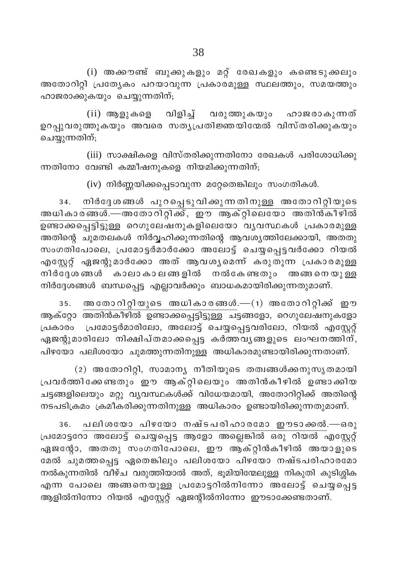(i) അക്കൗണ്ട് ബുക്കുകളും മറ്റ് രേഖകളും കണ്ടെടുക്കലും അതോറിറ്റി പ്രത്യേകം പറയാവുന്ന പ്രകാരമുള്ള സ്ഥലത്തും, സമയത്തും ഹാജരാക്കുകയും ചെയ്യുന്നതിന്;

(ii) ആളുകളെ വിളിച്ച് വരുത്തുകയും ഹാജരാകുന്നത് ഉറപ്പുവരുത്തുകയും അവരെ സതൃപ്രതിജ്ഞയിന്മേൽ വിസ്തരിക്കുകയും ചെയ്യുന്നതിന്;

(iii) സാക്ഷികളെ വിസ്തരിക്കുന്നതിനോ രേഖകൾ പരിശോധിക്കു ന്നതിനോ വേണ്ടി കമ്മീഷനുകളെ നിയമിക്കുന്നതിന്;

 $(iv)$  നിർണ്ണയിക്കപ്പെടാവുന്ന മറ്റേതെങ്കിലും സംഗതികൾ.

നിർദ്ദേശങ്ങൾ പുറപ്പെടുവിക്കുന്നതിനുള്ള അതോറിറ്റിയുടെ 34. അധികാരങ്ങൾ.—അതോറിറ്റിക്ക്, ഈ ആക്റ്റിലെയോ അതിൻകീഴിൽ അതിന്റെ ചുമതലകൾ നിർവ്വഹിക്കുന്നതിന്റെ ആവശ്യത്തിലേക്കായി, അതതു സംഗതിപോലെ, പ്രമോട്ടർമാർക്കോ അലോട്ട് ചെയ്യപ്പെട്ടവർക്കോ റിയൽ എസ്റ്റേറ്റ് ഏജന്റുമാർക്കോ അത് ആവശൃമെന്ന് കരുതുന്ന പ്രകാരമുള്ള നിർദ്ദേശങ്ങൾ കാലാകാലങ്ങളിൽ നൽകേണ്ടതും അങ്ങനെയുള്ള നിർദ്ദേശങ്ങൾ ബന്ധപ്പെട്ട എല്ലാവർക്കും ബാധകമായിരിക്കുന്നതുമാണ്.

അതോറിറ്റിയുടെ അധികാരങ്ങൾ.—(1) അതോറിറ്റിക്ക് ഈ  $35.$ ആക്റ്റോ അതിൻകീഴിൽ ഉണ്ടാക്കപ്പെട്ടിട്ടുള്ള ചട്ടങ്ങളോ, റെഗുലേഷനുകളോ പ്രകാരം പ്രമോട്ടർമാരിലോ, അലോട്ട് ചെയ്യപ്പെട്ടവരിലോ, റിയൽ എസ്റ്റേറ്റ് ഏജന്റുമാരിലോ നിക്ഷിപ്തമാക്കപ്പെട്ട കർത്തവൃങ്ങളുടെ ലംഘനത്തിന്, പിഴയോ പലിശയോ ചുമത്തുന്നതിനുള്ള അധികാരമുണ്ടായിരിക്കുന്നതാണ്.

(2) അതോറിറ്റി, സാമാന്യ നീതിയുടെ തത്വങ്ങൾക്കനുസൃതമായി പ്രവർത്തിക്കേണ്ടതും ഈ ആക്റ്റിലെയും അതിൻകീഴിൽ ഉണ്ടാക്കിയ ചട്ടങ്ങളിലെയും മറ്റു വ്യവസ്ഥകൾക്ക് വിധേയമായി, അതോറിറ്റിക്ക് അതിന്റെ നടപടിക്രമം ക്രമീകരിക്കുന്നതിനുള്ള അധികാരം ഉണ്ടായിരിക്കുന്നതുമാണ്.

പലിശയോ പിഴയോ നഷ്ടപരിഹാരമോ ഈടാക്കൽ.—ഒരു 36. പ്രമോട്ടറോ അലോട്ട് ചെയ്യപ്പെട്ട ആളോ അല്ലെങ്കിൽ ഒരു റിയൽ എസ്റ്റേറ്റ് ഏജന്റോ, അതതു സംഗതിപോലെ, ഈ ആക്റ്റിൻകീഴിൽ അയാളുടെ മേൽ ചുമത്തപ്പെട്ട ഏതെങ്കിലും പലിശയോ പിഴയോ നഷ്ടപരിഹാരമോ നൽകുന്നതിൽ വീഴ്ച വരുത്തിയാൽ അത്, ഭൂമിയിന്മേലുള്ള നികുതി കുടിശ്ശിക എന്ന പോലെ അങ്ങനെയുള്ള പ്രമോട്ടറിൽനിന്നോ അലോട്ട് ചെയ്യപ്പെട്ട ആളിൽനിന്നോ റിയൽ എസ്റ്റേറ്റ് ഏജന്റിൽനിന്നോ ഈടാക്കേണ്ടതാണ്.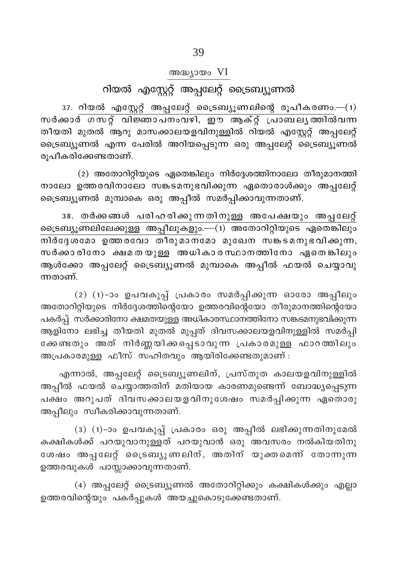## അദ്ധ്യായം VI

# റിയൽ എസ്റ്റേറ്റ് അപ്പലേറ്റ് ട്രൈബ്യൂണൽ

 $37.$  റിയൽ എസ്റ്റേറ്റ് അപ്പലേറ്റ് ട്രൈബ്യൂണലിന്റെ രൂപീകരണം.— $(1)$ സർക്കാർ ഗസറ്റ് വിജ്ഞാപനംവഴി, ഈ ആക്റ്റ് പ്രാബലൃത്തിൽവന്ന തീയതി മുതൽ ആറു മാസക്കാലയളവിനുള്ളിൽ റിയൽ എസ്റ്റേറ്റ് അപ്പലേറ്റ് ട്രൈബ്യൂണൽ എന്ന പേരിൽ അറിയപ്പെടുന്ന ഒരു അപ്പലേറ്റ് ട്രൈബ്യൂണൽ രുപീകരിക്കേണ്ടതാണ്.

(2) അതോറിറ്റിയുടെ ഏതെങ്കിലും നിർദ്ദേശത്തിനാലോ തീരുമാനത്തി നാലോ ഉത്തരവിനാലോ സങ്കടമനുഭവിക്കുന്ന ഏതൊരാൾക്കും അപ്പലേറ്റ് ട്രൈബ്യൂണൽ മുമ്പാകെ ഒരു അപ്പീൽ സമർപ്പിക്കാവുന്നതാണ്.

38. തർക്കങ്ങൾ പരിഹരിക്കുന്നതിനുള്ള അപേക്ഷയും അപ്പലേറ്റ് ട്രൈബ്യൂണലിലേക്കുള്ള അപ്പീലുകളും.—(1) അതോറിറ്റിയുടെ ഏതെങ്കിലും .<br>തിർദേശമോ ഉത്തരവോ തീരുമാനമോ മുഖേന സങ്കടമനുഭവിക്കുന്ന, സർക്കാരിനോ ക്ഷമതയുള്ള അധികാരസ്ഥാനത്തിനോ ഏതെങ്കിലും ആൾക്കോ അപ്പലേറ്റ് ട്രൈബ്യൂണൽ മുമ്പാകെ അപ്പീൽ ഫയൽ ചെയ്യാവു ന്നതാണ്.

(2)  $(1)$ -ാം ഉപവകുപ്പ് പ്രകാരം സമർപ്പിക്കുന്ന ഓരോ അപ്പീലും അതോറിറ്റിയുടെ നിർദ്ദേശത്തിന്റെയോ ഉത്തരവിന്റെയോ തീരുമാനത്തിന്റെയോ പകർപ്പ് സർക്കാരിനോ ക്ഷമതയുള്ള അധികാരസ്ഥാനത്തിനോ സങ്കടമനുഭവിക്കുന്ന ആളിനോ ലഭിച്ച തീയതി മുതൽ മുപ്പത് ദിവസക്കാലയളവിനുള്ളിൽ സമർപ്പി ക്കേണ്ടതും അത് നിർണ്ണയിക്കപ്പെടാവുന്ന പ്രകാരമുള്ള ഫാറത്തിലും അപ്രകാരമുള്ള ഫീസ് സഹിതവും ആയിരിക്കേണ്ടതുമാണ് :

എന്നാൽ, അപ്പലേറ്റ് ട്രൈബ്യൂണലിന്, പ്രസ്തുത കാലയളവിനുള്ളിൽ അപ്പീൽ ഫയൽ ചെയ്യാത്തതിന് മതിയായ കാരണമുണ്ടെന്ന് ബോദ്ധ്യപ്പെടുന്ന പക്ഷം അറുപത് ദിവസക്കാലയളവിനുശേഷം സമർപ്പിക്കുന്ന ഏതൊരു അപ്പീലും സ്വീകരിക്കാവുന്നതാണ്.

(3) (1)-ാം ഉപവകുപ്പ് പ്രകാരം ഒരു അപ്പീൽ ലഭിക്കുന്നതിനുമേൽ കക്ഷികൾക്ക് പറയുവാനുള്ളത് പറയുവാൻ ഒരു അവസരം നൽകിയതിനു ശേഷം അപ്പലേറ്റ് ട്രൈബ്യൂണലിന്, അതിന് യുക്തമെന്ന് തോന്നുന്ന ഉത്തരവുകൾ പാസ്സാക്കാവുന്നതാണ്.

(4) അപ്പലേറ്റ് ട്രൈബ്യൂണൽ അതോറിറ്റിക്കും കക്ഷികൾക്കും എല്ലാ ഉത്തരവിന്റെയും പകർപ്പുകൾ അയച്ചുകൊടുക്കേണ്ടതാണ്.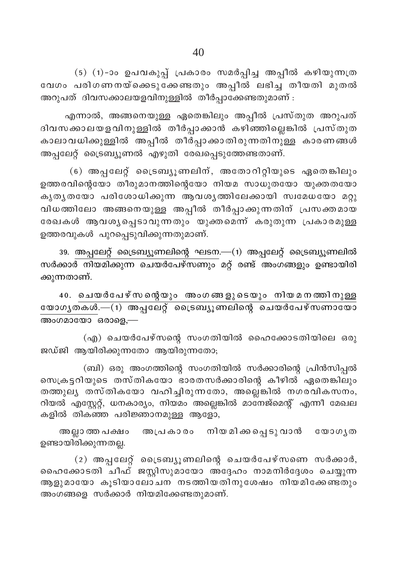(5) (1)-ാം ഉപവകുപ്പ് പ്രകാരം സമർപ്പിച്ച അപ്പീൽ കഴിയുന്നത്ര വേഗം പരിഗണനയ്ക്കെടുക്കേണ്ടതും അപ്പീൽ ലഭിച്ച് തീയതി മുതൽ അറുപത് ദിവസക്കാലയളവിനുള്ളിൽ തീർപ്പാക്കേണ്ടതുമാണ് :

എന്നാൽ, അങ്ങനെയുള്ള ഏതെങ്കിലും അപ്പീൽ പ്രസ്തുത അറുപത് ദിവസക്കാലയളവിനുള്ളിൽ തീർപ്പാക്കാൻ കഴിഞ്ഞില്ലെങ്കിൽ പ്രസ്തുത കാലാവധിക്കുള്ളിൽ അപ്പീൽ തീർപ്പാക്കാതിരുന്നതിനുള്ള കാരണങ്ങൾ അപ്പലേറ്റ് ട്രൈബ്യൂണൽ എഴുതി രേഖപ്പെടുത്തേണ്ടതാണ്.

(6) അപ്പലേറ്റ് ട്രൈബ്യൂണലിന്, അതോറിറ്റിയുടെ ഏതെങ്കിലും ഉത്തരവിന്റെയോ തീരുമാനത്തിന്റെയോ നിയമ സാധുതയോ യുക്തതയോ കൃതൃതയോ പരിശോധിക്കുന്ന ആവശൃത്തിലേക്കായി സ്വമേധയോ മറ്റു വിധത്തിലോ അങ്ങനെയുള്ള അപ്പീൽ തീർപ്പാക്കുന്നതിന് പ്രസക്തമായ രേഖകൾ ആവശൃപ്പെടാവുന്നതും യുക്തമെന്ന് കരുതുന്ന പ്രകാരമുള്ള ഉത്തരവുകൾ പുറപ്പെടുവിക്കുന്നതുമാണ്.

39. അപ്പലേറ്റ് ട്രൈബ്യൂണലിന്റെ ഘടന.—(1) അപ്പലേറ്റ് ട്രൈബ്യൂണലിൽ സർക്കാർ നിയമിക്കുന്ന ചെയർപേഴ്സണും മറ്റ് രണ്ട് അംഗങ്ങളും ഉണ്ടായിരി ക്കുന്നതാണ്.

40. ചെയർപേഴ്സന്റെയും അംഗങ്ങളുടെയും നിയമനത്തിനുള്ള യോഗൃതകൾ. $-(1)$  അപ്പലേറ്റ് ട്രൈബ്യൂണലിന്റെ ചെയർപേഴ്സണായോ അംഗമായോ ഒരാളെ.—

(എ) ചെയർപേഴ്സന്റെ സംഗതിയിൽ ഹൈക്കോടതിയിലെ ഒരു ജഡ്ജി ആയിരിക്കുന്നതോ ആയിരുന്നതോ;

(ബി) ഒരു അംഗത്തിന്റെ സംഗതിയിൽ സർക്കാരിന്റെ പ്രിൻസിപ്പൽ സെക്രട്ടറിയുടെ തസ്തികയോ ഭാരതസർക്കാരിന്റെ കീഴിൽ ഏതെങ്കിലും തത്തുലൃ തസ്തികയോ വഹിച്ചിരുന്നതോ, അല്ലെങ്കിൽ നഗരവികസനം, റിയൽ എസ്റ്റേറ്റ്, ധനകാര്യം, നിയമം അല്ലെങ്കിൽ മാനേജ്മെന്റ് എന്നീ മേഖല കളിൽ തികഞ്ഞ പരിജ്ഞാനമുള്ള ആളോ,

അപ്രകാരം നിയമിക്കപ്പെടുവാൻ യോഗൃത അല്ലാ ത്ത പക്ഷം ഉണ്ടായിരിക്കുന്നതല്ല.

 $(2)$  അപ്പലേറ്റ് ട്രൈബ്യൂണലിന്റെ ചെയർപേഴ്സണെ സർക്കാർ, ഹൈക്കോടതി ചീഫ് ജസ്റ്റിസുമായോ അ്ദ്ദേഹം നാമനിർദ്ദേശം ചെയ്യുന്ന ആളുമായോ കുടിയാലോചന നടത്തിയതിനുശേഷം നിയമിക്കേണ്ടതും അംഗങ്ങളെ സർക്കാർ നിയമിക്കേണ്ടതുമാണ്.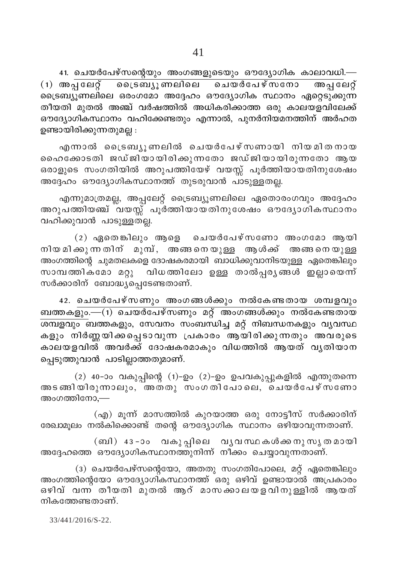41. ചെയർപേഴ്സന്റെയും അംഗങ്ങളുടെയും ഔദ്യോഗിക കാലാവധി.—  $(1)$  അപ്പലേറ്റ് ട്രൈബ്യൂണലിലെ ചെയർപേഴ്സനോ അപ്പലേറ്റ് .<br>ട്രൈബ്യുണലിലെ ഒരംഗമോ അദ്ദേഹം ഔദ്യോഗിക സ്ഥാനം ഏറ്റെടു്ക്കുന്ന തീയതി മുതൽ അഞ്ച് വർഷത്തിൽ അധികരിക്കാത്ത ഒരു കാലയളവിലേക്ക് ഔദ്യോഗികസ്ഥാനം വഹിക്കേണ്ടതും എന്നാൽ, പുനർനിയമനത്തിന് അർഹത ഉണ്ടായിരിക്കുന്നതുമല്ല :

എന്നാൽ ട്രൈബ്യൂണലിൽ ചെയർപേഴ്സണായി നിയമിതനായ ഹൈക്കോടതി ജഡ്ജിയായിരിക്കുന്നതോ ജഡ്ജിയായിരുന്നതോ ആയ ഒരാളുടെ സംഗതിയിൽ അറുപത്തിയേഴ് വയസ്സ് പൂർത്തിയായതിനുശേഷം അദ്ദേഹം ഔദ്യോഗികസ്ഥാനത്ത് തുടരുവാൻ പാടുള്ളതല്ല.

എന്നുമാത്രമല്ല, അപ്പലേറ്റ് ട്രൈബ്യൂണലിലെ ഏതൊരംഗവും അദ്ദേഹം അറുപത്തിയഞ്ച് വയസ്സ് പൂര്ത്തിയായതിനുശേഷം ഔദ്യോഗികസ്ഥാനം വഹിക്കുവാൻ പാടുള്ളതല്ല.

 $(2)$  ഏതെങ്കിലും ആളെ ചെയർപേഴ്സണോ അംഗമോ ആയി നിയ മിക്കുന്ന തിന് മുമ്പ്, അങ്ങനെയുള്ള ആൾക്ക് അങ്ങനെയുള്ള .<br>അംഗത്തിന്റെ ചുമതലകളെ ദോഷകരമായി ബാധിക്കുവാനിടയുള്ള ഏതെങ്കിലും വിധത്തിലോ ഉള്ള താൽപ്പരൃങ്ങൾ ഇല്ലായെന്ന് സാമ്പത്തികമോ മറ്റു സർക്കാരിന് ബോദ്ധ്യപ്പെടേണ്ടതാണ്.

42. ചെയർപേഴ്സണും അംഗങ്ങൾക്കും നൽകേണ്ടതായ ശമ്പളവും ബത്തകളും. $\overline{-}$ (1) ചെയർപേഴ്സണും മറ്റ് അംഗങ്ങൾക്കും നൽകേണ്ടതായ \_\_\_\_\_\_\_\_\_\_\_\_<br><u>ശമ്പളവും ബ</u>ത്തകളും, സേവനം സംബന്ധിച്ച മറ്റ് നിബന്ധനകളും വൃവസ്ഥ കളും നിർണ്ണയിക്കപ്പെടാവുന്ന പ്രകാരം ആയിരിക്കുന്നതും അവരുടെ കാലയളവിൽ അവർക്ക് ദോഷകരമാകും വിധത്തിൽ ആയത് വൃതിയാന പ്പെടുത്തുവാൻ പാടില്ലാത്തതുമാണ്.

 $(2)$  40-ാം വകുപ്പിന്റെ  $(1)$ -ഉം  $(2)$ -ഉം ഉപവകുപ്പുകളിൽ എന്തുതന്നെ അടങ്ങിയിരുന്നാലും, അതതു സംഗതിപോലെ, ചെയർപേഴ്സ്ണോ അംഗത്തിനോ.—

(എ) മൂന്ന് മാസത്തിൽ കുറയാത്ത ഒരു നോട്ടീസ് സർക്കാരിന് രേഖാമുലം നൽകിക്കൊണ്ട് തന്റെ ഔദ്യോഗിക സ്ഥാനം ഒഴിയാവുന്നതാണ്.

(ബി) 43-ാം വകുപ്പിലെ വൃവസ്ഥകൾക്കനുസൃതമായി അദ്ദേഹത്തെ ഔദ്യോഗികസ്ഥാനത്തുനിന്ന് നീക്കം ചെയ്യാവുന്നതാണ്.

(3) ചെയർപേഴ്സന്റെയോ, അതതു സംഗതിപോലെ, മറ്റ് ഏതെങ്കിലും അംഗത്തിന്റെയോ ഔദ്യോഗികസ്ഥാനത്ത് ഒരു ഒഴിവ് ഉണ്ടായാൽ അപ്രകാരം ഒഴിവ് വന്ന തീയതി മുതൽ ആറ് മാസക്കാലയളവിനുള്ളിൽ ആയത് നികത്തേണ്ടതാണ്.

33/441/2016/S-22.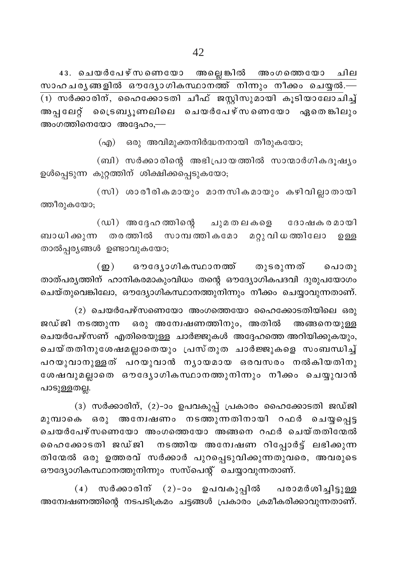അല്ലെ ങ്കിൽ അംഗത്തെയോ 43. ചെയർപേഴ്സണെയോ ചില സാഹചര്യങ്ങളിൽ ഔദ്യോഗികസ്ഥാനത്ത് നിന്നും നീക്കം ചെയ്യൽ.— (1) സർക്കാരിന്, ഹൈക്കോടതി ചീഫ് ജസ്റ്റിസുമായി കൂടിയാലോചിച്ച് അപ്പലേറ്റ് ട്രൈബ്യൂണലിലെ ചെയർപേഴ്സണെയോ ഏതെങ്കിലും അംഗത്തിനെയോ അദ്ദേഹം,—

(എ) ഒരു അവിമുക്തനിർദ്ധനനായി തീരുകയോ;

(ബി) സർക്കാരിന്റെ അഭിപ്രായത്തിൽ സാന്മാർഗികദൂഷ്യം ഉൾപ്പെടുന്ന കുറ്റത്തിന് ശിക്ഷിക്കപ്പെടുകയോ;

(സി) ശാരീരികമായും മാനസികമായും കഴിവില്ലാതായി ത്തീരുകയോ;

(ഡി) അദ്ദേഹത്തിന്റെ ചുമതലകളെ ദോഷക രമായി ബാധിക്കുന്ന തരത്തിൽ സാമ്പത്തികമോ മറ്റുവിധത്തിലോ ഉള്ള താൽപ്പര്യങ്ങൾ ഉണ്ടാവുകയോ;

ഔദ്യോഗികസ്ഥാനത്ത് തുടരുന്നത്  $(m)$ പൊതു താത്പര്യത്തിന് ഹാനികരമാകുംവിധം തന്റെ ഔദ്യോഗികപദവി ദുരുപയോഗം ചെയ്തുവെങ്കിലോ, ഔദ്യോഗികസ്ഥാനത്തുനിന്നും നീക്കം ചെയ്യാവുന്നതാണ്.

(2) ചെയർപേഴ്സണെയോ അംഗത്തെയോ ഹൈക്കോടതിയിലെ ഒരു ജഡ്ജി നടത്തുന്ന ഒരു അന്വേഷണത്തിനും, അതിൽ അങ്ങനെയുള്ള ചെയർപേഴ്സണ് എതിരെയുള്ള ചാർജ്ജുകൾ അദ്ദേഹത്തെ അറിയിക്കുകയും, ചെയ്തതിനുശേഷമല്ലാതെയും പ്രസ്തുത ചാർജ്ജുകളെ സംബന്ധിച്ച് പറയുവാനുള്ളത് പറയുവാൻ നൃായമായ ഒരവസരം നൽകിയതിനു ശേഷവുമല്ലാതെ ഔദ്യോഗികസ്ഥാനത്തുനിന്നും നീക്കം ചെയ്യുവാൻ പാടുള്ളതല്ല.

(3) സർക്കാരിന്, (2)-ാം ഉപവകുപ്പ് പ്രകാരം ഹൈക്കോടതി ജഡ്ജി മുമ്പാകെ ഒരു അന്വേഷണം നടത്തുന്നതിനായി റഫർ ചെയ്യപ്പെട്ട ചെയർപേഴ്സണെയോ അംഗത്തെയോ അങ്ങനെ റഫർ ചെയ്തതിന്മേൽ ഹൈക്കോടതി ജഡ്ജി നടത്തിയ അന്വേഷണ റിപ്പോർട്ട് ലഭിക്കുന്ന തിന്മേൽ ഒരു ഉത്തരവ് സർക്കാർ പുറപ്പെടുവിക്കുന്നതുവരെ, അവരുടെ ഔദ്യോഗികസ്ഥാനത്തുനിന്നും സസ്പെന്റ് ചെയ്യാവുന്നതാണ്.

 $(4)$  സർക്കാരിന്  $(2)-$ ാം ഉപവകുപ്പിൽ പരാമർശിച്ചിട്ടുള്ള അന്വേഷണത്തിന്റെ നടപടിക്രമം ചട്ടങ്ങൾ പ്രകാരം ക്രമീകരിക്കാവുന്നതാണ്.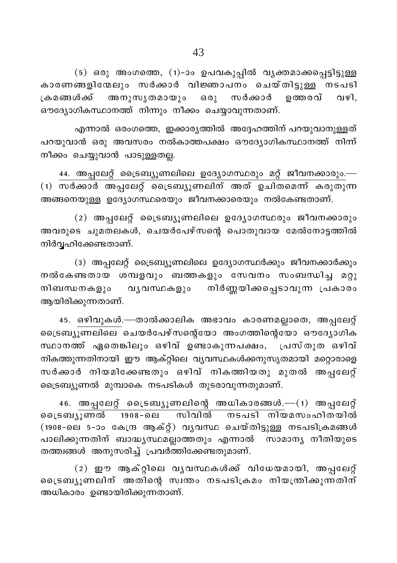(5) ഒരു അംഗത്തെ, (1)-ാം ഉപവകുപ്പിൽ വൃക്തമാക്കപ്പെട്ടിട്ടുള്ള കാരണങ്ങളിന്മേലും സർക്കാർ വിജ്ഞാപനം ചെയ്തിട്ടുള്ള നടപടി ക്രമങ്ങൾക്ക് അനുസൃതമായും ഒരു സർക്കാർ ത്തെരവ് വഴി. ഔദ്യോഗികസ്ഥാനത്ത് നിന്നും നീക്കം ചെയ്യാവുന്നതാണ്.

എന്നാൽ ഒരംഗത്തെ, ഇക്കാര്യത്തിൽ അദ്ദേഹത്തിന് പറയുവാനുള്ളത് പറയുവാൻ ഒരു അവസരം നൽകാത്തപക്ഷം ഔദ്യോഗികസ്ഥാനത്ത് നിന്ന് നീക്കം ചെയ്യുവാൻ പാടുള്ളതല്ല.

44. അപ്പലേറ്റ് ട്രൈബ്യൂണലിലെ ഉദ്യോഗസ്ഥരും മറ്റ് ജീവനക്കാരും.— (1) സർക്കാർ അപ്പലേറ്റ് ട്രൈബ്യൂണലിന് അത് ഉചിതമെന്ന് കരുതുന്ന അങ്ങനെയുള്ള ഉദ്യോഗസ്ഥരെയും ജീവനക്കാരെയും നൽകേണ്ടതാണ്.

 $(2)$  അപ്പലേറ്റ് ട്രൈബ്യൂണലിലെ ഉദ്യോഗസ്ഥരും ജീവനക്കാരും .<br>അവരുടെ ചുമതലകൾ, ചെയർപേഴ്സന്റെ പൊതുവായ മേൽനോട്ടത്തിൽ നിർവ്വഹിക്കേണ്ടതാണ്.

(3) അപ്പലേറ്റ് ട്രൈബ്യൂണലിലെ ഉദ്യോഗസ്ഥർക്കും ജീവനക്കാർക്കും നൽകേണ്ടതായ ശമ്പളവും ബത്തകളും സേവനം സംബന്ധിച്ച മറ്റു വൃവസ്ഥകളും നിർണ്ണയിക്കപ്പെടാവുന്ന പ്രകാരം നിബന്ധനകളും ആയിരിക്കുന്നതാണ്.

45. ഒഴിവുകൾ.—താൽക്കാലിക അഭാവം കാരണമല്ലാതെ, അപ്പലേറ്റ് ൈടബ്യൂണലിലെ ചെയർപേഴ്സന്റെയോ അംഗത്തിന്റെയോ ഔദ്യോഗിക സ്ഥാനത്ത് ഏതെങ്കിലും ഒഴിവ് ഉണ്ടാകുന്നപക്ഷം, പ്രസ്തുത ഒഴിവ് നികത്തുന്നതിനായി ഈ ആക്റ്റിലെ വൃവസ്ഥകൾക്കനുസൃതമായി മറ്റൊരാളെ സർക്കാർ നിയമിക്കേണ്ടതും ഒഴിവ് നികത്തിയതു മുതൽ അപ്പലേറ്റ് ട്രൈബ്യൂണൽ മുമ്പാകെ നടപടികൾ തുടരാവുന്നതുമാണ്.

 $46.$  അപ്പലേറ്റ് ട്രൈബ്യൂണലിന്റെ അധികാരങ്ങൾ. $-(1)$  അപ്പലേറ്റ് <u>ട്രൈബ്യൂണൽ 1908–ലെ </u> സിവിൽ നടപടി നിയമസംഹിതയിൽ (1908-ലെ 5-ാം കേന്ദ്ര ആക്റ്റ്) വൃവസ്ഥ ചെയ്തിട്ടുള്ള നടപടിക്രമങ്ങൾ പാലിക്കുന്നതിന് ബാദ്ധൃസ്ഥമല്ലാത്തതും എന്നാൽ സാമാനൃ നീതിയുടെ തത്ത്വങ്ങൾ അനുസരിച്ച് പ്രവർത്തിക്കേണ്ടതുമാണ്.

(2) ഈ ആക്റ്റിലെ വൃവസ്ഥകൾക്ക് വിധേയമായി, അപ്പലേറ്റ് ്രൈബ്യുണലിന് അതിന്റെ സ്വന്തം നടപടിക്രമം നിയന്ത്രിക്കുന്നതിന് അധികാരം ഉണ്ടായിരിക്കുന്നതാണ്.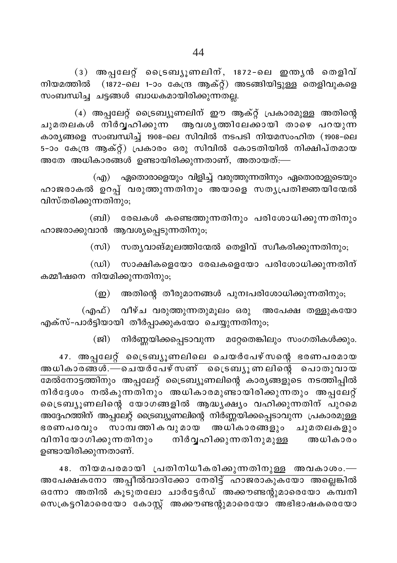(3) അപ്പലേറ്റ് ട്രൈബ്യൂണലിന്, 1872-ലെ ഇന്ത്യൻ തെളിവ് നിയമത്തിൽ (1872-ലെ 1-ാം കേന്ദ്ര ആക്റ്റ്) അടങ്ങിയിട്ടുള്ള തെളിവുകളെ സംബന്ധിച്ച ചട്ടങ്ങൾ ബാധകമായിരിക്കുന്നതല്ല.

(4) അപ്പലേറ്റ് ട്രൈബ്യൂണലിന് ഈ ആക്റ്റ് പ്രകാരമുള്ള അതിന്റെ ചുമതലകൾ നിർവ്വഹിക്കുന്ന ആവശ്യത്തിലേക്കായി താഴെ പറയുന്ന കാര്യങ്ങളെ സംബന്ധിച്ച് 1908-ലെ സിവിൽ നടപടി നിയമസംഹിത (1908-ലെ .<br>5-ാം കേന്ദ്ര ആക്റ്റ്) പ്രകാരം ഒരു സിവിൽ കോടതിയിൽ നിക്ഷിപ്തമായ .<br>അതേ അധികാരങ്ങൾ ഉണ്ടായിരിക്കുന്നതാണ്, അതായത്:—

(എ) ഏതൊരാളെയും വിളിച്ച് വരുത്തുന്നതിനും ഏതൊരാളുടെയും ഹാജരാകൽ ഉറപ്പ് വരുത്തുന്നതിനും അയാളെ സത്യപ്രതിജ്ഞയിന്മേൽ വിസ്തരിക്കുന്നതിനും;

(ബി) രേഖകൾ കണ്ടെത്തുന്നതിനും പരിശോധിക്കുന്നതിനും ഹാജരാക്കുവാൻ ആവശ്യപ്പെടുന്നതിനും;

(സി) സത്യവാങ്മൂലത്തിന്മേൽ തെളിവ് സ്വീകരിക്കുന്നതിനും;

(ഡി) സാക്ഷികളെയോ രേഖകളെയോ പരിശോധിക്കുന്നതിന് കമ്മീഷനെ നിയമിക്കുന്നതിനും;

(ഇ) അതിന്റെ തീരുമാനങ്ങൾ പുനഃപരിശോധിക്കുന്നതിനും;

(എഫ്) വീഴ്ച വരുത്തുന്നതുമൂലം ഒരു അപേക്ഷ തള്ളുകയോ എക്സ്-പാർട്ടിയായി തീർപ്പാക്കുകയോ ചെയ്യുന്നതിനും;

(ജി) നിർണ്ണയിക്കപ്പെടാവുന്ന മറ്റേതെങ്കിലും സംഗതികൾക്കും.

47. അപ്പലേറ്റ് ട്രൈബ്യൂണലിലെ ചെയർപേഴ്സന്റെ ഭരണപരമായ അധികാരങ്ങൾ.—ചെയർപേഴ്സണ് ട്രൈബ്യൂണലിന്റെ പൊതുവായ ഭമൽനോട്ടത്തിനും അപ്പലേറ്റ് ട്രൈബ്യൂണലിന്റെ കാര്യങ്ങളുടെ നടത്തിപ്പിൽ .<br>നിർദ്ദേശം നൽകുന്നതിനും അധികാരമുണ്ടായിരിക്കുന്നതും അപ്പലേറ്റ് ്രൈബ്യൂണലിന്റെ യോഗങ്ങളിൽ ആദ്ധ്യക്ഷ്യം വഹിക്കുന്നതിന് പുറമെ അദ്ദേഹത്തിന് അപ്പലേറ്റ് ട്രൈബ്യൂണലിന്റെ നിർണ്ണയിക്കപ്പെടാവുന്ന പ്രകാരമുള്ള ഭരണപരവും സാമ്പത്തികവുമായ അധികാരങ്ങളും ചുമതലകളും വിനിയോഗിക്കുന്നതിനും നിർവ്വഹിക്കുന്നതിനുമുള്ള അധികാരം ഉണ്ടായിരിക്കുന്നതാണ്.

48. നിയമപരമായി പ്രതിനിധീകരിക്കുന്നതിനുള്ള അവകാശം.— അപേക്ഷകനോ അപ്പീൽവാദിക്കോ നേരിട്ട് ഹാജരാകുകയോ അല്ലെങ്കിൽ ഒന്നോ അതിൽ കൂടുതലോ ചാർട്ടേർഡ് അക്കൗണ്ടന്റുമാരെയോ ക്മ്പനി സെക്രട്ടറിമാരെയോ കോസ്റ്റ് അക്കൗണ്ടന്റുമാരെയോ അഭിഭാഷകരെയോ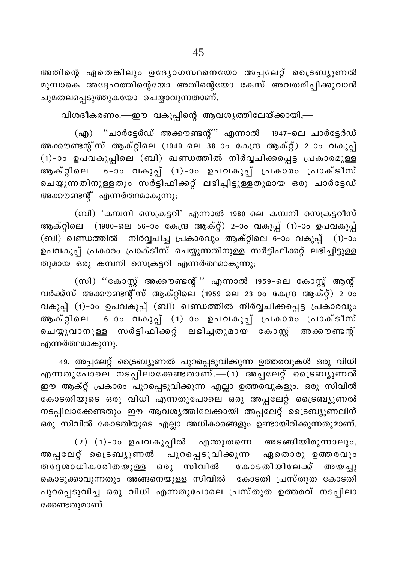അതിന്റെ ഏതെങ്കിലും ഉദ്യോഗസ്ഥനെയോ അപ്പലേറ്റ് ട്രൈബ്യൂണൽ മുമ്പാകെ അദ്ദേഹത്തിന്റെയോ അതിന്റെയോ കേസ് അവതരിപ്പിക്കുവാൻ ചുമതലപ്പെടുത്തുകയോ ചെയ്യാവുന്നതാണ്.

വിശദീകരണം.—ഈ വകുപ്പിന്റെ ആവശ്യത്തിലേയ്ക്കായി,—

(എ) "ചാർട്ടേർഡ് അക്കൗണ്ടന്റ്" എന്നാൽ 1947-ലെ ചാർട്ടേർഡ് അക്കൗണ്ടന്റ് സ് ആക്റ്റിലെ (1949-ലെ 38-ാം കേന്ദ്ര ആക്റ്റ്) 2-ാം വകുപ്പ് (1)-ാം ഉപവകുപ്പിലെ (ബി) ഖണ്ഡത്തിൽ നിർവ്വചിക്കപ്പെട്ട പ്രകാരമുള്ള ആക്റ്റിലെ 6-ാം വകുപ്പ് (1)-ാം ഉപവകുപ്പ് പ്രകാരം പ്രാക്ടീസ് ചെയ്യുന്നതിനുള്ളതും സർട്ടിഫിക്കറ്റ് ലഭിച്ചിട്ടുള്ളതുമായ ഒരു ചാർട്ടേഡ് അക്കൗണ്ടന്റ് എന്നർത്ഥമാകുന്നു;

(ബി) 'കമ്പനി സെക്രട്ടറി' എന്നാൽ 1980-ലെ കമ്പനി സെക്രട്ടറീസ് ആക്റ്റിലെ (1980-ലെ 56-ാം കേന്ദ്ര ആക്റ്റ്) 2-ാം വകുപ്പ് (1)-ാം ഉപവകുപ്പ് (ബി) ഖണ്ഡത്തിൽ നിർവ്വചിച്ച പ്രകാരവും ആക്റ്റിലെ 6-ാം വകുപ്പ് (1)-ാം ഉപവകുപ്പ് പ്രകാരം പ്രാക്ടീസ് ചെയ്യുന്നതിനുള്ള സർട്ടിഫിക്കറ്റ് ലഭിച്ചിട്ടുള്ള തുമായ ഒരു കമ്പനി സെക്രട്ടറി എന്നർത്ഥമാകുന്നു;

(സി) ''കോസ്റ്റ് അക്കൗണ്ടന്റ്'' എന്നാൽ 1959-ലെ കോസ്റ്റ് ആന്റ് വർക്ക്സ് അക്കൗണ്ടന്റ്സ് ആക്റ്റിലെ (1959-ലെ 23-ാം കേന്ദ്ര ആക്റ്റ്) 2-ാം വകുപ്പ് (1)-ാം ഉപവകുപ്പ് (ബി) ഖണ്ഡത്തിൽ നിർവ്വചിക്കപ്പെട്ട പ്രകാരവും ആക്റ്റിലെ 6-ാം വകുപ്പ് (1)-ാം ഉപവകുപ്പ് പ്രകാരം പ്രാക്ടീസ് ചെയ്യുവാനുള്ള സർട്ടിഫിക്കറ്റ് ലഭിച്ചതുമായ കോസ്റ്റ് അക്കൗണ്ടന്റ് എന്നർത്ഥമാകുന്നു.

49. അപ്പലേറ്റ് ട്രൈബ്യൂണൽ പുറപ്പെടുവിക്കുന്ന ഉത്തരവുകൾ ഒരു വിധി എന്നതുപോലെ നടപ്പിലാക്കേണ്ടതാണ്. $-(1)$  അപ്പലേറ്റ് ട്രൈബ്യുണൽ ഈ ആക്റ്റ് പ്രകാരം പുറപ്പെടുവിക്കുന്ന എല്ലാ ഉത്തരവുകളും, ഒരു സിവിൽ കോടതിയുടെ ഒരു വിധി എന്നതുപോലെ ഒരു അപ്പലേറ്റ് ട്രൈബ്യൂണൽ നടപ്പിലാക്കേണ്ടതും ഈ ആവശ്യത്തിലേക്കായി അപ്പലേറ്റ് ട്രൈബ്യൂണലിന് ഒരു സിവിൽ കോടതിയുടെ എല്ലാ അധികാരങ്ങളും ഉണ്ടായിരിക്കുന്നതുമാണ്.

 $(2)$   $(1)$ -ാം ഉപവകുപ്പിൽ എന്തുതന്നെ അടങ്ങിയിരുന്നാലും, അപ്പലേറ്റ് ട്രൈബ്യൂണൽ പുറപ്പെടുവിക്കുന്ന ഏതൊരു ഉത്തരവും തദ്ദേശാധികാരിതയുള്ള ഒരു സിവിൽ കോടതിയിലേക്ക് അയച്ചു കൊടുക്കാവുന്നതും അങ്ങനെയുള്ള സിവിൽ കോടതി പ്രസ്തുത കോടതി പുറപ്പെടുവിച്ച ഒരു വിധി എന്നതുപോലെ പ്രസ്തുത ഉത്തരവ് നടപ്പിലാ ക്കേണ്ടതുമാണ്.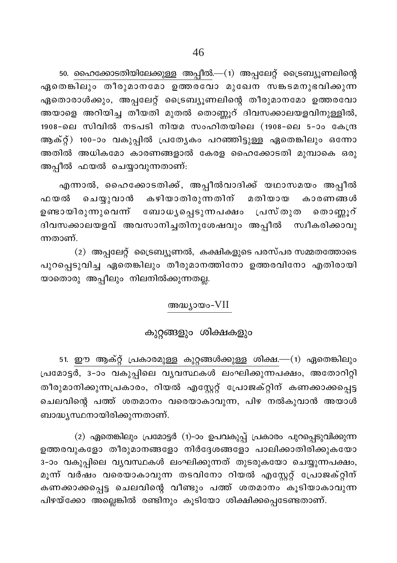50. ഹൈക്കോടതിയിലേക്കുള്ള അപ്പീൽ.—(1) അപ്പലേറ്റ് ട്രൈബ്യൂണലിന്റെ ഏതെങ്കിലും തീരുമാനമോ ഉത്തരവോ മുഖേന സങ്കടമനുഭവിക്കുന്ന ഏതൊരാൾക്കും, അപ്പലേറ്റ് ട്രൈബ്യൂണലിന്റെ തീരുമാനമോ ഉത്തരവോ അയാളെ അറിയിച്ച തീയതി മുതൽ തൊണ്ണൂറ് ദിവസക്കാലയളവിനുള്ളിൽ, 1908-ലെ സിവിൽ നടപടി നിയമ സംഹിതയിലെ (1908-ലെ 5-ാം കേന്ദ്ര ആക്റ്റ്) 100-ാം വകുപ്പിൽ പ്രത്യേകം പറഞ്ഞിട്ടുള്ള ഏതെങ്കിലും ഒന്നോ അതിൽ അധികമോ കാരണങ്ങളാൽ കേരള ഹൈക്കോടതി മുമ്പാകെ ഒരു അപ്പീൽ ഫയൽ ചെയ്യാവുന്നതാണ്:

എന്നാൽ, ഹൈക്കോടതിക്ക്, അപ്പീൽവാദിക്ക് യഥാസമയം അപ്പീൽ ചെയ്യുവാൻ കഴിയാതിരുന്നതിന് ഫയൽ മതിയായ കാരണങ്ങൾ ഉണ്ടായിരുന്നുവെന്ന ബോധ്യപ്പെടുന്നപക്ഷം പ്രസ്തുത തൊണ്ണൂറ് ദിവസക്കാലയളവ് അവസാനിച്ചതിനുശേഷവും അപ്പീൽ സ്വീകരിക്കാവു ന്നതാണ്

(2) അപ്പലേറ്റ് ട്രൈബ്യൂണൽ, കക്ഷികളുടെ പരസ്പര സമ്മതത്തോടെ പുറപ്പെടുവിച്ച ഏതെങ്കിലും തീരുമാനത്തിനോ ഉത്തരവിനോ എതിരായി യാതൊരു അപ്പീലും നിലനിൽക്കുന്നതല്ല.

## അദ്ധ്യായം-VII

## കുറ്റങ്ങളും ശിക്ഷകളും

51. ഈ ആക്റ്റ് പ്രകാരമുള്ള കുറ്റങ്ങൾക്കുള്ള ശിക്ഷ.—(1) ഏതെങ്കിലും പ്രമോട്ടർ, 3-ാം വകുപ്പിലെ വൃവസ്ഥകൾ ലംഘിക്കുന്നപക്ഷം, അതോറിറ്റി തീരുമാനിക്കുന്നപ്രകാരം, റിയൽ എസ്റ്റേറ്റ് പ്രോജക്റ്റിന് കണക്കാക്കപ്പെട്ട ചെലവിന്റെ പത്ത് ശതമാനം വരെയാകാവുന്ന, പിഴ നൽകുവാൻ അയാൾ ബാദ്ധ്യസ്ഥനായിരിക്കുന്നതാണ്.

(2) ഏതെങ്കിലും പ്രമോട്ടർ (1)-ാം ഉപവകുപ്പ് പ്രകാരം പുറപ്പെടുവിക്കുന്ന ഉത്തരവുകളോ തീരുമാനങ്ങളോ നിർദ്ദേശങ്ങളോ പാലിക്കാതിരിക്കുകയോ 3-ാം വകുപ്പിലെ വൃവസ്ഥകൾ ലംഘിക്കുന്നത് തുടരുകയോ ചെയ്യുന്നപക്ഷം, മൂന്ന് വർഷം വരെയാകാവുന്ന തടവിനോ റിയൽ എസ്റ്റേറ്റ് പ്രോജക്റ്റിന് കണക്കാക്കപ്പെട്ട ചെലവിന്റെ വീണ്ടും പത്ത് ശതമാനം കൂടിയാകാവുന്ന പിഴയ്ക്കോ അല്ലെങ്കിൽ രണ്ടിനും കൂടിയോ ശിക്ഷിക്കപ്പെടേണ്ടതാണ്.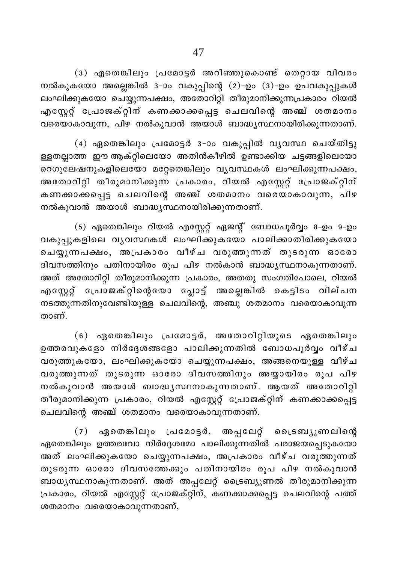$(3)$  ഏതെങ്കിലും പ്രമോട്ടർ അറിഞ്ഞുകൊണ്ട് തെറ്റായ വിവരം നൽകുകയോ അല്ലെങ്കിൽ 3−ാം വകുപ്പിന്റെ (2)−ഉം (3)−ഉം ഉപവകുപ്പുകൾ ലംഘിക്കുകയോ ചെയ്യുന്നപക്ഷം, അതോറിറ്റി തീരുമാനിക്കുന്നപ്രകാരം റിയൽ എസ്റ്റേറ്റ് പ്രോജക്റ്റിന് കണക്കാക്കപ്പെട്ട ചെലവിന്റെ അഞ്ച് ശതമാനം വരെയാകാവുന്ന, പിഴ നൽകുവാൻ അയാൾ ബാദ്ധൃസ്ഥനായിരിക്കുന്നതാണ്.

(4) ഏതെങ്കിലും പ്രമോട്ടർ 3-ാം വകുപ്പിൽ വ്യവസ്ഥ ചെയ്തിട്ടു ള്ളതല്ലാത്ത ഈ ആക്റ്റിലെയോ അതിൻകീഴിൽ ഉണ്ടാക്കിയ ചട്ടങ്ങളിലെയോ റെഗുലേഷനുകളിലെയോ മറ്റേതെങ്കിലും വൃവസ്ഥകൾ ലംഘിക്കുന്നപക്ഷം, അതോറിറ്റി തീരുമാനിക്കുന്ന <sub>∖</sub>പകാരം, റിയൽ എസ്റ്റേറ്റ് പ്രോജക്റ്റിന് കണക്കാക്കപ്പെട്ട ചെലവിന്റെ അഞ്ച് ശതമാനം വരെയാകാവുന്ന, പിഴ നൽകുവാൻ അയാൾ ബാദ്ധൃസ്ഥനായിരിക്കുന്നതാണ്.

(5) ഏതെങ്കിലും റിയൽ എസ്റ്റേറ്റ് ഏജന്റ് ബോധപൂർവ്വം 8−ഉം 9−ഉം വകുപ്പുകളിലെ വൃവസ്ഥകൾ ലംഘിക്കുകയോ പാലിക്കാതിരിക്കുകയോ ചെയ്യുന്നപക്ഷം, അപ്രകാരം വീഴ്ച വരുത്തുന്നത് തുടരുന്ന ഓരോ ദിവസത്തിനും പതിനായിരം രൂപ പിഴ നൽകാൻ ബാദ്ധ്യസ്ഥനാകുന്നതാണ്. അത് അതോറിറ്റി തീരുമാനിക്കുന്ന പ്രകാരം, അതതു സംഗതിപോലെ, റിയൽ എസ്റ്റേറ്റ് പ്രോജക്റ്റിന്റെയോ പ്ലോട്ട് അല്ലെങ്കിൽ കെട്ടിടം വില്പന  $\Omega$ ടത്തുന്നതിനുവേണ്ടിയുള്ള ചെലവിന്റെ, അഞ്ചു ശതമാനം വരെയാകാവുന്ന താണ്

 $(6)$  ഏതെങ്കിലും പ്രമോട്ടർ, അതോറിറ്റിയുടെ ഏതെങ്കിലും ഉത്തരവുകളോ നിർദ്ദേശങ്ങളോ പാലിക്കുന്നതിൽ ബോധപൂർവ്വം വീഴ്ച വരുത്തുകയോ, ലംഘിക്കുകയോ ചെയ്യുന്നപക്ഷം, അങ്ങനെയുള്ള വീഴ്ച വരുത്തുന്നത് തുടരുന്ന ഓരോ ദിവസത്തിനും അയ്യായിരം രൂപ പിഴ നൽകുവാൻ അയാൾ ബാദ്ധ്യസ്ഥനാകുന്നതാണ്. ആയത് അതോറിറ്റി തീരുമാനിക്കുന്ന പ്രകാരം, റിയൽ എസ്റ്റേറ്റ് പ്രോജക്റ്റിന് കണക്കാക്കപ്പെട്ട ചെലവിന്റെ അഞ്ച് ശതമാനം വരെയാകാവുന്നതാണ്.

(7) ഏതെങ്കിലും പ്രമോട്ടർ, അപ്പലേറ്റ് ട്രൈബ്യൂണലിന്റെ ഏതെങ്കിലും ഉത്തരവോ നിർദ്ദേശമോ പാലിക്കുന്നതിൽ പരാജയപ്പെടുകയോ അത് ലംഘിക്കുകയോ ചെയ്യുന്നപക്ഷം, അപ്രകാരം വീഴ്ച വരുത്തുന്നത് തുടരുന്ന ഓരോ ദിവസത്തേക്കും പതിനായിരം രൂപ പിഴ നൽകുവാൻ ബാധൃസ്ഥനാകുന്നതാണ്. അത് അപ്പലേറ്റ് ട്രൈബ്യൂണൽ തീരുമാനിക്കുന്ന ്രപകാരം, റിയൽ എസ്റ്റേറ്റ് പ്രോജക്റ്റിന്, കണക്കാക്കപ്പെട്ട ചെലവിന്റെ പത്ത്  $\omega$ തമാനം വരെയാകാവുന്നതാണ്,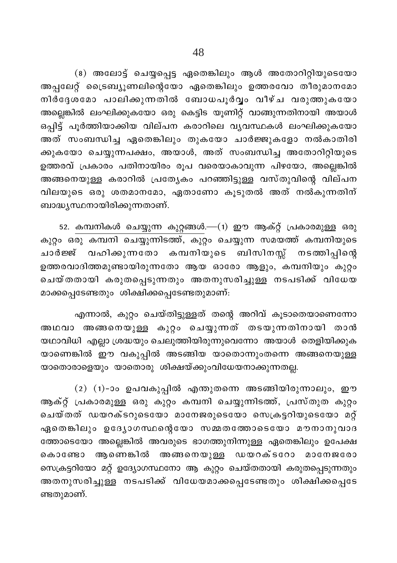(8) അലോട്ട് ചെയ്യപ്പെട്ട ഏതെങ്കിലും ആൾ അതോറിറ്റിയുടെയോ അപ്പലേറ്റ് ട്രൈബ്യൂണലിന്റെയോ ഏതെങ്കിലും ഉത്തരവോ തീരുമാനമോ നിർദ്ദേശമോ പാലിക്കുന്നതിൽ ബോധപൂർവ്വം വീഴ്ച വരുത്തുകയോ അല്ലെങ്കിൽ ലംഘിക്കുകയോ ഒരു കെട്ടിട യൂണിറ്റ് വാങ്ങുന്നതിനായി അയാൾ ഒപ്പിട്ട് പൂർത്തിയാക്കിയ വില്പന കരാറിലെ വ്യവസ്ഥകൾ ലംഘിക്കുകയോ അത് സംബന്ധിച്ച ഏതെങ്കിലും തുകയോ ചാർജ്ജുകളോ നൽകാതിരി ക്കുകയോ ചെയ്യുന്നപക്ഷം, അയാൾ, അത് സംബന്ധിച്ച അതോറിറ്റിയുടെ ഉത്തരവ് പ്രകാരം പതിനായിരം രൂപ വരെയാകാവുന്ന പിഴയോ, അല്ലെങ്കിൽ അങ്ങനെയുള്ള കരാറിൽ പ്രത്യേകം പറഞ്ഞിട്ടുള്ള വസ്തുവിന്റെ വില്പന വിലയുടെ ഒരു ശതമാനമോ, ഏതാണോ കൂടുതൽ അത് നൽകുന്നതിന് ബാദ്ധ്യസ്ഥനായിരിക്കുന്നതാണ്.

52. കമ്പനികൾ ചെയ്യുന്ന കുറ്റങ്ങൾ.—(1) ഈ ആക്റ്റ് പ്രകാരമുള്ള ഒരു കുറ്റം ഒരു കമ്പനി ചെയ്യുന്നിടത്ത്, കുറ്റം ചെയ്യുന്ന സമയത്ത് കമ്പനിയുടെ ചാർജ്ജ് വഹിക്കുന്നതോ കമ്പനിയുടെ ബിസിനസ്സ് നടത്തിപ്പിന്റെ ഉത്തരവാദിത്തമുണ്ടായിരുന്നതോ ആയ ഓരോ ആളും, കമ്പനിയും കുറ്റം ചെയ്തതായി കരുതപ്പെടുന്നതും അതനുസരിച്ചുള്ള നടപടിക്ക് വിധേയ മാക്കപ്പെടേണ്ടതും ശിക്ഷിക്കപ്പെടേണ്ടതുമാണ്:

എന്നാൽ, കുറ്റം ചെയ്തിട്ടുള്ളത് തന്റെ അറിവ് കൂടാതെയാണെന്നോ അഥവാ അങ്ങനെയുള്ള കുറ്റം ചെയ്യുന്നത് തടയുന്നതിനായി താൻ യഥാവിധി എല്ലാ ശ്രദ്ധയും ചെലുത്തിയിരുന്നുവെന്നോ അയാൾ തെളിയിക്കുക യാണെങ്കിൽ ഈ വകുപ്പിൽ അടങ്ങിയ യാതൊന്നുംതന്നെ അങ്ങനെയുള്ള യാതൊരാളെയും യാതൊരു ശിക്ഷയ്ക്കുംവിധേയനാക്കുന്നതല്ല.

(2) (1)-ാം ഉപവകുപ്പിൽ എന്തുതന്നെ അടങ്ങിയിരുന്നാലും, ഈ ആക്റ്റ് പ്രകാരമുള്ള ഒരു കുറ്റം കമ്പനി ചെയ്യുന്നിടത്ത്, പ്രസ്തുത കുറ്റം ചെയ്തത് ഡയറക്ടറുടെയോ മാനേജരുടെയോ സെക്രട്ടറിയുടെയോ മറ്റ് ഏതെങ്കിലും ഉദ്യോഗസ്ഥന്റെയോ സമ്മതത്തോടെയോ മൗനാനുവാദ ത്തോടെയോ അല്ലെങ്കിൽ അവരുടെ ഭാഗത്തുനിന്നുള്ള ഏതെങ്കിലും ഉപേക്ഷ ആണെങ്കിൽ അങ്ങനെയുള്ള ഡയറക്ടറോ മാനേജരോ കൊണ്ടോ സെക്രട്ടറിയോ മറ്റ് ഉദ്യോഗസ്ഥനോ ആ കുറ്റം ചെയ്തതായി കരുതപ്പെടുന്നതും അതനുസരിച്ചുള്ള നടപടിക്ക് വിധേയമാക്കപ്പെടേണ്ടതും ശിക്ഷിക്കപ്പെടേ ണ്ടതുമാണ്.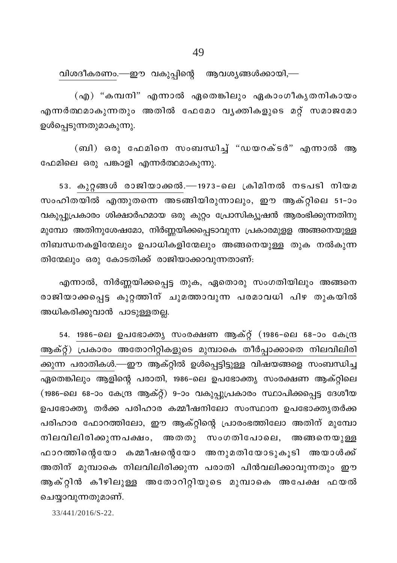വിശദീകരണം.—ഈ വകുപ്പിന്റെ ആവശ്യങ്ങൾക്കായി,—

(എ) "കമ്പനി" എന്നാൽ ഏതെങ്കിലും ഏകാംഗീകൃതനികായം എന്നർത്ഥമാകുന്നതും അതിൽ ഫേമോ വൃക്തികളുടെ മറ്റ് സമാജമോ ഉൾപ്പെടുന്നതുമാകുന്നു.

(ബി) ഒരു ഫേമിനെ സംബന്ധിച്ച് "ഡയറക്ടർ" എന്നാൽ ആ ഫേമിലെ ഒരു പങ്കാളി എന്നർത്ഥമാകുന്നു.

53. കുറ്റങ്ങൾ രാജിയാക്കൽ.—1973-ലെ ക്രിമിനൽ നടപടി നിയമ സംഹിതയിൽ എന്തുതന്നെ അടങ്ങിയിരുന്നാലും, ഈ ആക്റ്റിലെ 51-ാം വകുപ്പുപ്രകാരം ശിക്ഷാർഹമായ ഒരു കുറ്റം പ്രോസിക്യൂഷൻ ആരംഭിക്കുന്നതിനു മുമ്പോ അതിനുശേഷമോ, നിർണ്ണയിക്കപ്പെടാവുന്ന പ്രകാരമുള്ള അങ്ങനെയുള്ള നിബന്ധനകളിന്മേലും ഉപാധികളിന്മേലും അങ്ങനെയുള്ള തുക നൽകുന്ന തിന്മേലും ഒരു കോടതിക്ക് രാജിയാക്കാവുന്നതാണ്:

എന്നാൽ, നിർണ്ണയിക്കപ്പെട്ട തുക, ഏതൊരു സംഗതിയിലും അങ്ങനെ രാജിയാക്കപ്പെട്ട കുറ്റത്തിന് ചുമത്താവുന്ന പരമാവധി പിഴ തുകയിൽ അധികരിക്കുവാൻ പാടുള്ളതല്ല.

54. 1986-ലെ ഉപഭോക്തൃ സംരക്ഷണ ആക്റ്റ് (1986-ലെ 68-ാം കേന്ദ്ര ആക്റ്റ്) പ്രകാരം അതോറിറ്റികളുടെ മുമ്പാകെ തീർപ്പാക്കാതെ നിലവിലിരി ക്കുന്ന പരാതികൾ.—ഈ ആക്റ്റിൽ ഉൾപ്പെട്ടിട്ടുള്ള വിഷയങ്ങളെ സംബന്ധിച്ച ഏതെങ്കിലും ആളിന്റെ പരാതി, 1986-ലെ ഉപഭോക്തൃ സംരക്ഷണ ആക്റ്റിലെ (1986-ലെ 68-ാം കേന്ദ്ര ആക്റ്റ്) 9-ാം വകുപ്പുപ്രകാരം സ്ഥാപിക്കപ്പെട്ട ദേശീയ ഉപഭോക്ത്യ തർക്ക പരിഹാര കമ്മീഷനിലോ സംസ്ഥാന ഉപഭോക്ത്യതർക്ക പരിഹാര ഫോറത്തിലോ, ഈ ആക്റ്റിന്റെ പ്രാരംഭത്തിലോ അതിന് മുമ്പോ നിലവിലിരിക്കുന്നപക്ഷം, അതതു സംഗതിപോലെ, അങ്ങനെയുള്ള ഫാറത്തിന്റെയോ കമ്മീഷന്റെയോ അനുമതിയോടുകൂടി അയാൾക്ക് അതിന് മുമ്പാകെ നിലവിലിരിക്കുന്ന പരാതി പിൻവലിക്കാവുന്നതും ഈ ആക്റ്റിൻ കീഴിലുള്ള അതോറിറ്റിയുടെ മുമ്പാകെ അപേക്ഷ ഫയൽ ചെയ്യാവുന്നതുമാണ്.

33/441/2016/S-22.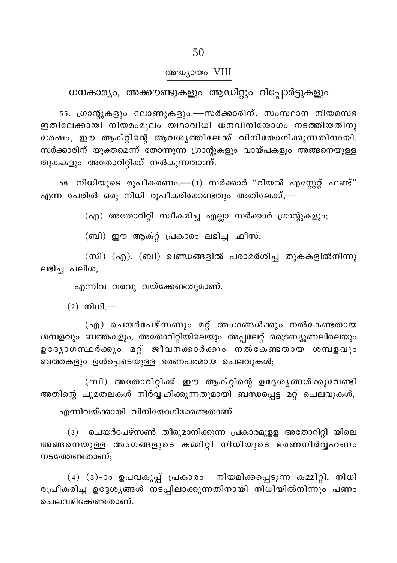ധനകാര്യം, അക്കൗണ്ടുകളും ആഡിറ്റും റിപ്പോർട്ടുകളും

55. ഗ്രാന്റുകളും ലോണുകളും.—സർക്കാരിന്, സംസ്ഥാന നിയമസഭ ഇതിലേക്കായി നിയമംമുലം യഥാവിധി ധനവിനിയോഗം നടത്തിയതിനു ശേഷം, ഈ ആക്റ്റിന്റെ ആവശൃത്തിലേക്ക് വിനിയോഗിക്കുന്നതിനായി, സർക്കാരിന് യുക്തമെന്ന് തോന്നുന്ന ഗ്രാന്റുകളും വായ്പകളും അങ്ങനെയുള്ള തുകകളും അതോറിറ്റിക്ക് നൽകുന്നതാണ്.

56. നിധിയുടെ രൂപീകരണം.—(1) സർക്കാർ "റിയൽ എസ്റ്റേറ്റ് ഫണ്ട്" എന്ന പേരിൽ ഒരു നിധി രൂപീകരിക്കേണ്ടതും അതിലേക്ക്,—

(എ) അതോറിറ്റി സ്വീകരിച്ച എല്ലാ സർക്കാർ ഗ്രാന്റുകളും;

(ബി) ഈ ആക്റ്റ് പ്രകാരം ലഭിച്ച ഫീസ്;

 $(m1)$   $(aq)$ ,  $(m1)$  ഖണ്ഡങ്ങളിൽ പരാമർശിച്ച തുകകളിൽനിന്നു ലഭിച്ച പലിശ,

എന്നിവ വരവു വയ്ക്കേണ്ടതുമാണ്.

 $(2)$  നിധി,—

(എ) ചെയർപേഴ്സണും മറ്റ് അംഗങ്ങൾക്കും നൽകേണ്ടതായ .<br>ശമ്പളവും ബത്തകളും, അതോറിറ്റിയിലെയും അപ്പലേറ്റ് ട്രൈബ്യൂണലിലെയും ഉദ്യോഗസ്ഥർക്കും മറ്റ് ജീവനക്കാർക്കും നൽകേണ്ടതായ ശമ്പളവു<mark>ം</mark> ബത്തകളും ഉൾപ്പെടെയുള്ള ഭരണപരമായ ചെലവുകൾ;

(ബി) അതോറിറ്റിക്ക് ഈ ആക്റ്റിന്റെ ഉദ്ദേശ്യങ്ങൾക്കുവേണ്ടി അതിന്റെ ചുമതലകൾ നിർവ്വഹിക്കുന്നതുമായി ബന്ധപ്പെട്ട മറ്റ് ചെലവുകൾ,

എന്നിവയ്ക്കായി വിനിയോഗിക്കേണ്ടതാണ്.

ചെയർപേഴ്സൺ തീരുമാനിക്കുന്ന പ്രകാരമുളള അതോറിറ്റി യിലെ  $(3)$ അങ്ങനെയുള്ള അംഗങ്ങളുടെ കമ്മിറ്റി നിധിയുടെ ഭരണനിർവ്വഹണം നടത്തേണ്ടതാണ്;

(4) (3)-ാം ഉപവകുപ്പ് പ്രകാരം നിയമിക്കപ്പെടുന്ന കമ്മിറ്റി, നിധി രൂപീകരിച്ച ഉദ്ദേശ്യങ്ങൾ നടപ്പിലാക്കുന്നതിനായി നിധിയിൽനിന്നും പണം ചെലവഴിക്കേണ്ടതാണ്.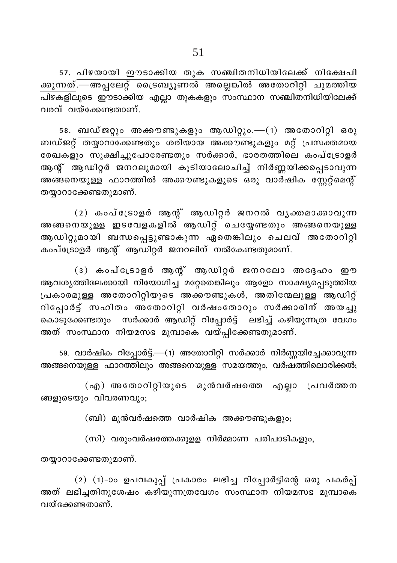57. പിഴയായി ഈടാക്കിയ തുക സഞ്ചിതനിധിയിലേക്ക് നിക്ഷേപി ക്കുന്നത്.—അപ്പലേറ്റ് ട്രൈബ്യൂണൽ അല്ലെങ്കിൽ അതോറിറ്റി ചുമത്തിയ വരവ് വയ്ക്കേണ്ടതാണ്.

58. ബഡ്ജറ്റും അക്കൗണ്ടുകളും ആഡിറ്റും.—(1) അതോറിറ്റി ഒരു ബഡ്ജറ്റ് തയ്യാറാക്കേണ്ടതും ശരിയായ അക്കൗണ്ടുകളും മറ്റ് പ്രസക്തമായ രേഖകളും സൂക്ഷിച്ചുപോരേണ്ടതും സർക്കാർ, ഭാരതത്തിലെ കംപ്ട്രോളർ ആന്റ് ആഡിറ്റർ ജനറലുമായി കൂടിയാലോചിച്ച് നിർണ്ണയിക്കപ്പെടാവുന്ന അങ്ങനെയുള്ള ഫാറത്തിൽ അക്കൗണ്ടുകളുടെ ഒരു വാർഷിക സ്റ്റേറ്റ്മെന്റ് തയ്യാറാക്കേണ്ടതുമാണ്.

(2) കംപ്ട്രോളർ ആന്റ് ആഡിറ്റർ ജനറൽ വൃക്തമാക്കാവുന്ന അങ്ങനെയുള്ള ഇടവേളകളിൽ ആഡിറ്റ് ചെയ്യേണ്ടതും അങ്ങനെയുള്ള ആഡിറ്റുമായി ബന്ധപ്പെട്ടുണ്ടാകുന്ന ഏതെങ്കിലും ചെലവ് അതോറിറ്റി കംപ്ട്രോളർ ആന്റ് ആഡിറ്റർ ജനറലിന് നൽകേണ്ടതുമാണ്.

(3) കംപ്ട്രോളർ ആന്റ് ആഡിറ്റർ ജനറലോ അദ്ദേഹം ഈ ആവശ്യത്തിലേക്കായി നിയോഗിച്ച മറ്റേതെങ്കിലും ആളോ സാക്ഷ്യപ്പെടുത്തിയ പ്രകാരമുള്ള അതോറിറ്റിയുടെ അക്കൗണ്ടുകൾ, അതിന്മേലുള്ള ആഡിറ്റ് റിപ്പോർട്ട് സഹിതം അതോറിറ്റി വർഷംതോറും സർക്കാരിന് അയച്ചു കൊടുക്കേണ്ടതും സർക്കാർ ആഡിറ്റ് റിപ്പോർട്ട് ലഭിച്ച് കഴിയുന്നത്ര വേഗം അത് സംസ്ഥാന നിയമസഭ മുമ്പാകെ വയ്പ്പിക്കേണ്ടതുമാണ്.

59. വാർഷിക റിപ്പോർട്ട്.—(1) അതോറിറ്റി സർക്കാർ നിർണ്ണയിച്ചേക്കാവുന്ന അങ്ങനെയുള്ള ഫാറത്തിലും അങ്ങനെയുള്ള സമയത്തും, വർഷത്തിലൊരിക്കൽ;

(എ) അതോറിറ്റിയുടെ മുൻവർഷത്തെ എല്ലാ പ്രവർത്തന ങ്ങളുടെയും വിവരണവും;

(ബി) മുൻവർഷത്തെ വാർഷിക അക്കൗണ്ടുകളും;

(സി) വരുംവർഷത്തേക്കുളള നിർമ്മാണ പരിപാടികളും,

തയ്യാറാക്കേണ്ടതുമാണ്.

 $(2)$   $(1)$ -ാം ഉപവകുപ്പ് പ്രകാരം ലഭിച്ച റിപ്പോർട്ടിന്റെ ഒരു പകർപ്പ് അത് ലഭിച്ചതിനുശേഷം കഴിയുന്നത്രവേഗം സംസ്ഥാന നിയമസഭ മുമ്പാകെ വയ്ക്കേണ്ടതാണ്.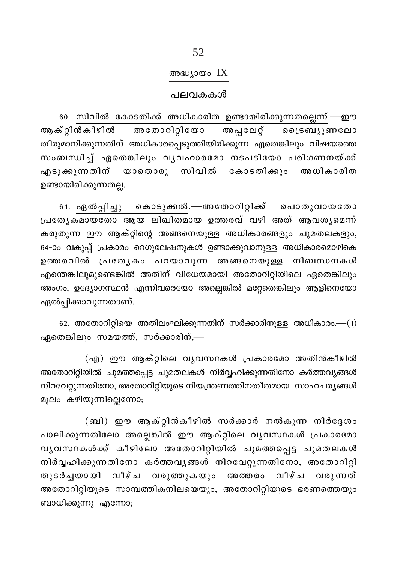## അദ്ധ്യായം IX

#### പലവകകൾ

60. സിവിൽ കോടതിക്ക് അധികാരിത ഉണ്ടായിരിക്കുന്നതല്ലെന്ന്.—ഈ ആക്റ്റിൻകീഴിൽ അതോറിറ്റിയോ അപ്പലേറ്റ് വൈടബ്യൂണലോ തീരുമാനിക്കുന്നതിന് അധികാരപ്പെടുത്തിയിരിക്കുന്ന ഏതെങ്കിലും വിഷയത്തെ സംബന്ധിച്ച് ഏതെങ്കിലും വൃവഹാരമോ നടപടിയോ പരിഗണനയ്ക്ക് എടുക്കുന്നതിന് യാതൊരു സിവിൽ കോടതിക്കും അധികാരിത ഉണ്ടായിരിക്കുന്നതല്ല.

61. ഏൽപ്പിച്ചു കൊടുക്കൽ.—അതോറിറ്റിക്ക് പൊതുവായതോ പ്രത്യേകമായതോ ആയ ലിഖിതമായ ഉത്തരവ് വഴി അത് ആവശ്യമെന്ന് കരുതുന്ന ഈ ആക്റ്റിന്റെ അങ്ങനെയുള്ള അധികാരങ്ങളും ചുമതലകളും, 64-ാം വകുപ്പ് പ്രകാരം റെഗുലേഷനുകൾ ഉണ്ടാക്കുവാനുള്ള അധികാരമൊഴികെ ഉത്തരവിൽ പ്രത്യേകം പറയാവുന്ന അങ്ങനെയുള്ള നിബന്ധനകൾ എന്തെങ്കിലുമുണ്ടെങ്കിൽ അതിന് വിധേയമായി അതോറിറ്റിയിലെ ഏതെങ്കിലും അംഗം, ഉദ്യോഗസ്ഥൻ എന്നിവരെയോ അല്ലെങ്കിൽ മറ്റേതെങ്കിലും ആളിനെയോ ഏൽപ്പിക്കാവുന്നതാണ്.

62. അതോറിറ്റിയെ അതിലംഘിക്കുന്നതിന് സർക്കാരിനുള്ള അധികാരം.— $(1)$ ഏതെങ്കിലും സമയത്ത്, സർക്കാരിന്,—

(എ) ഈ ആക്റ്റിലെ വൃവസ്ഥകൾ പ്രകാരമോ അതിൻകീഴിൽ അതോറിറ്റിയിൽ ചുമത്തപ്പെട്ട ചുമതലകൾ നിർവ്വഹിക്കുന്നതിനോ കർത്തവൃങ്ങൾ നിറവേറ്റുന്നതിനോ, അതോറിറ്റിയുടെ നിയന്ത്രണത്തിനതീതമായ സാഹചര്യങ്ങൾ മൂലം കഴിയുന്നില്ലെന്നോ;

(ബി) ഈ ആക്റ്റിൻകീഴിൽ സർക്കാർ നൽകുന്ന നിർദ്ദേശം പാലിക്കുന്നതിലോ അല്ലെങ്കിൽ ഈ ആക്റ്റിലെ വൃവസ്ഥകൾ പ്രകാരമോ വൃവസ്ഥകൾക്ക് കീഴിലോ അതോറിറ്റിയിൽ ചുമത്തപ്പെട്ട ചുമതലകൾ നിർവ്വഹിക്കുന്നതിനോ കർത്തവൃങ്ങൾ നിറവേറ്റുന്നതിനോ, അതോറിറ്റി തുടർച്ചയായി വീഴ്ച വരുത്തുകയും അത്തരം വീഴ്ച വരുന്നത് അതോറിറ്റിയുടെ സാമ്പത്തികനിലയെയും, അതോറിറ്റിയുടെ ഭരണത്തെയും ബാധിക്കുന്നു എന്നോ;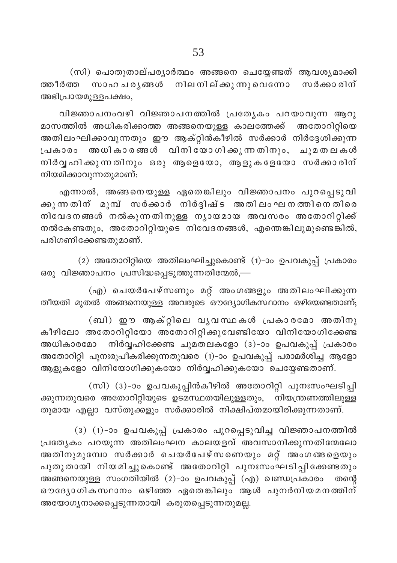(സി) പൊതുതാല്പര്യാർത്ഥം അങ്ങനെ ചെയ്യേണ്ടത് ആവശ്യമാക്കി സാഹചര്യങ്ങൾ നിലനില്ക്കുന്നുവെന്നോ ത്തീർത്ത സർക്കാരിന് അഭിപ്രായമുള്ളപക്ഷം,

വിജ്ഞാപനംവഴി വിജ്ഞാപനത്തിൽ പ്രത്യേകം പറയാവുന്ന ആറു മാസത്തിൽ അധികരിക്കാത്ത അങ്ങനെയുള്ള കാലത്തേക്ക് അതോറിറ്റിയെ .<br>അതിലംഘിക്കാവുന്നതും ഈ ആക്റ്റിൻകീഴിൽ സർക്കാർ നിർദ്ദേശിക്കുന്ന പ്രകാരം അധികാരങ്ങൾ വിനിയോഗിക്കുന്നതിനും, ചുമതലകൾ നിർവൃഹിക്കുന്നതിനും ഒരു ആളെയോ, ആളുകളേയോ സർക്കാരിന് നിയമിക്കാവുന്നതുമാണ്:

എന്നാൽ, അങ്ങനെയുള്ള ഏതെങ്കിലും വിജ്ഞാപനം പുറപ്പെടുവി ക്കുന്നതിന് മുമ്പ് സർക്കാർ നിർദ്ദിഷ്ട അതിലംഘനത്തിനെതിരെ നിവേദനങ്ങൾ നൽകുന്നതിനുള്ള നൃായമായ അവസരം അതോറിറ്റിക്ക് നൽകേണ്ടതും, അതോറിറ്റിയുടെ നിവേദനങ്ങൾ, എന്തെങ്കിലുമുണ്ടെങ്കിൽ, പരിഗണിക്കേണ്ടതുമാണ്.

(2) അതോറിറ്റിയെ അതിലംഘിച്ചുകൊണ്ട് (1)-ാം ഉപവകുപ്പ് പ്രകാരം ഒരു വിജ്ഞാപനം പ്രസിദ്ധപ്പെടുത്തുന്നതിന്മേൽ,—

(എ) ചെയർപേഴ്സണും മറ്റ് അംഗങ്ങളും അതിലംഘിക്കുന്ന തീയതി മുതൽ അങ്ങനെയുള്ള അവരുടെ ഔദ്യോഗികസ്ഥാനം ഒഴിയേണ്ടതാണ്;

(ബി) ഈ ആക്റ്റിലെ വൃവസ്ഥകൾ പ്രകാരമോ അതിനു കീഴിലോ അതോറിറ്റിയോ അതോറിറ്റിക്കുവേണ്ടിയോ വിനിയോഗിക്കേണ്ട അധികാരമോ നിർവ്വഹിക്കേണ്ട ചുമതലകളോ (3)-ാം ഉപവകുപ്പ് പ്രകാരം അതോറിറ്റി പുനഃരൂപീകരിക്കുന്നതുവരെ (1)-ാം ഉപവകുപ്പ് പരാമർശിച്ച ആളോ ആളുകളോ വിനിയോഗിക്കുകയോ നിർവ്വഹിക്കുകയോ ചെയ്യേണ്ടതാണ്.

(സി) (3)-ാം ഉപവകുപ്പിൻകീഴിൽ അതോറിറ്റി പുനഃസംഘടിപ്പി ക്കുന്നതുവരെ അതോറിറ്റിയുടെ ഉടമസ്ഥതയിലുള്ളതും, നിയന്ത്രണത്തിലുള്ള തുമായ എല്ലാ വസ്തുക്കളും സർക്കാരിൽ നിക്ഷിപ്തമായിരിക്കുന്നതാണ്.

(3) (1)-ാം ഉപവകുപ്പ് പ്രകാരം പുറപ്പെടുവിച്ച വിജ്ഞാപനത്തിൽ പ്രത്യേകം പറയുന്ന അതിലംഘന കാലയളവ് അവസാനിക്കുന്നതിന്മേലോ അതിനുമുമ്പോ സർക്കാർ ചെയർപേഴ്സണെയും മറ്റ് അംഗങ്ങളെയും പുതുതായി നിയമിച്ചുകൊണ്ട് അതോറിറ്റി പുനഃസംഘടിപ്പിക്കേണ്ടതും അങ്ങനെയുള്ള സംഗതിയിൽ (2)-ാം ഉപവകുപ്പ് (എ) ഖണ്ഡപ്രകാരം തന്റെ ഔദ്യോഗികസ്ഥാനം ഒഴിഞ്ഞ ഏതെങ്കിലും ആൾ പുനർനിയമനത്തിന് അയോഗ്യനാക്കപ്പെടുന്നതായി കരുതപ്പെടുന്നതുമല്ല.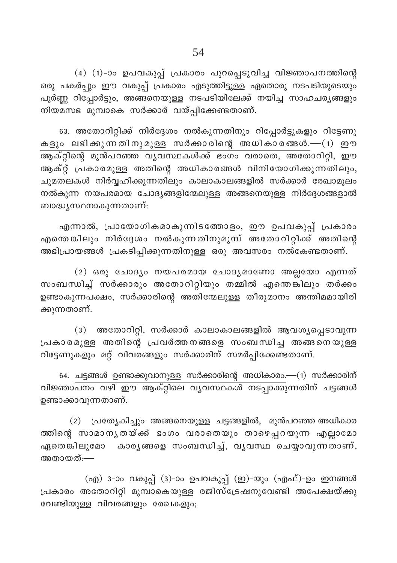(4) (1)-ാം ഉപവകുപ്പ് പ്രകാരം പുറപ്പെടുവിച്ച വിജ്ഞാപനത്തിന്റെ ഒരു പകർപ്പും ഈ വകുപ്പ് പ്രകാരം എടുത്തിട്ടുള്ള ഏതൊരു നടപടിയുടെയും പൂർണ്ണ റിപ്പോർട്ടും, അങ്ങനെയുള്ള നടപടിയിലേക്ക് നയിച്ച സാഹചര്യങ്ങളും നിയമസഭ മുമ്പാകെ സർക്കാർ വയ്പ്പിക്കേണ്ടതാണ്.

63. അതോറിറ്റിക്ക് നിർദ്ദേശം നൽകുന്നതിനും റിപ്പോർട്ടുകളും റിട്ടേണു കളും ലഭിക്കുന്നതിനുമുള്ള സർക്കാരിന്റെ അധികാരങ്ങൾ.—(1) ഈ .<br>ആക്റ്റിന്റെ മുൻപറഞ്ഞ വൃവസ്ഥകൾക്ക് ഭംഗം വരാതെ, അതോറിറ്റി, ഈ ആക്റ്റ് പ്രകാരമുള്ള അതിന്റെ അധികാരങ്ങൾ വിനിയോഗിക്കുന്നതിലും, ചുമതലകൾ നിർവ്വഹിക്കുന്നതിലും കാലാകാലങ്ങളിൽ സർക്കാർ രേഖാമൂലം നൽകുന്ന നയപരമായ ചോദ്യങ്ങളിന്മേലുള്ള അങ്ങനെയുള്ള നിർദ്ദേശങ്ങളാൽ ബാദ്ധൃസ്ഥനാകുന്നതാണ്:

എന്നാൽ, പ്രായോഗികമാകുന്നിടത്തോളം, ഈ ഉപവകുപ്പ് പ്രകാരം എന്തെങ്കിലും നിർദ്ദേശം നൽകുന്നതിനുമുമ്പ് അതോറിറ്റിക്ക് അതിന്റെ അഭിപ്രായങ്ങൾ പ്രകടിപ്പിക്കുന്നതിനുള്ള ഒരു അവസരം നൽകേണ്ടതാണ്.

(2) ഒരു ചോദ്യം നയപരമായ ചോദ്യമാണോ അല്ലയോ എന്നത് സംബന്ധിച്ച് സർക്കാരും അതോറിറ്റിയും തമ്മിൽ എന്തെങ്കിലും തർക്കം ഉണ്ടാകുന്നപക്ഷം, സർക്കാരിന്റെ അതിന്മേലുള്ള തീരുമാനം അന്തിമമായിരി ക്കുന്നതാണ്.

(3) അതോറിറ്റി, സർക്കാർ കാലാകാലങ്ങളിൽ ആവശ്യപ്പെടാവുന്ന പ്രകാരമുള്ള അതിന്റെ പ്രവർത്തനങ്ങളെ സംബന്ധിച്ച അങ്ങനെയുള്ള റിട്ടേണുകളും മറ്റ് വിവരങ്ങളും സർക്കാരിന് സമർപ്പിക്കേണ്ടതാണ്.

64. ചട്ടങ്ങൾ ഉണ്ടാക്കുവാനുള്ള സർക്കാരിന്റെ അധികാരം.—(1) സർക്കാരിന് വിജ്ഞാപനം വഴി ഈ ആക്റ്റിലെ വൃവസ്ഥകൾ നടപ്പാക്കുന്നതിന് ചട്ടങ്ങൾ ഉണ്ടാക്കാവുന്നതാണ്.

(2) പ്രത്യേകിച്ചും അങ്ങനെയുള്ള ചട്ടങ്ങളിൽ, മുൻപറഞ്ഞ അധികാര ത്തിന്റെ സാമാനൃതയ്ക്ക് ഭംഗം വരാതെയും താഴെപ്പറയുന്ന എല്ലാമോ ഏതെങ്കിലുമോ കാരൃങ്ങളെ സംബന്ധിച്ച്, വൃവസ്ഥ ചെയ്യാവുന്നതാണ്, അതായത്:—

(എ) 3-ാം വകുപ്പ് (3)-ാം ഉപവകുപ്പ് (ഇ)-യും (എഫ്)-ഉം ഇനങ്ങൾ പ്രകാരം അതോറിറ്റി മുമ്പാകെയുള്ള രജിസ്ട്രേഷനുവേണ്ടി അപേക്ഷയ്ക്കു വേണ്ടിയുള്ള വിവരങ്ങളും രേഖകളും;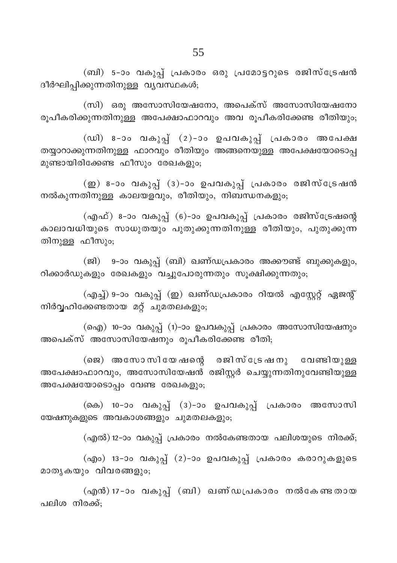(ബി) 5-ാം വകുപ്പ് പ്രകാരം ഒരു പ്രമോട്ടറുടെ രജിസ്ട്രേഷൻ ദീർഘിപ്പിക്കുന്നതിനുള്ള വൃവസ്ഥകൾ;

 $(m)$  ഒരു അസോസിയേഷനോ, അപെക്സ് അസോസിയേഷനോ രൂപീകരിക്കുന്നതിനുള്ള അപേക്ഷാഫാറവും അവ രൂപീകരിക്കേണ്ട രീതിയും;

 $(0, 0)$  8-ാം വകുപ്പ് (2)-ാം ഉപവകുപ്പ് പ്രകാരം അപേക്ഷ തയ്യാറാക്കുന്നതിനുള്ള ഫാറവും രീതിയും അങ്ങനെയുള്ള അപേക്ഷയോടൊപ്പ മുണ്ടായിരിക്കേണ്ട ഫീസും രേഖകളും;

 $(\underline{\mathfrak{w}})$  8-ാം വകുപ്പ് (3)-ാം ഉപവകുപ്പ് പ്രകാരം രജിസ്ട്രേഷൻ നൽകുന്നതിനുള്ള കാലയളവും, രീതിയും, നിബന്ധനകളും<u>;</u>

(എഫ്) 8-ാം വകുപ്പ് (6)-ാം ഉപവകുപ്പ് പ്രകാരം രജിസ്ട്രേഷന്റെ കാലാവധിയുടെ സാധുതയും പുതുക്കുന്നതിനുള്ള രീതിയും, പുതുക്കുന്ന തിനുള്ള ഫീസും;

(ജി) 9-ാം വകുപ്പ് (ബി) ഖണ്ഡപ്രകാരം അക്കൗണ്ട് ബുക്കുകളും, റിക്കാർഡുകളും രേഖകളും വച്ചുപോരുന്നതും സൂക്ഷിക്കുന്നതും;

(എച്ച്) 9-ാം വകുപ്പ് (ഇ) ഖണ്ഡപ്രകാരം റിയൽ എസ്റ്റേറ്റ് ഏജന്റ് നിർവ്വഹിക്കേണ്ടതായ മറ്റ് ചുമതലകളും;

(ഐ) 10-ാം വകുപ്പ് (1)-ാം ഉപവകുപ്പ് പ്രകാരം അസോസിയേഷനും അപെക്സ് അസോസിയേഷനും രൂപീകരിക്കേണ്ട രീതി;

 $($ ജെ) അസോസിയേഷന്റെ രജിസ്ട്രേഷനു വേണ്ടിയുള്ള അപേക്ഷാഫാറവും, അസോസിയേഷൻ രജിസ്റ്റർ ചെയ്യുന്നതിനുവേണ്ടിയുള്ള അപേക്ഷയോടൊപ്പം വേണ്ട രേഖകളും;

(കെ) 10−ാം വകുപ്പ് (3)−ാം ഉപവകുപ്പ് പ്രകാരം അസോസി യേഷനുകളുടെ അവകാശങ്ങളും ചുമതലകളും;

 $(\alpha$ എൽ) 12–ാം വകുപ്പ് പ്രകാരം നൽകേണ്ടതായ പലിശയുടെ നിരക്ക്;

(എം) 13-ാം വകുപ്പ് (2)-ാം ഉപവകുപ്പ് പ്രകാരം കരാറുകളുടെ മാതൃകയും വിവരങ്ങളും;

(എൻ) 17-ാം വകുപ്പ് (ബി) ഖണ്ഡപ്രകാരം നൽകേണ്ടതായ പലിശ നിരക്ക്: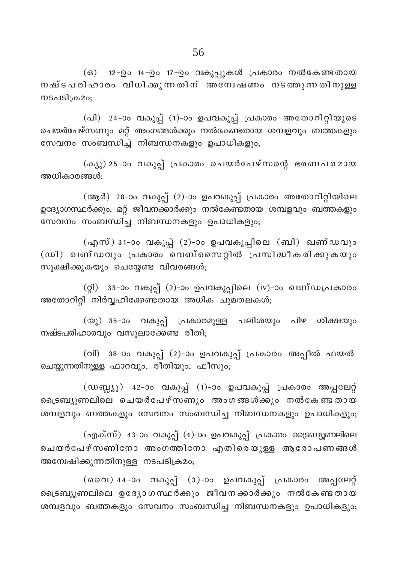(ഒ) 12-ഉം 14-ഉം 17-ഉം വകുപ്പുകൾ പ്രകാരം നൽകേണ്ടതായ നഷ്ടപരിഹാരം വിധിക്കുന്നതിന് അന്വേഷണം നടത്തുന്നതിനുള്ള നടപടിക്രമം;

(പി) 24-ാം വകുപ്പ് (1)-ാം ഉപവകുപ്പ് പ്രകാരം അതോറിറ്റിയുടെ ചെയർപേഴ്സണും മറ്റ് അംഗങ്ങൾക്കും നൽകേണ്ടതായ ശമ്പളവും ബത്തകളും സേവനം സംബന്ധിച്ച് നിബന്ധനകളും ഉപാധികളും;

(ക്യു) 25-ാം വകുപ്പ് പ്രകാരം ചെയർപേഴ്സന്റെ ഭരണപരമായ അധികാരങ്ങൾ:

(ആർ) 28-ാം വകുപ്പ് (2)-ാം ഉപവകുപ്പ് പ്രകാരം അതോറിറ്റിയിലെ ഉദ്യോഗസ്ഥർക്കും, മറ്റ് ജീവനക്കാർക്കും നൽകേണ്ടതായ ശമ്പളവും ബത്തകളും സേവനം സംബന്ധിച്ച നിബന്ധനകളും ഉപാധികളും;

(എസ്) 31-ാം വകുപ്പ് (2)-ാം ഉപവകുപ്പിലെ (ബി) ഖണ്ഡവും (ഡി) ഖണ്ഡവും പ്രകാരം വെബ്സൈറ്റിൽ പ്രസിദ്ധീകരിക്കുകയും സൂക്ഷിക്കുകയും ചെയ്യേണ്ട വിവരങ്ങൾ;

(റ്റി) 33-ാം വകുപ്പ് (2)-ാം ഉപവകുപ്പിലെ (iv)-ാം ഖണ്ഡപ്രകാരം അതോറിറ്റി നിർവ്വഹിക്കേണ്ടതായ അധിക ചുമതലകൾ;

(യു) 35-ാം വകുപ്പ് പ്രകാരമുള്ള പലിശയും പിഴ ശിക്ഷയും നഷ്ടപരിഹാരവും വസൂലാക്കേണ്ട രീതി;

(വി) 38-ാം വകുപ്പ് (2)-ാം ഉപവകുപ്പ് പ്രകാരം അപ്പീൽ ഫയൽ ചെയ്യുന്നതിനുള്ള ഫാറവും, രീതിയും, ഫീസും;

(ഡബ്ല്യൂ) 42-ാം വകുപ്പ് (1)-ാം ഉപവകുപ്പ് പ്രകാരം അപ്പലേറ്റ് ട്രൈബ്യുണലിലെ ചെയർപേഴ്സണും അംഗങ്ങൾക്കും നൽകേണ്ടതായ ശമ്പളവും ബത്തകളും സേവനം സംബന്ധിച്ച നിബന്ധനകളും ഉപാധികളും;

(എക്സ്) 43-ാം വകുപ്പ് (4)-ാം ഉപവകുപ്പ് പ്രകാരം ട്രൈബ്യൂണലിലെ ചെയർപേഴ്സണിനോ അംഗത്തിനോ എതിരെയുള്ള ആരോപണങ്ങൾ അമ്പേഷിക്കുന്നതിനുള്ള നടപടിക്രമം;

(വൈ) 44-ാം വകുപ്പ് (3)-ാം ഉപവകുപ്പ് പ്രകാരം അപ്പലേറ്റ് ട്രൈബ്യൂണലിലെ ഉദ്യോഗസ്ഥർക്കും ജീവനക്കാർക്കും നൽകേണ്ടതായ ശമ്പളവും ബത്തകളും സേവനം സംബന്ധിച്ച നിബന്ധനകളും ഉപാധികളും;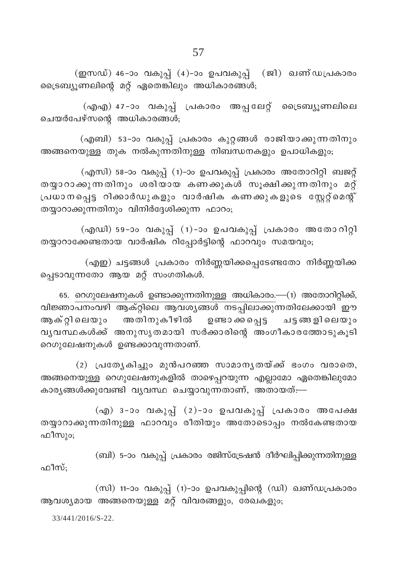(ഇസഡ്) 46-ാം വകുപ്പ് (4)-ാം ഉപവകുപ്പ് (ജി) ഖണ്ഡപ്രകാരം ട്രൈബ്യൂണലിന്റെ മറ്റ് ഏതെങ്കിലും അധികാരങ്ങൾ;

(എഎ) 47-ാം വകുപ്പ് പ്രകാരം അപ്പലേറ്റ് ട്രൈബ്യൂണലിലെ ചെയർപേഴ്സന്റെ അധികാരങ്ങൾ;

(എബി) 53-ാം വകുപ്പ് പ്രകാരം കുറ്റങ്ങൾ രാജിയാക്കുന്നതിനും അങ്ങനെയുള്ള തുക നൽകുന്നതിനുള്ള നിബന്ധനകളും ഉപാധികളും;

(എസി) 58-ാം വകുപ്പ് (1)-ാം ഉപവകുപ്പ് പ്രകാരം അതോറിറ്റി ബജറ്റ് തയ്യാറാക്കുന്നതിനും ശരിയായ കണക്കുകൾ സൂക്ഷിക്കുന്നതിനും മറ്റ് പ്രധാനപ്പെട്ട റിക്കാർഡുകളും വാർഷിക കണക്കുകളുടെ സ്റ്റേറ്റ്മെന്റ് തയ്യാറാക്കുന്നതിനും വിനിർദ്ദേശിക്കുന്ന ഫാറം;

(എഡി) 59-ാം വകുപ്പ് (1)-ാം ഉപവകുപ്പ് പ്രകാരം അതോറിറ്റി തയ്യാറാക്കേണ്ടതായ വാർഷിക റിപ്പോർട്ടിന്റെ ഫാറവും സമയവും;

(എഇ) ചട്ടങ്ങൾ പ്രകാരം നിർണ്ണയിക്കപ്പെടേണ്ടതോ നിർണ്ണയിക്ക പ്പെടാവുന്നതോ ആയ മറ്റ് സംഗതികൾ.

65. റെഗുലേഷനുകൾ ഉണ്ടാക്കുന്നതിനുള്ള അധികാരം.—(1) അതോറിറ്റിക്ക്, വിജ്ഞാപനംവഴി ആക്റ്റിലെ ആവശ്യങ്ങൾ നടപ്പിലാക്കുന്നതിലേക്കായി ഈ ആക്റ്റിലെയും അതിനുകീഴിൽ ഉണ്ടാക്കപ്പെട്ട ചട്ടങ്ങളിലെയും വൃവസ്ഥകൾക്ക് അനുസൃതമായി സർക്കാരിന്റെ അംഗീകാരത്തോടുകൂടി റെഗുലേഷനുകൾ ഉണ്ടക്കാവുന്നതാണ്.

(2) പ്രത്യേകിച്ചും മുൻപറഞ്ഞ സാമാനൃതയ്ക്ക് ഭംഗം വരാതെ, അങ്ങനെയുള്ള റെഗുലേഷനുകളിൽ താഴെപ്പറയുന്ന എല്ലാമോ ഏതെങ്കിലുമോ കാര്യങ്ങൾക്കുവേണ്ടി വ്യവസ്ഥ ചെയ്യാവുന്നതാണ്, അതായത്—

(എ) 3-ാം വകുപ്പ് (2)-ാം ഉപവകുപ്പ് പ്രകാരം അപേക്ഷ തയ്യാറാക്കുന്നതിനുള്ള ഫാറവും രീതിയും അതോടൊപ്പം നൽകേണ്ടതായ ഫീസും;

(ബി) 5-ാം വകുപ്പ് പ്രകാരം രജിസ്ട്രേഷൻ ദീർഘിപ്പിക്കുന്നതിനുള്ള ഫീസ്;

(സി) 11-ാം വകുപ്പ് (1)-ാം ഉപവകുപ്പിന്റെ (ഡി) ഖണ്ഡപ്രകാരം ആവശ്യമായ അങ്ങനെയുള്ള മറ്റ് വിവരങ്ങളും, രേഖകളും,

33/441/2016/S-22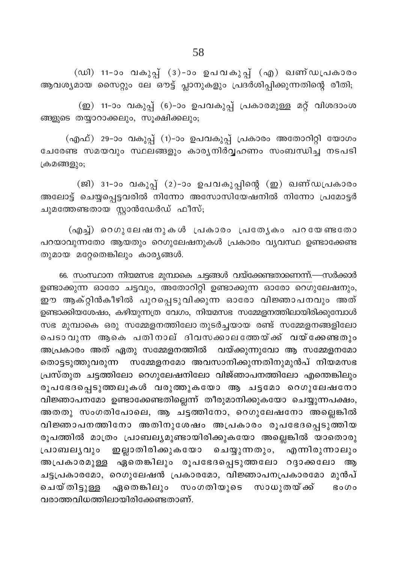(ഡി) 11-ാം വകുപ്പ് (3)-ാം ഉപവകുപ്പ് (എ) ഖണ്ഡപ്രകാരം ആവശ്യമായ സൈറ്റും ലേ ഔട്ട് പ്ലാനുകളും പ്രദർശിപ്പിക്കുന്നതിന്റെ രീതി;

(ഇ) 11-ാം വകുപ്പ് (6)-ാം ഉപവകുപ്പ് പ്രകാരമുള്ള മറ്റ് വിശദാംശ ങ്ങളുടെ തയ്യാറാക്കലും, സൂക്ഷിക്കലും;

(എഫ്) 29-ാം വകുപ്പ് (1)-ാം ഉപവകുപ്പ് പ്രകാരം അതോറിറ്റി യോഗം ചേരേണ്ട സമയവും സ്ഥലങ്ങളും കാര്യനിർവ്വഹണം സംബന്ധിച്ച നടപടി ക്രമങ്ങളും;

(ജി) 31-ാം വകുപ്പ് (2)-ാം ഉപവകുപ്പിന്റെ (ഇ) ഖണ്ഡപ്രകാരം അലോട്ട് ചെയ്യപ്പെട്ടവരിൽ നിന്നോ അസോസിയേഷനിൽ നിന്നോ പ്രമോട്ടർ ചുമത്തേണ്ടതായ സ്റ്റാൻഡേർഡ് ഫീസ്;

(എച്ച്) റെഗുലേഷനുകൾ പ്രകാരം പ്രത്യേകം പറയേണ്ടതോ പറയാവുന്നതോ ആയതും റെഗുലേഷനുകൾ പ്രകാരം വ്യവസ്ഥ ഉണ്ടാക്കേണ്ട തുമായ മറ്റേതെങ്കിലും കാര്യങ്ങൾ.

66. സംസ്ഥാന നിയമസഭ മുമ്പാകെ ചട്ടങ്ങൾ വയ്ക്കേണ്ടതാണെന്ന്.—സർക്കാർ ഉണ്ടാക്കുന്ന ഓരോ ചട്ടവും, അതോറിറ്റി ഉണ്ടാക്കുന്ന ഓരോ റെഗുലേഷനും, ഈ ആക്റ്റിൻകീഴിൽ പുറപ്പെടുവിക്കുന്ന ഓരോ വിജ്ഞാപനവും അത് ഉണ്ടാക്കിയശേഷം, കഴിയുന്നത്ര വേഗം, നിയമസഭ സമ്മേളനത്തിലായിരിക്കുമ്പോൾ സഭ മുമ്പാകെ ഒരു സമ്മേളനത്തിലോ തുടർച്ചയായ രണ്ട് സമ്മേളനങ്ങളിലോ പെടാവുന്ന ആകെ പതിനാല് ദിവസക്കാലത്തേയ്ക്ക് വയ്ക്കേണ്ടതും അപ്രകാരം അത് ഏതു സമ്മേളനത്തിൽ വയ്ക്കുന്നുവോ ആ സമ്മേളനമോ തൊട്ടടുത്തുവരുന്ന സമ്മേളനമോ അവസാനിക്കുന്നതിനുമുൻപ് നിയമസഭ പ്രസ്തുത ചട്ടത്തിലോ റെഗുലേഷനിലോ വിജ്ഞാപനത്തിലോ എന്തെങ്കിലും രൂപഭേദപ്പെടുത്തലുകൾ വരുത്തുകയോ ആ ചട്ടമോ റെഗുലേഷനോ വിജ്ഞാപനമോ ഉണ്ടാക്കേണ്ടതില്ലെന്ന് തീരുമാനിക്കുകയോ ചെയ്യുന്നപക്ഷം, അതതു സംഗതിപോലെ, ആ ചട്ടത്തിനോ, റെഗുലേഷനോ അല്ലെങ്കിൽ വിജ്ഞാപനത്തിനോ അതിനുശേഷം അപ്രകാരം രൂപഭേദപ്പെടുത്തിയ രൂപത്തിൽ മാത്രം പ്രാബല്യമുണ്ടായിരിക്കുകയോ അല്ലെങ്കിൽ യാതൊരു പ്രാബലൃവും ഇല്ലാതിരിക്കുകയോ ചെയ്യുന്നതും, എന്നിരുന്നാലും അപ്രകാരമുള്ള ഏതെങ്കിലും രൂപഭേദപ്പെടുത്തലോ റദ്ദാക്കലോ ആ ചട്ടപ്രകാരമോ, റെഗുലേഷൻ പ്രകാരമോ, വിജ്ഞാപനപ്രകാരമോ മുൻപ് ചെയ്തിട്ടുള്ള ഏതെങ്കിലും സംഗതിയുടെ സാധുതയ്ക്ക് **Bo**Oo വരാത്തവിധത്തിലായിരിക്കേണ്ടതാണ്.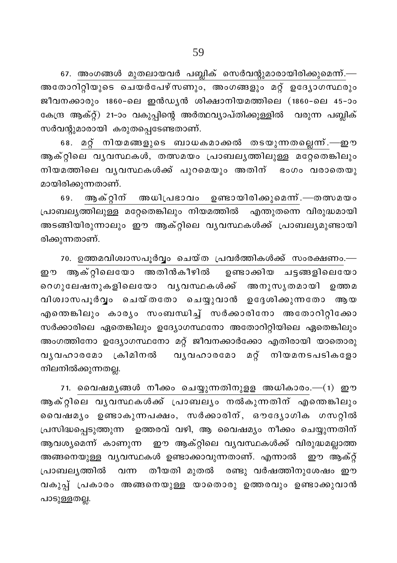67. അംഗങ്ങൾ മുതലായവർ പബ്ലിക് സെർവന്റുമാരായിരിക്കുമെന്ന്.— അതോറിറ്റിയുടെ ചെയർപേഴ്സണും, അംഗങ്ങളും മറ്റ് ഉദ്യോഗസ്ഥരും ജീവനക്കാരും 1860-ലെ ഇൻഡ്യൻ ശിക്ഷാനിയമത്തിലെ (1860-ലെ 45-ാം കേന്ദ്ര ആക്റ്റ്) 21-ാം വകുപ്പിന്റെ അർത്ഥവ്യാപ്തിക്കുള്ളിൽ വരുന്ന പബ്ലിക് സർവന്റുമാരായി കരുതപ്പെടേണ്ടതാണ്.

68. മറ്റ് നിയമങ്ങളുടെ ബാധകമാക്കൽ തടയുന്നതല്ലെന്ന്.—ഈ ആക്റ്റിലെ വൃവസ്ഥകൾ, തത്സമയം പ്രാബലൃത്തിലുള്ള മറ്റേതെങ്കിലും നിയമത്തിലെ വൃവസ്ഥകൾക്ക് പുറമെയും അതിന് ഭംഗം വരാതെയു മായിരിക്കുന്നതാണ്.

69. ആക്റ്റിന് അധിപ്രഭാവം ഉണ്ടായിരിക്കുമെന്.—തത്സമയം പ്രാബല്യത്തിലുള്ള മറ്റേതെങ്കിലും നിയമത്തിൽ എന്തുതന്നെ വിരുദ്ധമായി അടങ്ങിയിരുന്നാലും ഈ ആക്റ്റിലെ വൃവസ്ഥകൾക്ക് പ്രാബല്യമുണ്ടായി രിക്കുന്നതാണ്.

70. ഉത്തമവിശ്വാസപൂർവ്വം ചെയ്ത പ്രവർത്തികൾക്ക് സംരക്ഷണം.— ഈ ആക്റ്റിലെയോ അതിൻകീഴിൽ ഉണ്ടാക്കിയ ചട്ടങ്ങളിലെയോ റെഗുലേഷനുകളിലെയോ വൃവസ്ഥകൾക്ക് അനുസൃതമായി ഉത്തമ വിശ്വാസപൂർവ്വം ചെയ്തതോ ചെയ്യുവാൻ ഉദ്ദേശിക്കുന്നതോ ആയ എന്തെങ്കിലും കാര്യം സംബന്ധിച്ച് സർക്കാരിനോ അതോറിറ്റിക്കോ സർക്കാരിലെ ഏതെങ്കിലും ഉദ്യോഗസ്ഥനോ അതോറിറ്റിയിലെ ഏതെങ്കിലും അംഗത്തിനോ ഉദ്യോഗസ്ഥനോ മറ്റ് ജീവനക്കാർക്കോ എതിരായി യാതൊരു വൃവഹാരമോ ക്രിമിനൽ വൃവഹാരമോ മറ്റ് നിയമനടപടികളോ നിലനിൽക്കുന്നതല്ല.

71. വൈഷമൃങ്ങൾ നീക്കം ചെയ്യുന്നതിനുളള അധികാരം.—(1) ഈ ആക്റ്റിലെ വൃവസ്ഥകൾക്ക് പ്രാബല്യം നൽകുന്നതിന് എന്തെങ്കിലും വൈഷമൃം ഉണ്ടാകുന്നപക്ഷം, സർക്കാരിന്, ഔദ്യോഗിക ഗസറ്റിൽ പ്രസിദ്ധപ്പെടുത്തുന്ന ഉത്തരവ് വഴി, ആ വൈഷമ്യം നീക്കം ചെയ്യുന്നതിന് ആവശ്യമെന്ന് കാണുന്ന . ഈ ആക്റ്റിലെ വ്യവസ്ഥകൾക്ക് വിരുദ്ധമല്ലാത്ത അങ്ങനെയുള്ള വൃവസ്ഥകൾ ഉണ്ടാക്കാവുന്നതാണ്. എന്നാൽ ഈ ആക്റ്റ് തീയതി മുതൽ രണ്ടു വർഷത്തിനുശേഷം ഈ പ്രാബല്യത്തിൽ വന്ന വകുപ്പ് പ്രകാരം അങ്ങനെയുള്ള യാതൊരു ഉത്തരവും ഉണ്ടാക്കുവാൻ പാടുള്ളതല്ല.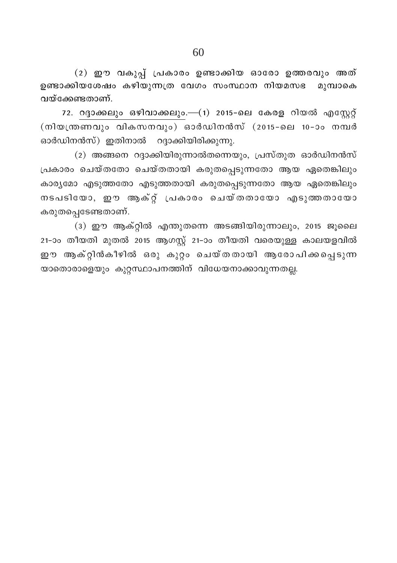$(2)$  ഈ വകുപ്പ് പ്രകാരം ഉണ്ടാക്കിയ ഓരോ ഉത്തരവും അത് ഉണ്ടാക്കിയശേഷം കഴിയുന്നത്ര വേഗം സംസ്ഥാന നിയമസഭ മുമ്പാകെ വയ്ക്കേണ്ടതാണ്.

72. റദ്ദാക്കലും ഒഴിവാക്കലും.—(1) 2015-ലെ കേരള റിയൽ എസ്റ്റേറ്റ്  $(\overline{m} \cdot \overline{m} \cdot \overline{m} \cdot \overline{m} \cdot \overline{m} \cdot \overline{m} \cdot \overline{m} \cdot \overline{m} \cdot \overline{m} \cdot \overline{m} \cdot \overline{m} \cdot \overline{m} \cdot \overline{m} \cdot \overline{m} \cdot \overline{m} \cdot \overline{m} \cdot \overline{m} \cdot \overline{m} \cdot \overline{m} \cdot \overline{m} \cdot \overline{m} \cdot \overline{m} \cdot \overline{m} \cdot \overline{m} \cdot \overline{m} \cdot \overline{m} \cdot \overline{m} \cdot \overline$ ഓർഡിനൻസ്) ഇതിനാൽ റദ്ദാക്കിയിരിക്കുന്നു.

(2) അങ്ങനെ റദ്ദാക്കിയിരുന്നാൽതന്നെയും, പ്രസ്തുത ഓർഡിനൻസ്  $[$ പകാരം ചെയ്തതോ ചെയ്തതായി കരുതപ്പെടുന്നതോ ആയ ഏതെങ്കിലും കാരൃമോ എടുത്തതോ എടുത്തതായി കരുതപ്പെടുന്നതോ ആയ ഏതെങ്കിലു<mark>ം</mark> നടപടിയോ, ഈ ആക്റ്റ് പ്രകാരം ചെയ്തതായോ എടുത്തതായോ കരുതപ്പെടേണ്ടതാണ്.

 $(3)$  ഈ ആക്റ്റിൽ എന്തുതന്നെ അടങ്ങിയിരുന്നാലും, 2015 ജൂലൈ 21-ാം തീയതി മുതൽ 2015 ആഗസ്റ്റ് 21-ാം തീയതി വരെയുള്ള കാലയളവിൽ ഈ ആക്റ്റിൻകീഴിൽ ഒരു കുറ്റം ചെയ്തതായി ആരോപിക്കപ്പെടുന്ന യാതൊരാളെയും കുറ്റസ്ഥാപനത്തിന് വിധേയനാക്കാവുന്നതല്ല.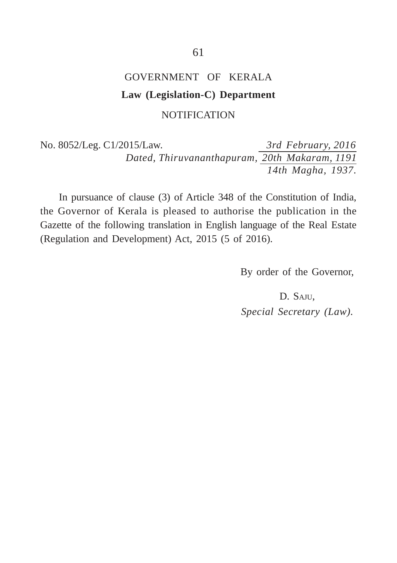# GOVERNMENT OF KERALA **Law (Legislation-C) Department** NOTIFICATION

No. 8052/Leg. C1/2015/Law. *3rd February, 2016 Dated, Thiruvananthapuram, 20th Makaram, 1191 14th Magha, 1937.*

In pursuance of clause (3) of Article 348 of the Constitution of India, the Governor of Kerala is pleased to authorise the publication in the Gazette of the following translation in English language of the Real Estate (Regulation and Development) Act, 2015 (5 of 2016).

By order of the Governor,

D. SAJU, *Special Secretary (Law).*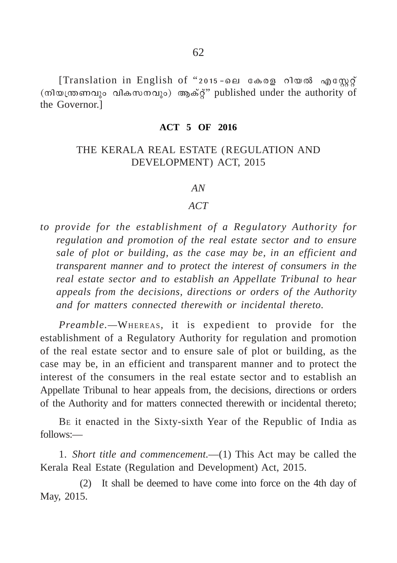[Translation in English of "2015-ലെ കേരള റിയൽ എസ്റ്റേറ്റ് (നിയന്ത്രണവും വികസനവും) ആക്റ്" published under the authority of the Governor.]

#### **ACT 5 OF 2016**

## THE KERALA REAL ESTATE (REGULATION AND DEVELOPMENT) ACT, 2015

#### *AN*

#### *ACT*

*to provide for the establishment of a Regulatory Authority for regulation and promotion of the real estate sector and to ensure sale of plot or building, as the case may be, in an efficient and transparent manner and to protect the interest of consumers in the real estate sector and to establish an Appellate Tribunal to hear appeals from the decisions, directions or orders of the Authority and for matters connected therewith or incidental thereto.*

*Preamble.—*WHEREAS*,* it is expedient to provide for the establishment of a Regulatory Authority for regulation and promotion of the real estate sector and to ensure sale of plot or building, as the case may be, in an efficient and transparent manner and to protect the interest of the consumers in the real estate sector and to establish an Appellate Tribunal to hear appeals from, the decisions, directions or orders of the Authority and for matters connected therewith or incidental thereto;

BE it enacted in the Sixty-sixth Year of the Republic of India as follows:—

1. *Short title and commencement.*—(1) This Act may be called the Kerala Real Estate (Regulation and Development) Act, 2015.

(2) It shall be deemed to have come into force on the 4th day of May, 2015.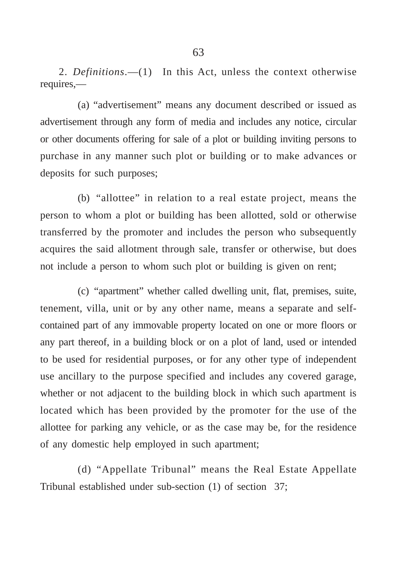2. *Definitions*.—(1) In this Act, unless the context otherwise requires,—

(a) "advertisement" means any document described or issued as advertisement through any form of media and includes any notice, circular or other documents offering for sale of a plot or building inviting persons to purchase in any manner such plot or building or to make advances or deposits for such purposes;

(b) "allottee" in relation to a real estate project, means the person to whom a plot or building has been allotted, sold or otherwise transferred by the promoter and includes the person who subsequently acquires the said allotment through sale, transfer or otherwise, but does not include a person to whom such plot or building is given on rent;

(c) "apartment" whether called dwelling unit, flat, premises, suite, tenement, villa, unit or by any other name, means a separate and selfcontained part of any immovable property located on one or more floors or any part thereof, in a building block or on a plot of land, used or intended to be used for residential purposes, or for any other type of independent use ancillary to the purpose specified and includes any covered garage, whether or not adjacent to the building block in which such apartment is located which has been provided by the promoter for the use of the allottee for parking any vehicle, or as the case may be, for the residence of any domestic help employed in such apartment;

(d) "Appellate Tribunal" means the Real Estate Appellate Tribunal established under sub-section (1) of section 37;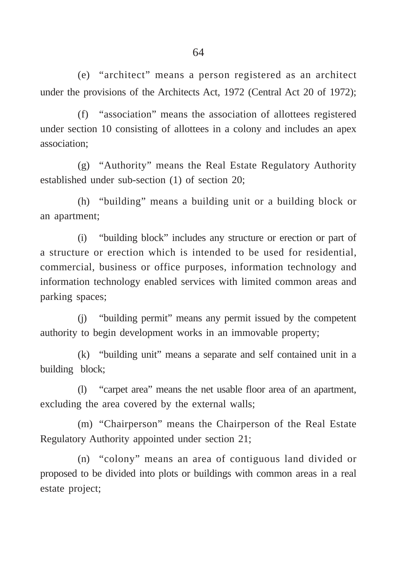(e) "architect" means a person registered as an architect under the provisions of the Architects Act, 1972 (Central Act 20 of 1972);

(f) "association" means the association of allottees registered under section 10 consisting of allottees in a colony and includes an apex association;

(g) "Authority" means the Real Estate Regulatory Authority established under sub-section (1) of section 20;

(h) "building" means a building unit or a building block or an apartment;

(i) "building block" includes any structure or erection or part of a structure or erection which is intended to be used for residential, commercial, business or office purposes, information technology and information technology enabled services with limited common areas and parking spaces;

(j) "building permit" means any permit issued by the competent authority to begin development works in an immovable property;

(k) "building unit" means a separate and self contained unit in a building block;

(l) "carpet area" means the net usable floor area of an apartment, excluding the area covered by the external walls;

(m) "Chairperson" means the Chairperson of the Real Estate Regulatory Authority appointed under section 21;

(n) "colony" means an area of contiguous land divided or proposed to be divided into plots or buildings with common areas in a real estate project;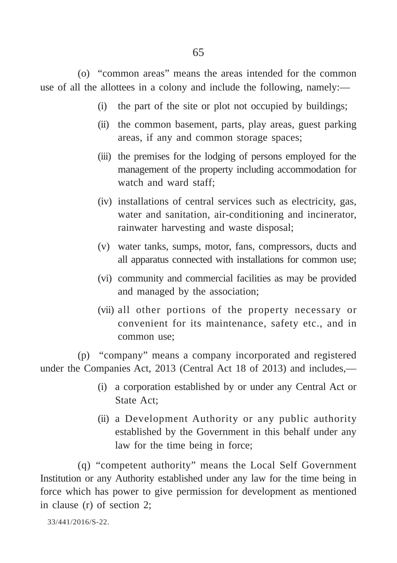(o) "common areas" means the areas intended for the common use of all the allottees in a colony and include the following, namely:—

- (i) the part of the site or plot not occupied by buildings;
- (ii) the common basement, parts, play areas, guest parking areas, if any and common storage spaces;
- (iii) the premises for the lodging of persons employed for the management of the property including accommodation for watch and ward staff;
- (iv) installations of central services such as electricity, gas, water and sanitation, air-conditioning and incinerator, rainwater harvesting and waste disposal;
- (v) water tanks, sumps, motor, fans, compressors, ducts and all apparatus connected with installations for common use;
- (vi) community and commercial facilities as may be provided and managed by the association;
- (vii) all other portions of the property necessary or convenient for its maintenance, safety etc., and in common use;

(p) "company" means a company incorporated and registered under the Companies Act, 2013 (Central Act 18 of 2013) and includes,—

- (i) a corporation established by or under any Central Act or State Act;
- (ii) a Development Authority or any public authority established by the Government in this behalf under any law for the time being in force;

(q) "competent authority" means the Local Self Government Institution or any Authority established under any law for the time being in force which has power to give permission for development as mentioned in clause (r) of section 2;

```
33/441/2016/S-22.
```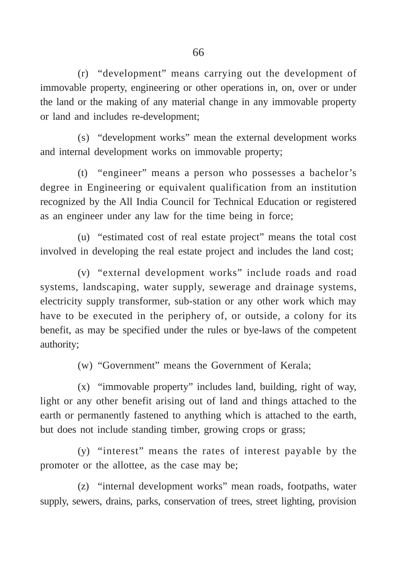(r) "development" means carrying out the development of immovable property, engineering or other operations in, on, over or under the land or the making of any material change in any immovable property or land and includes re-development;

(s) "development works" mean the external development works and internal development works on immovable property;

(t) "engineer" means a person who possesses a bachelor's degree in Engineering or equivalent qualification from an institution recognized by the All India Council for Technical Education or registered as an engineer under any law for the time being in force;

(u) "estimated cost of real estate project" means the total cost involved in developing the real estate project and includes the land cost;

(v) "external development works" include roads and road systems, landscaping, water supply, sewerage and drainage systems, electricity supply transformer, sub-station or any other work which may have to be executed in the periphery of, or outside, a colony for its benefit, as may be specified under the rules or bye-laws of the competent authority;

(w) "Government" means the Government of Kerala;

(x) "immovable property" includes land, building, right of way, light or any other benefit arising out of land and things attached to the earth or permanently fastened to anything which is attached to the earth, but does not include standing timber, growing crops or grass;

(y) "interest" means the rates of interest payable by the promoter or the allottee, as the case may be;

(z) "internal development works" mean roads, footpaths, water supply, sewers, drains, parks, conservation of trees, street lighting, provision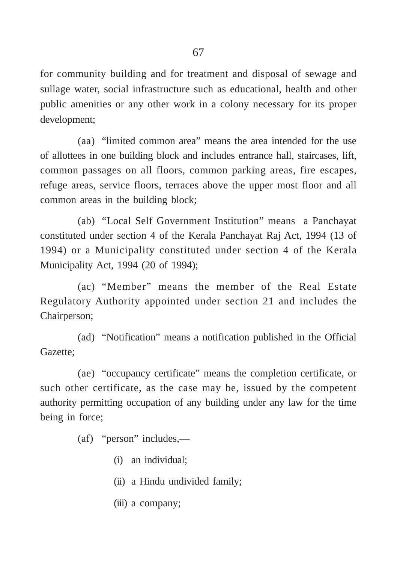for community building and for treatment and disposal of sewage and sullage water, social infrastructure such as educational, health and other public amenities or any other work in a colony necessary for its proper development;

(aa) "limited common area" means the area intended for the use of allottees in one building block and includes entrance hall, staircases, lift, common passages on all floors, common parking areas, fire escapes, refuge areas, service floors, terraces above the upper most floor and all common areas in the building block;

(ab) "Local Self Government Institution" means a Panchayat constituted under section 4 of the Kerala Panchayat Raj Act, 1994 (13 of 1994) or a Municipality constituted under section 4 of the Kerala Municipality Act, 1994 (20 of 1994);

(ac) "Member" means the member of the Real Estate Regulatory Authority appointed under section 21 and includes the Chairperson;

(ad) "Notification" means a notification published in the Official Gazette;

(ae) "occupancy certificate" means the completion certificate, or such other certificate, as the case may be, issued by the competent authority permitting occupation of any building under any law for the time being in force;

(af) "person" includes,—

- (i) an individual;
- (ii) a Hindu undivided family;
- (iii) a company;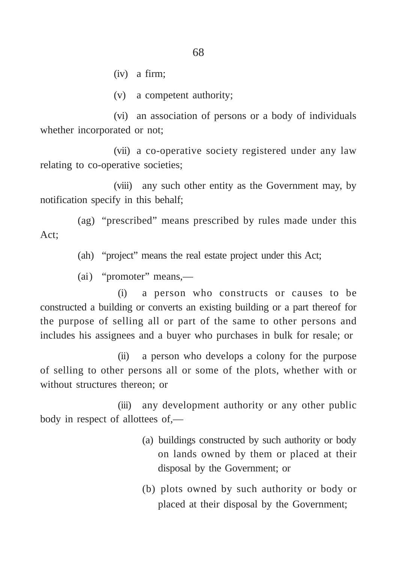(iv) a firm;

(v) a competent authority;

(vi) an association of persons or a body of individuals whether incorporated or not;

(vii) a co-operative society registered under any law relating to co-operative societies;

(viii) any such other entity as the Government may, by notification specify in this behalf;

(ag) "prescribed" means prescribed by rules made under this Act;

(ah) "project" means the real estate project under this Act;

(ai) "promoter" means,—

(i) a person who constructs or causes to be constructed a building or converts an existing building or a part thereof for the purpose of selling all or part of the same to other persons and includes his assignees and a buyer who purchases in bulk for resale; or

(ii) a person who develops a colony for the purpose of selling to other persons all or some of the plots, whether with or without structures thereon; or

(iii) any development authority or any other public body in respect of allottees of,—

- (a) buildings constructed by such authority or body on lands owned by them or placed at their disposal by the Government; or
- (b) plots owned by such authority or body or placed at their disposal by the Government;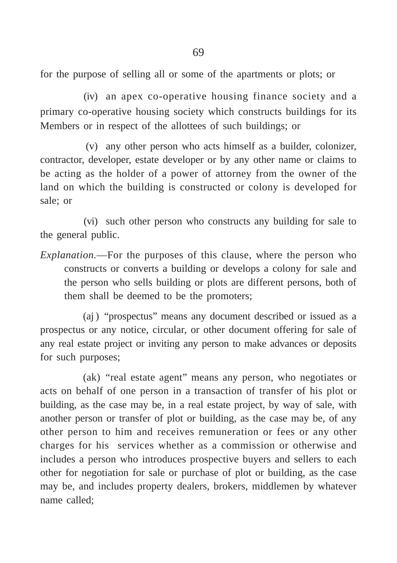for the purpose of selling all or some of the apartments or plots; or

(iv) an apex co-operative housing finance society and a primary co-operative housing society which constructs buildings for its Members or in respect of the allottees of such buildings; or

(v) any other person who acts himself as a builder, colonizer, contractor, developer, estate developer or by any other name or claims to be acting as the holder of a power of attorney from the owner of the land on which the building is constructed or colony is developed for sale; or

(vi) such other person who constructs any building for sale to the general public.

*Explanation.*—For the purposes of this clause, where the person who constructs or converts a building or develops a colony for sale and the person who sells building or plots are different persons, both of them shall be deemed to be the promoters;

(aj) "prospectus" means any document described or issued as a prospectus or any notice, circular, or other document offering for sale of any real estate project or inviting any person to make advances or deposits for such purposes;

(ak) "real estate agent" means any person, who negotiates or acts on behalf of one person in a transaction of transfer of his plot or building, as the case may be, in a real estate project, by way of sale, with another person or transfer of plot or building, as the case may be, of any other person to him and receives remuneration or fees or any other charges for his services whether as a commission or otherwise and includes a person who introduces prospective buyers and sellers to each other for negotiation for sale or purchase of plot or building, as the case may be, and includes property dealers, brokers, middlemen by whatever name called;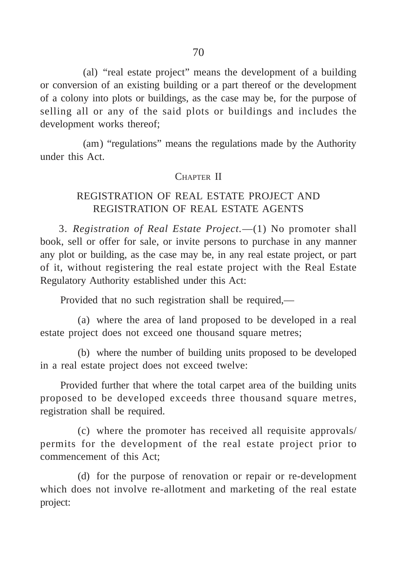(al) "real estate project" means the development of a building or conversion of an existing building or a part thereof or the development of a colony into plots or buildings, as the case may be, for the purpose of selling all or any of the said plots or buildings and includes the development works thereof;

(am) "regulations" means the regulations made by the Authority under this Act.

## CHAPTER II

# REGISTRATION OF REAL ESTATE PROJECT AND REGISTRATION OF REAL ESTATE AGENTS

3. *Registration of Real Estate Project.*—(1) No promoter shall book, sell or offer for sale, or invite persons to purchase in any manner any plot or building, as the case may be, in any real estate project, or part of it, without registering the real estate project with the Real Estate Regulatory Authority established under this Act:

Provided that no such registration shall be required,—

(a) where the area of land proposed to be developed in a real estate project does not exceed one thousand square metres;

(b) where the number of building units proposed to be developed in a real estate project does not exceed twelve:

Provided further that where the total carpet area of the building units proposed to be developed exceeds three thousand square metres, registration shall be required.

(c) where the promoter has received all requisite approvals/ permits for the development of the real estate project prior to commencement of this Act;

(d) for the purpose of renovation or repair or re-development which does not involve re-allotment and marketing of the real estate project: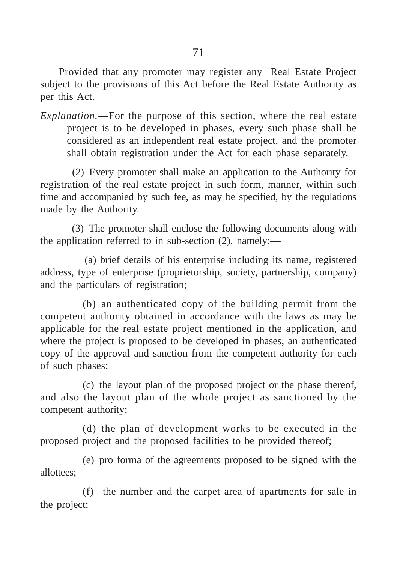Provided that any promoter may register any Real Estate Project subject to the provisions of this Act before the Real Estate Authority as per this Act.

*Explanation.*—For the purpose of this section, where the real estate project is to be developed in phases, every such phase shall be considered as an independent real estate project, and the promoter shall obtain registration under the Act for each phase separately.

(2) Every promoter shall make an application to the Authority for registration of the real estate project in such form, manner, within such time and accompanied by such fee, as may be specified, by the regulations made by the Authority.

(3) The promoter shall enclose the following documents along with the application referred to in sub-section (2), namely:—

(a) brief details of his enterprise including its name, registered address, type of enterprise (proprietorship, society, partnership, company) and the particulars of registration;

(b) an authenticated copy of the building permit from the competent authority obtained in accordance with the laws as may be applicable for the real estate project mentioned in the application, and where the project is proposed to be developed in phases, an authenticated copy of the approval and sanction from the competent authority for each of such phases;

(c) the layout plan of the proposed project or the phase thereof, and also the layout plan of the whole project as sanctioned by the competent authority;

(d) the plan of development works to be executed in the proposed project and the proposed facilities to be provided thereof;

(e) pro forma of the agreements proposed to be signed with the allottees;

(f) the number and the carpet area of apartments for sale in the project;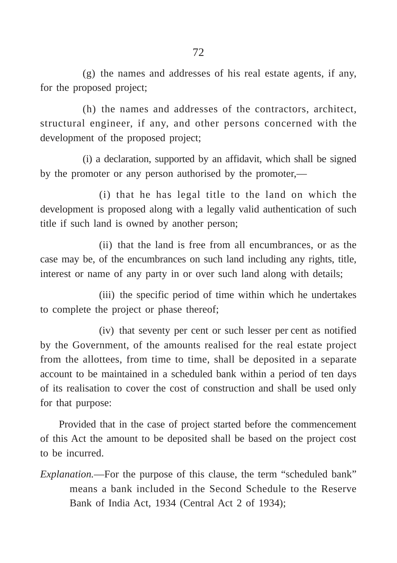(g) the names and addresses of his real estate agents, if any, for the proposed project;

(h) the names and addresses of the contractors, architect, structural engineer, if any, and other persons concerned with the development of the proposed project;

(i) a declaration, supported by an affidavit, which shall be signed by the promoter or any person authorised by the promoter,—

(i) that he has legal title to the land on which the development is proposed along with a legally valid authentication of such title if such land is owned by another person;

(ii) that the land is free from all encumbrances, or as the case may be, of the encumbrances on such land including any rights, title, interest or name of any party in or over such land along with details;

(iii) the specific period of time within which he undertakes to complete the project or phase thereof;

(iv) that seventy per cent or such lesser per cent as notified by the Government, of the amounts realised for the real estate project from the allottees, from time to time, shall be deposited in a separate account to be maintained in a scheduled bank within a period of ten days of its realisation to cover the cost of construction and shall be used only for that purpose:

Provided that in the case of project started before the commencement of this Act the amount to be deposited shall be based on the project cost to be incurred.

*Explanation.*—For the purpose of this clause, the term "scheduled bank" means a bank included in the Second Schedule to the Reserve Bank of India Act, 1934 (Central Act 2 of 1934);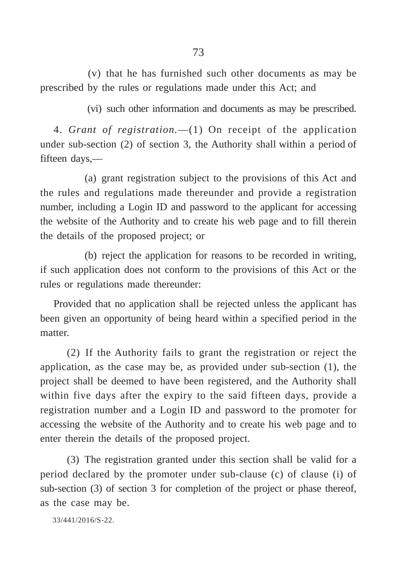(v) that he has furnished such other documents as may be prescribed by the rules or regulations made under this Act; and

(vi) such other information and documents as may be prescribed.

4. *Grant of registration.*—(1) On receipt of the application under sub-section (2) of section 3, the Authority shall within a period of fifteen days,—

(a) grant registration subject to the provisions of this Act and the rules and regulations made thereunder and provide a registration number, including a Login ID and password to the applicant for accessing the website of the Authority and to create his web page and to fill therein the details of the proposed project; or

(b) reject the application for reasons to be recorded in writing, if such application does not conform to the provisions of this Act or the rules or regulations made thereunder:

Provided that no application shall be rejected unless the applicant has been given an opportunity of being heard within a specified period in the matter.

(2) If the Authority fails to grant the registration or reject the application, as the case may be, as provided under sub-section (1), the project shall be deemed to have been registered, and the Authority shall within five days after the expiry to the said fifteen days, provide a registration number and a Login ID and password to the promoter for accessing the website of the Authority and to create his web page and to enter therein the details of the proposed project.

(3) The registration granted under this section shall be valid for a period declared by the promoter under sub-clause (c) of clause (i) of sub-section (3) of section 3 for completion of the project or phase thereof, as the case may be.

33/441/2016/S-22.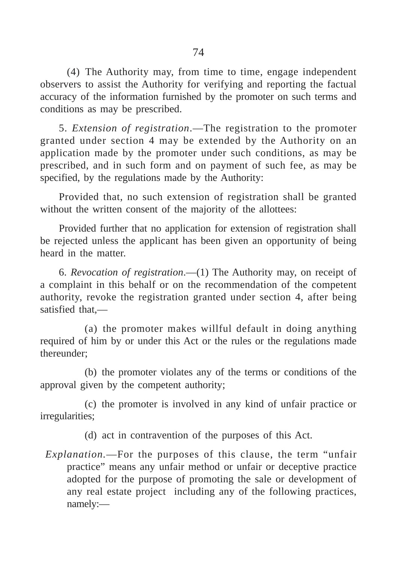(4) The Authority may, from time to time, engage independent observers to assist the Authority for verifying and reporting the factual accuracy of the information furnished by the promoter on such terms and conditions as may be prescribed.

5. *Extension of registration*.—The registration to the promoter granted under section 4 may be extended by the Authority on an application made by the promoter under such conditions, as may be prescribed, and in such form and on payment of such fee, as may be specified, by the regulations made by the Authority:

Provided that, no such extension of registration shall be granted without the written consent of the majority of the allottees:

Provided further that no application for extension of registration shall be rejected unless the applicant has been given an opportunity of being heard in the matter.

6. *Revocation of registration*.—(1) The Authority may, on receipt of a complaint in this behalf or on the recommendation of the competent authority, revoke the registration granted under section 4, after being satisfied that,—

(a) the promoter makes willful default in doing anything required of him by or under this Act or the rules or the regulations made thereunder;

(b) the promoter violates any of the terms or conditions of the approval given by the competent authority;

(c) the promoter is involved in any kind of unfair practice or irregularities;

(d) act in contravention of the purposes of this Act.

*Explanation.*—For the purposes of this clause, the term "unfair practice" means any unfair method or unfair or deceptive practice adopted for the purpose of promoting the sale or development of any real estate project including any of the following practices, namely:—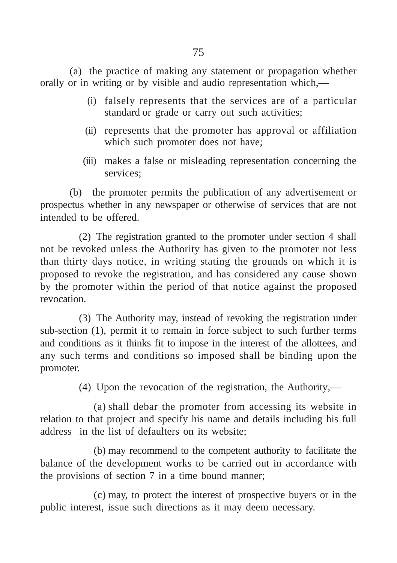(a) the practice of making any statement or propagation whether orally or in writing or by visible and audio representation which,—

- (i) falsely represents that the services are of a particular standard or grade or carry out such activities;
- (ii) represents that the promoter has approval or affiliation which such promoter does not have;
- (iii) makes a false or misleading representation concerning the services;

(b) the promoter permits the publication of any advertisement or prospectus whether in any newspaper or otherwise of services that are not intended to be offered.

(2) The registration granted to the promoter under section 4 shall not be revoked unless the Authority has given to the promoter not less than thirty days notice, in writing stating the grounds on which it is proposed to revoke the registration, and has considered any cause shown by the promoter within the period of that notice against the proposed revocation.

(3) The Authority may, instead of revoking the registration under sub-section (1), permit it to remain in force subject to such further terms and conditions as it thinks fit to impose in the interest of the allottees, and any such terms and conditions so imposed shall be binding upon the promoter.

(4) Upon the revocation of the registration, the Authority*,*—

(a) shall debar the promoter from accessing its website in relation to that project and specify his name and details including his full address in the list of defaulters on its website;

(b) may recommend to the competent authority to facilitate the balance of the development works to be carried out in accordance with the provisions of section 7 in a time bound manner;

(c) may, to protect the interest of prospective buyers or in the public interest, issue such directions as it may deem necessary.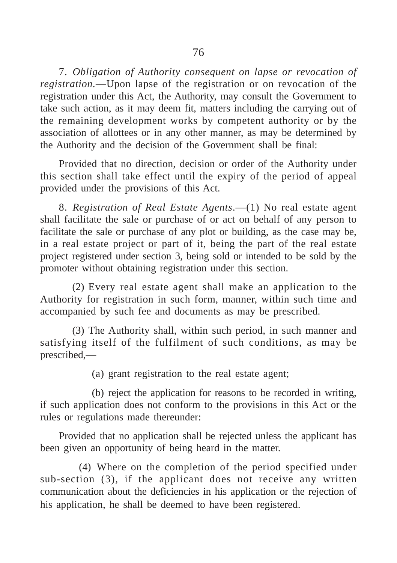7. *Obligation of Authority consequent on lapse or revocation of registration.*—Upon lapse of the registration or on revocation of the registration under this Act, the Authority, may consult the Government to take such action, as it may deem fit, matters including the carrying out of the remaining development works by competent authority or by the association of allottees or in any other manner, as may be determined by the Authority and the decision of the Government shall be final:

Provided that no direction, decision or order of the Authority under this section shall take effect until the expiry of the period of appeal provided under the provisions of this Act.

8. *Registration of Real Estate Agents*.—(1) No real estate agent shall facilitate the sale or purchase of or act on behalf of any person to facilitate the sale or purchase of any plot or building, as the case may be, in a real estate project or part of it, being the part of the real estate project registered under section 3, being sold or intended to be sold by the promoter without obtaining registration under this section.

(2) Every real estate agent shall make an application to the Authority for registration in such form, manner, within such time and accompanied by such fee and documents as may be prescribed.

(3) The Authority shall, within such period, in such manner and satisfying itself of the fulfilment of such conditions, as may be prescribed,—

(a) grant registration to the real estate agent;

(b) reject the application for reasons to be recorded in writing, if such application does not conform to the provisions in this Act or the rules or regulations made thereunder:

Provided that no application shall be rejected unless the applicant has been given an opportunity of being heard in the matter.

(4) Where on the completion of the period specified under sub-section (3), if the applicant does not receive any written communication about the deficiencies in his application or the rejection of his application, he shall be deemed to have been registered.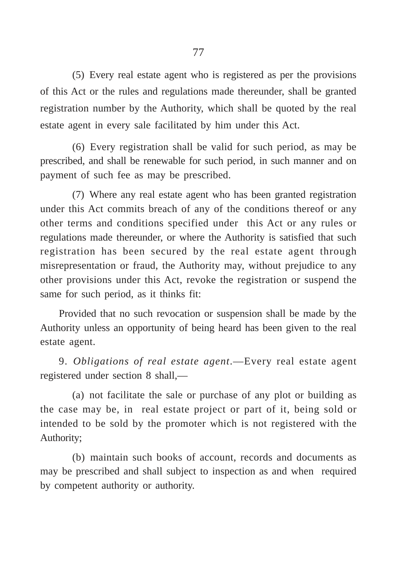(5) Every real estate agent who is registered as per the provisions of this Act or the rules and regulations made thereunder, shall be granted registration number by the Authority, which shall be quoted by the real estate agent in every sale facilitated by him under this Act.

(6) Every registration shall be valid for such period, as may be prescribed, and shall be renewable for such period, in such manner and on payment of such fee as may be prescribed.

(7) Where any real estate agent who has been granted registration under this Act commits breach of any of the conditions thereof or any other terms and conditions specified under this Act or any rules or regulations made thereunder, or where the Authority is satisfied that such registration has been secured by the real estate agent through misrepresentation or fraud, the Authority may, without prejudice to any other provisions under this Act, revoke the registration or suspend the same for such period, as it thinks fit:

Provided that no such revocation or suspension shall be made by the Authority unless an opportunity of being heard has been given to the real estate agent.

9. *Obligations of real estate agent*.—Every real estate agent registered under section 8 shall,—

(a) not facilitate the sale or purchase of any plot or building as the case may be, in real estate project or part of it, being sold or intended to be sold by the promoter which is not registered with the Authority;

(b) maintain such books of account, records and documents as may be prescribed and shall subject to inspection as and when required by competent authority or authority.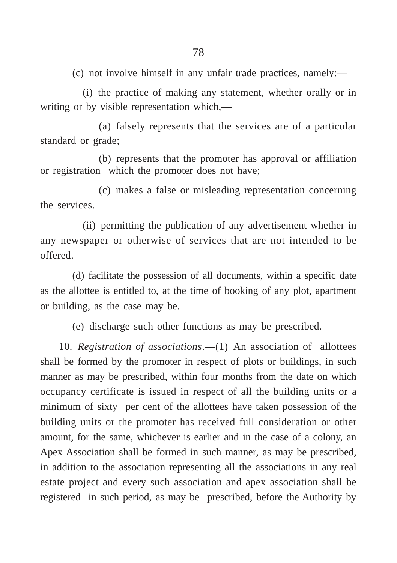(c) not involve himself in any unfair trade practices, namely:—

(i) the practice of making any statement, whether orally or in writing or by visible representation which,—

(a) falsely represents that the services are of a particular standard or grade;

(b) represents that the promoter has approval or affiliation or registration which the promoter does not have;

(c) makes a false or misleading representation concerning the services.

(ii) permitting the publication of any advertisement whether in any newspaper or otherwise of services that are not intended to be offered.

(d) facilitate the possession of all documents, within a specific date as the allottee is entitled to, at the time of booking of any plot, apartment or building, as the case may be.

(e) discharge such other functions as may be prescribed.

10. *Registration of associations*.—(1) An association of allottees shall be formed by the promoter in respect of plots or buildings, in such manner as may be prescribed, within four months from the date on which occupancy certificate is issued in respect of all the building units or a minimum of sixty per cent of the allottees have taken possession of the building units or the promoter has received full consideration or other amount, for the same, whichever is earlier and in the case of a colony, an Apex Association shall be formed in such manner, as may be prescribed, in addition to the association representing all the associations in any real estate project and every such association and apex association shall be registered in such period, as may be prescribed, before the Authority by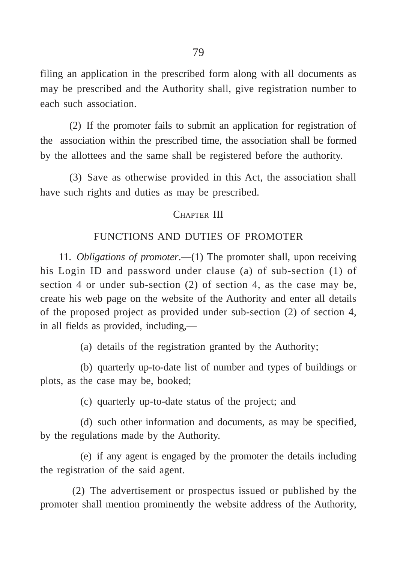filing an application in the prescribed form along with all documents as may be prescribed and the Authority shall, give registration number to each such association.

(2) If the promoter fails to submit an application for registration of the association within the prescribed time, the association shall be formed by the allottees and the same shall be registered before the authority.

(3) Save as otherwise provided in this Act, the association shall have such rights and duties as may be prescribed.

### CHAPTER III

## FUNCTIONS AND DUTIES OF PROMOTER

11. *Obligations of promoter*.—(1) The promoter shall, upon receiving his Login ID and password under clause (a) of sub-section (1) of section 4 or under sub-section (2) of section 4, as the case may be, create his web page on the website of the Authority and enter all details of the proposed project as provided under sub-section (2) of section 4, in all fields as provided, including,—

(a) details of the registration granted by the Authority;

(b) quarterly up-to-date list of number and types of buildings or plots, as the case may be, booked;

(c) quarterly up-to-date status of the project; and

(d) such other information and documents, as may be specified, by the regulations made by the Authority.

(e) if any agent is engaged by the promoter the details including the registration of the said agent.

(2) The advertisement or prospectus issued or published by the promoter shall mention prominently the website address of the Authority,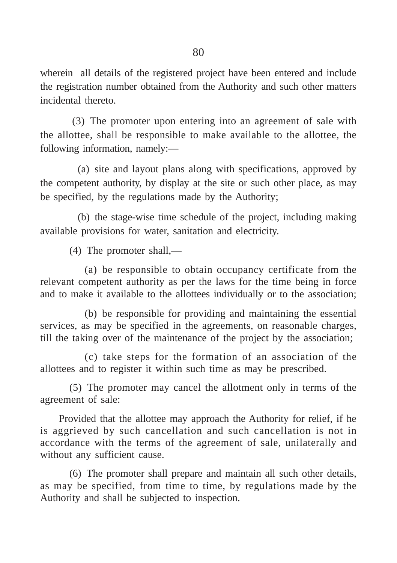wherein all details of the registered project have been entered and include the registration number obtained from the Authority and such other matters incidental thereto.

(3) The promoter upon entering into an agreement of sale with the allottee, shall be responsible to make available to the allottee, the following information, namely:—

(a) site and layout plans along with specifications, approved by the competent authority, by display at the site or such other place, as may be specified, by the regulations made by the Authority;

(b) the stage-wise time schedule of the project, including making available provisions for water, sanitation and electricity.

(4) The promoter shall,—

(a) be responsible to obtain occupancy certificate from the relevant competent authority as per the laws for the time being in force and to make it available to the allottees individually or to the association;

(b) be responsible for providing and maintaining the essential services, as may be specified in the agreements, on reasonable charges, till the taking over of the maintenance of the project by the association;

(c) take steps for the formation of an association of the allottees and to register it within such time as may be prescribed.

(5) The promoter may cancel the allotment only in terms of the agreement of sale:

Provided that the allottee may approach the Authority for relief, if he is aggrieved by such cancellation and such cancellation is not in accordance with the terms of the agreement of sale, unilaterally and without any sufficient cause.

(6) The promoter shall prepare and maintain all such other details, as may be specified, from time to time, by regulations made by the Authority and shall be subjected to inspection.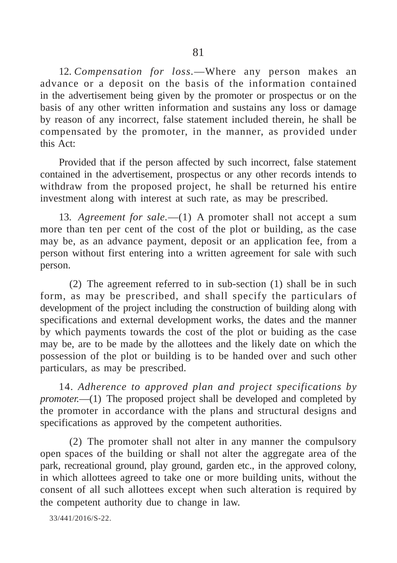12. *Compensation for loss.*—Where any person makes an advance or a deposit on the basis of the information contained in the advertisement being given by the promoter or prospectus or on the basis of any other written information and sustains any loss or damage by reason of any incorrect, false statement included therein, he shall be compensated by the promoter, in the manner, as provided under this Act:

Provided that if the person affected by such incorrect, false statement contained in the advertisement, prospectus or any other records intends to withdraw from the proposed project, he shall be returned his entire investment along with interest at such rate, as may be prescribed.

13. *Agreement for sale.*—(1) A promoter shall not accept a sum more than ten per cent of the cost of the plot or building, as the case may be, as an advance payment, deposit or an application fee, from a person without first entering into a written agreement for sale with such person.

(2) The agreement referred to in sub-section (1) shall be in such form, as may be prescribed, and shall specify the particulars of development of the project including the construction of building along with specifications and external development works, the dates and the manner by which payments towards the cost of the plot or buiding as the case may be, are to be made by the allottees and the likely date on which the possession of the plot or building is to be handed over and such other particulars, as may be prescribed.

14. *Adherence to approved plan and project specifications by promoter.*—(1) The proposed project shall be developed and completed by the promoter in accordance with the plans and structural designs and specifications as approved by the competent authorities.

(2) The promoter shall not alter in any manner the compulsory open spaces of the building or shall not alter the aggregate area of the park, recreational ground, play ground, garden etc., in the approved colony, in which allottees agreed to take one or more building units, without the consent of all such allottees except when such alteration is required by the competent authority due to change in law.

33/441/2016/S-22.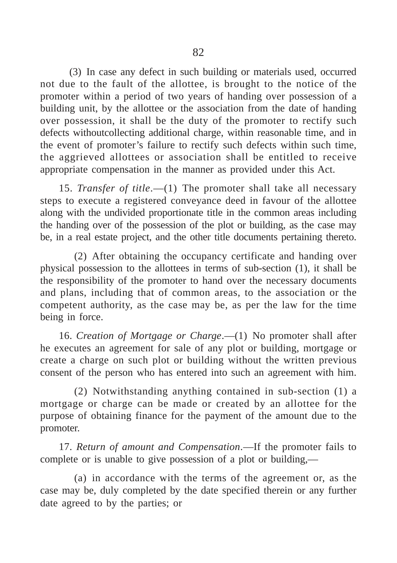(3) In case any defect in such building or materials used, occurred not due to the fault of the allottee, is brought to the notice of the promoter within a period of two years of handing over possession of a building unit, by the allottee or the association from the date of handing over possession, it shall be the duty of the promoter to rectify such defects withoutcollecting additional charge, within reasonable time, and in the event of promoter's failure to rectify such defects within such time, the aggrieved allottees or association shall be entitled to receive appropriate compensation in the manner as provided under this Act.

15. *Transfer of title*.—(1) The promoter shall take all necessary steps to execute a registered conveyance deed in favour of the allottee along with the undivided proportionate title in the common areas including the handing over of the possession of the plot or building, as the case may be, in a real estate project, and the other title documents pertaining thereto.

(2) After obtaining the occupancy certificate and handing over physical possession to the allottees in terms of sub-section (1), it shall be the responsibility of the promoter to hand over the necessary documents and plans, including that of common areas, to the association or the competent authority, as the case may be, as per the law for the time being in force.

16. *Creation of Mortgage or Charge*.—(1) No promoter shall after he executes an agreement for sale of any plot or building, mortgage or create a charge on such plot or building without the written previous consent of the person who has entered into such an agreement with him.

(2) Notwithstanding anything contained in sub-section (1) a mortgage or charge can be made or created by an allottee for the purpose of obtaining finance for the payment of the amount due to the promoter.

17. *Return of amount and Compensation*.—If the promoter fails to complete or is unable to give possession of a plot or building,—

(a) in accordance with the terms of the agreement or, as the case may be, duly completed by the date specified therein or any further date agreed to by the parties; or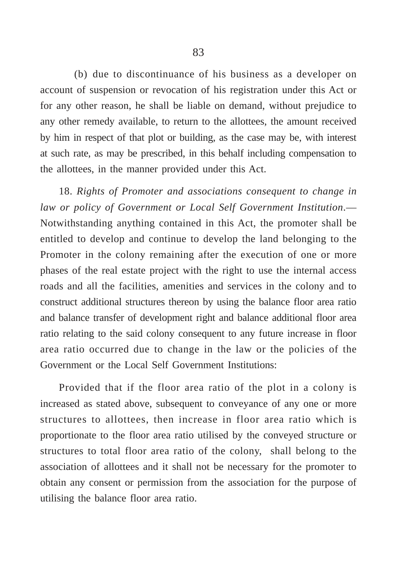(b) due to discontinuance of his business as a developer on account of suspension or revocation of his registration under this Act or for any other reason, he shall be liable on demand, without prejudice to any other remedy available, to return to the allottees, the amount received by him in respect of that plot or building, as the case may be, with interest at such rate, as may be prescribed, in this behalf including compensation to the allottees, in the manner provided under this Act.

18. *Rights of Promoter and associations consequent to change in law or policy of Government or Local Self Government Institution*.— Notwithstanding anything contained in this Act, the promoter shall be entitled to develop and continue to develop the land belonging to the Promoter in the colony remaining after the execution of one or more phases of the real estate project with the right to use the internal access roads and all the facilities, amenities and services in the colony and to construct additional structures thereon by using the balance floor area ratio and balance transfer of development right and balance additional floor area ratio relating to the said colony consequent to any future increase in floor area ratio occurred due to change in the law or the policies of the Government or the Local Self Government Institutions:

Provided that if the floor area ratio of the plot in a colony is increased as stated above, subsequent to conveyance of any one or more structures to allottees, then increase in floor area ratio which is proportionate to the floor area ratio utilised by the conveyed structure or structures to total floor area ratio of the colony, shall belong to the association of allottees and it shall not be necessary for the promoter to obtain any consent or permission from the association for the purpose of utilising the balance floor area ratio.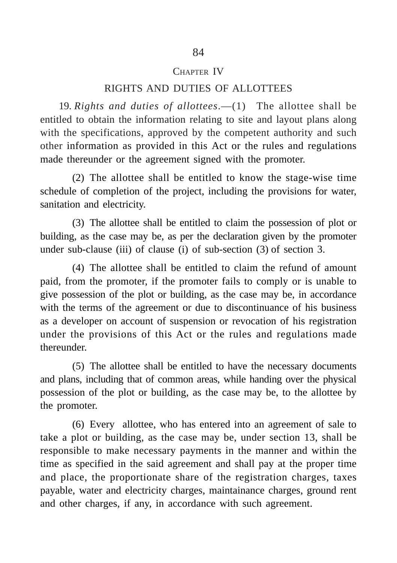#### CHAPTER IV

#### RIGHTS AND DUTIES OF ALLOTTEES

19. *Rights and duties of allottees*.—(1) The allottee shall be entitled to obtain the information relating to site and layout plans along with the specifications, approved by the competent authority and such other information as provided in this Act or the rules and regulations made thereunder or the agreement signed with the promoter.

(2) The allottee shall be entitled to know the stage-wise time schedule of completion of the project, including the provisions for water, sanitation and electricity.

(3) The allottee shall be entitled to claim the possession of plot or building, as the case may be, as per the declaration given by the promoter under sub-clause (iii) of clause (i) of sub-section (3) of section 3.

(4) The allottee shall be entitled to claim the refund of amount paid, from the promoter, if the promoter fails to comply or is unable to give possession of the plot or building, as the case may be, in accordance with the terms of the agreement or due to discontinuance of his business as a developer on account of suspension or revocation of his registration under the provisions of this Act or the rules and regulations made thereunder.

(5) The allottee shall be entitled to have the necessary documents and plans, including that of common areas, while handing over the physical possession of the plot or building, as the case may be, to the allottee by the promoter.

(6) Every allottee, who has entered into an agreement of sale to take a plot or building, as the case may be, under section 13, shall be responsible to make necessary payments in the manner and within the time as specified in the said agreement and shall pay at the proper time and place, the proportionate share of the registration charges, taxes payable, water and electricity charges, maintainance charges, ground rent and other charges, if any, in accordance with such agreement.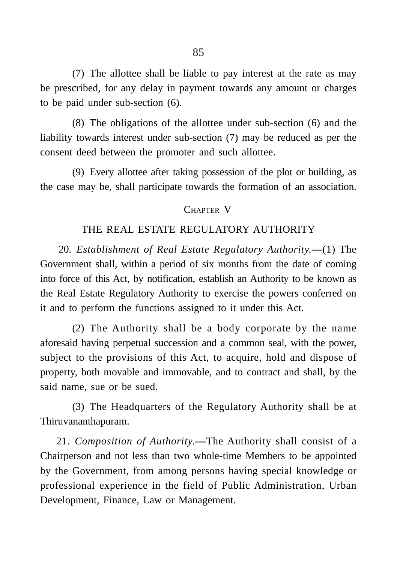(7) The allottee shall be liable to pay interest at the rate as may be prescribed, for any delay in payment towards any amount or charges to be paid under sub-section (6).

(8) The obligations of the allottee under sub-section (6) and the liability towards interest under sub-section (7) may be reduced as per the consent deed between the promoter and such allottee.

(9) Every allottee after taking possession of the plot or building, as the case may be, shall participate towards the formation of an association.

#### CHAPTER V

# THE REAL ESTATE REGULATORY AUTHORITY

20. *Establishment of Real Estate Regulatory Authority.***—**(1) The Government shall, within a period of six months from the date of coming into force of this Act, by notification, establish an Authority to be known as the Real Estate Regulatory Authority to exercise the powers conferred on it and to perform the functions assigned to it under this Act.

(2) The Authority shall be a body corporate by the name aforesaid having perpetual succession and a common seal, with the power, subject to the provisions of this Act, to acquire, hold and dispose of property, both movable and immovable, and to contract and shall, by the said name, sue or be sued.

(3) The Headquarters of the Regulatory Authority shall be at Thiruvananthapuram.

21. *Composition of Authority.***—**The Authority shall consist of a Chairperson and not less than two whole-time Members to be appointed by the Government, from among persons having special knowledge or professional experience in the field of Public Administration, Urban Development, Finance, Law or Management.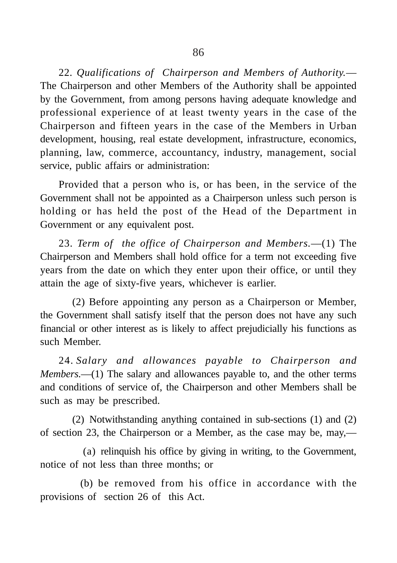22. *Qualifications of Chairperson and Members of Authority.*— The Chairperson and other Members of the Authority shall be appointed by the Government, from among persons having adequate knowledge and professional experience of at least twenty years in the case of the Chairperson and fifteen years in the case of the Members in Urban development, housing, real estate development, infrastructure, economics, planning, law, commerce, accountancy, industry, management, social service, public affairs or administration:

Provided that a person who is, or has been, in the service of the Government shall not be appointed as a Chairperson unless such person is holding or has held the post of the Head of the Department in Government or any equivalent post.

23. *Term of the office of Chairperson and Members.*—(1) The Chairperson and Members shall hold office for a term not exceeding five years from the date on which they enter upon their office, or until they attain the age of sixty-five years, whichever is earlier.

(2) Before appointing any person as a Chairperson or Member, the Government shall satisfy itself that the person does not have any such financial or other interest as is likely to affect prejudicially his functions as such Member.

24. *Salary and allowances payable to Chairperson and Members.*—(1) The salary and allowances payable to, and the other terms and conditions of service of, the Chairperson and other Members shall be such as may be prescribed.

(2) Notwithstanding anything contained in sub-sections (1) and (2) of section 23, the Chairperson or a Member, as the case may be, may,—

(a) relinquish his office by giving in writing, to the Government, notice of not less than three months; or

(b) be removed from his office in accordance with the provisions of section 26 of this Act.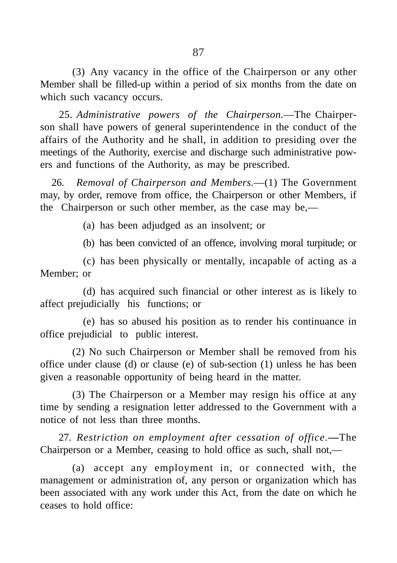(3) Any vacancy in the office of the Chairperson or any other Member shall be filled-up within a period of six months from the date on which such vacancy occurs.

25. *Administrative powers of the Chairperson.*—The Chairperson shall have powers of general superintendence in the conduct of the affairs of the Authority and he shall, in addition to presiding over the meetings of the Authority, exercise and discharge such administrative powers and functions of the Authority, as may be prescribed.

26. *Removal of Chairperson and Members.*—(1) The Government may, by order, remove from office, the Chairperson or other Members, if the Chairperson or such other member, as the case may be,—

(a) has been adjudged as an insolvent; or

(b) has been convicted of an offence, involving moral turpitude; or

(c) has been physically or mentally, incapable of acting as a Member; or

(d) has acquired such financial or other interest as is likely to affect prejudicially his functions; or

(e) has so abused his position as to render his continuance in office prejudicial to public interest.

(2) No such Chairperson or Member shall be removed from his office under clause (d) or clause (e) of sub-section (1) unless he has been given a reasonable opportunity of being heard in the matter.

(3) The Chairperson or a Member may resign his office at any time by sending a resignation letter addressed to the Government with a notice of not less than three months.

27. *Restriction on employment after cessation of office.***—**The Chairperson or a Member, ceasing to hold office as such, shall not,—

(a) accept any employment in, or connected with, the management or administration of, any person or organization which has been associated with any work under this Act, from the date on which he ceases to hold office: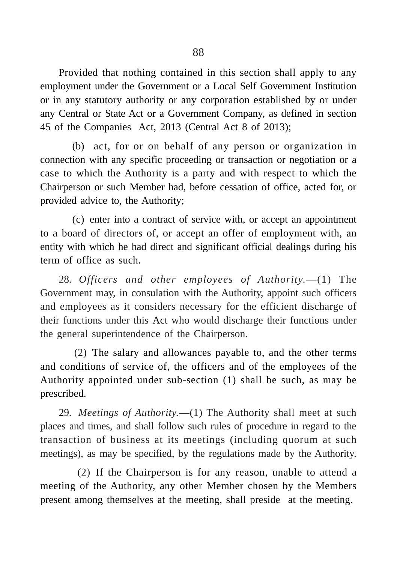Provided that nothing contained in this section shall apply to any employment under the Government or a Local Self Government Institution or in any statutory authority or any corporation established by or under any Central or State Act or a Government Company, as defined in section 45 of the Companies Act, 2013 (Central Act 8 of 2013);

(b) act, for or on behalf of any person or organization in connection with any specific proceeding or transaction or negotiation or a case to which the Authority is a party and with respect to which the Chairperson or such Member had, before cessation of office, acted for, or provided advice to, the Authority;

(c) enter into a contract of service with, or accept an appointment to a board of directors of, or accept an offer of employment with, an entity with which he had direct and significant official dealings during his term of office as such.

28. *Officers and other employees of Authority.*—(1) The Government may, in consulation with the Authority, appoint such officers and employees as it considers necessary for the efficient discharge of their functions under this Act who would discharge their functions under the general superintendence of the Chairperson.

(2) The salary and allowances payable to, and the other terms and conditions of service of, the officers and of the employees of the Authority appointed under sub-section (1) shall be such, as may be prescribed.

29. *Meetings of Authority.*—(1) The Authority shall meet at such places and times, and shall follow such rules of procedure in regard to the transaction of business at its meetings (including quorum at such meetings), as may be specified, by the regulations made by the Authority.

(2) If the Chairperson is for any reason, unable to attend a meeting of the Authority, any other Member chosen by the Members present among themselves at the meeting, shall preside at the meeting.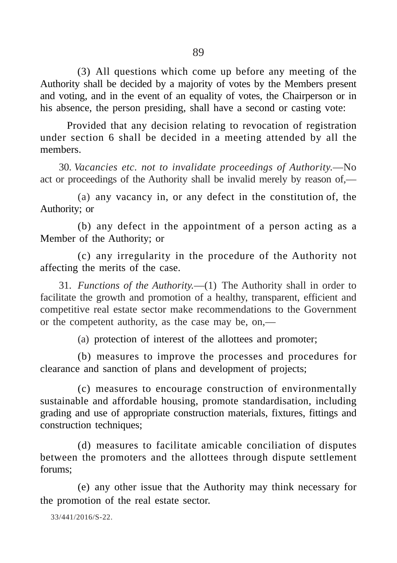(3) All questions which come up before any meeting of the Authority shall be decided by a majority of votes by the Members present and voting, and in the event of an equality of votes, the Chairperson or in his absence, the person presiding, shall have a second or casting vote:

Provided that any decision relating to revocation of registration under section 6 shall be decided in a meeting attended by all the members.

30. *Vacancies etc. not to invalidate proceedings of Authority.*—No act or proceedings of the Authority shall be invalid merely by reason of,—

(a) any vacancy in, or any defect in the constitution of, the Authority; or

(b) any defect in the appointment of a person acting as a Member of the Authority; or

(c) any irregularity in the procedure of the Authority not affecting the merits of the case.

31. *Functions of the Authority.*—(1) The Authority shall in order to facilitate the growth and promotion of a healthy, transparent, efficient and competitive real estate sector make recommendations to the Government or the competent authority, as the case may be, on,—

(a) protection of interest of the allottees and promoter;

(b) measures to improve the processes and procedures for clearance and sanction of plans and development of projects;

(c) measures to encourage construction of environmentally sustainable and affordable housing, promote standardisation, including grading and use of appropriate construction materials, fixtures, fittings and construction techniques;

(d) measures to facilitate amicable conciliation of disputes between the promoters and the allottees through dispute settlement forums;

(e) any other issue that the Authority may think necessary for the promotion of the real estate sector.

33/441/2016/S-22.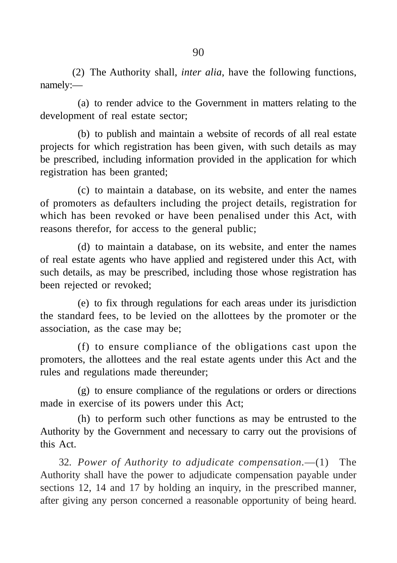(2) The Authority shall, *inter alia*, have the following functions, namely:—

(a) to render advice to the Government in matters relating to the development of real estate sector;

(b) to publish and maintain a website of records of all real estate projects for which registration has been given, with such details as may be prescribed, including information provided in the application for which registration has been granted;

(c) to maintain a database, on its website, and enter the names of promoters as defaulters including the project details, registration for which has been revoked or have been penalised under this Act, with reasons therefor, for access to the general public;

(d) to maintain a database, on its website, and enter the names of real estate agents who have applied and registered under this Act, with such details, as may be prescribed, including those whose registration has been rejected or revoked;

(e) to fix through regulations for each areas under its jurisdiction the standard fees, to be levied on the allottees by the promoter or the association, as the case may be;

(f) to ensure compliance of the obligations cast upon the promoters, the allottees and the real estate agents under this Act and the rules and regulations made thereunder;

(g) to ensure compliance of the regulations or orders or directions made in exercise of its powers under this Act;

(h) to perform such other functions as may be entrusted to the Authority by the Government and necessary to carry out the provisions of this Act.

32. *Power of Authority to adjudicate compensation.*—(1) The Authority shall have the power to adjudicate compensation payable under sections 12, 14 and 17 by holding an inquiry, in the prescribed manner, after giving any person concerned a reasonable opportunity of being heard.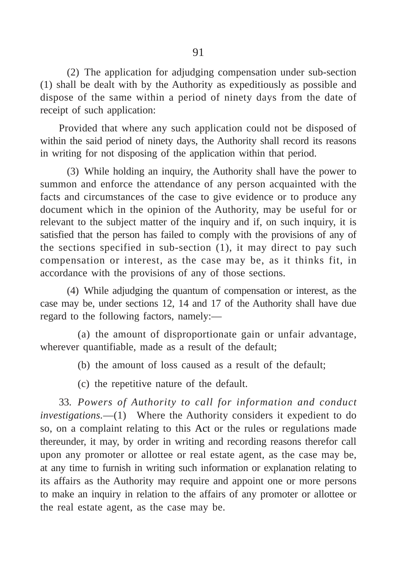(2) The application for adjudging compensation under sub-section (1) shall be dealt with by the Authority as expeditiously as possible and dispose of the same within a period of ninety days from the date of receipt of such application:

Provided that where any such application could not be disposed of within the said period of ninety days, the Authority shall record its reasons in writing for not disposing of the application within that period.

(3) While holding an inquiry, the Authority shall have the power to summon and enforce the attendance of any person acquainted with the facts and circumstances of the case to give evidence or to produce any document which in the opinion of the Authority, may be useful for or relevant to the subject matter of the inquiry and if, on such inquiry, it is satisfied that the person has failed to comply with the provisions of any of the sections specified in sub-section (1), it may direct to pay such compensation or interest, as the case may be, as it thinks fit, in accordance with the provisions of any of those sections.

(4) While adjudging the quantum of compensation or interest, as the case may be, under sections 12, 14 and 17 of the Authority shall have due regard to the following factors, namely:—

(a) the amount of disproportionate gain or unfair advantage, wherever quantifiable, made as a result of the default;

(b) the amount of loss caused as a result of the default;

(c) the repetitive nature of the default.

33. *Powers of Authority to call for information and conduct investigations.*—(1) Where the Authority considers it expedient to do so, on a complaint relating to this Act or the rules or regulations made thereunder, it may, by order in writing and recording reasons therefor call upon any promoter or allottee or real estate agent, as the case may be, at any time to furnish in writing such information or explanation relating to its affairs as the Authority may require and appoint one or more persons to make an inquiry in relation to the affairs of any promoter or allottee or the real estate agent, as the case may be.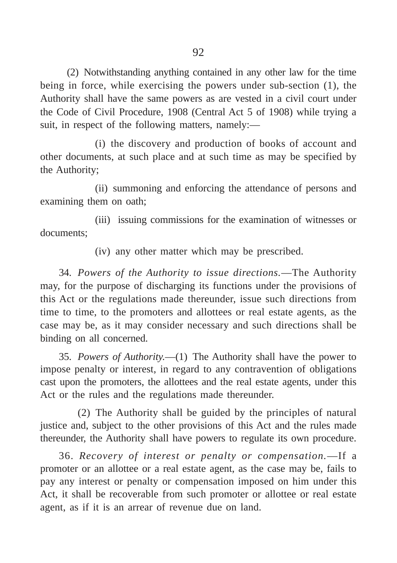(2) Notwithstanding anything contained in any other law for the time being in force, while exercising the powers under sub-section (1), the Authority shall have the same powers as are vested in a civil court under the Code of Civil Procedure, 1908 (Central Act 5 of 1908) while trying a suit, in respect of the following matters, namely:—

(i) the discovery and production of books of account and other documents, at such place and at such time as may be specified by the Authority;

(ii) summoning and enforcing the attendance of persons and examining them on oath;

(iii) issuing commissions for the examination of witnesses or documents;

(iv) any other matter which may be prescribed.

34. *Powers of the Authority to issue directions.*—The Authority may, for the purpose of discharging its functions under the provisions of this Act or the regulations made thereunder, issue such directions from time to time, to the promoters and allottees or real estate agents, as the case may be, as it may consider necessary and such directions shall be binding on all concerned.

35. *Powers of Authority.*—(1) The Authority shall have the power to impose penalty or interest, in regard to any contravention of obligations cast upon the promoters, the allottees and the real estate agents, under this Act or the rules and the regulations made thereunder.

(2) The Authority shall be guided by the principles of natural justice and, subject to the other provisions of this Act and the rules made thereunder, the Authority shall have powers to regulate its own procedure.

36. *Recovery of interest or penalty or compensation.*—If a promoter or an allottee or a real estate agent, as the case may be, fails to pay any interest or penalty or compensation imposed on him under this Act, it shall be recoverable from such promoter or allottee or real estate agent, as if it is an arrear of revenue due on land.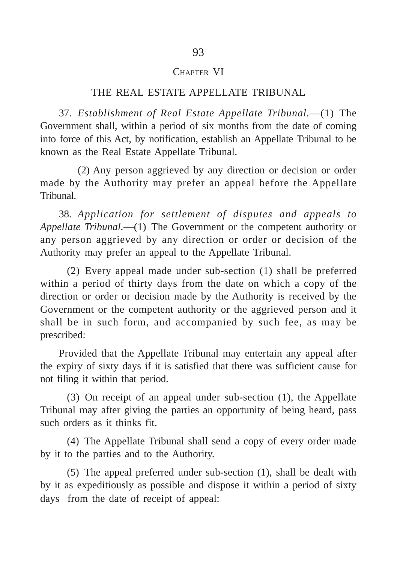#### CHAPTER VI

#### THE REAL ESTATE APPELLATE TRIBUNAL

37. *Establishment of Real Estate Appellate Tribunal.*—(1) The Government shall, within a period of six months from the date of coming into force of this Act, by notification, establish an Appellate Tribunal to be known as the Real Estate Appellate Tribunal.

(2) Any person aggrieved by any direction or decision or order made by the Authority may prefer an appeal before the Appellate Tribunal.

38. *Application for settlement of disputes and appeals to Appellate Tribunal.*—(1) The Government or the competent authority or any person aggrieved by any direction or order or decision of the Authority may prefer an appeal to the Appellate Tribunal.

(2) Every appeal made under sub-section (1) shall be preferred within a period of thirty days from the date on which a copy of the direction or order or decision made by the Authority is received by the Government or the competent authority or the aggrieved person and it shall be in such form, and accompanied by such fee, as may be prescribed:

Provided that the Appellate Tribunal may entertain any appeal after the expiry of sixty days if it is satisfied that there was sufficient cause for not filing it within that period.

(3) On receipt of an appeal under sub-section (1), the Appellate Tribunal may after giving the parties an opportunity of being heard, pass such orders as it thinks fit.

(4) The Appellate Tribunal shall send a copy of every order made by it to the parties and to the Authority.

(5) The appeal preferred under sub-section (1), shall be dealt with by it as expeditiously as possible and dispose it within a period of sixty days from the date of receipt of appeal: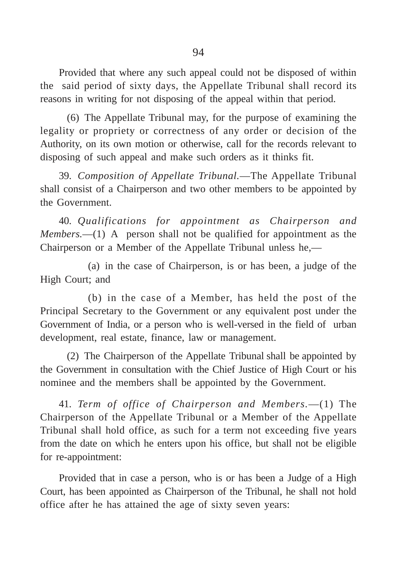Provided that where any such appeal could not be disposed of within the said period of sixty days, the Appellate Tribunal shall record its reasons in writing for not disposing of the appeal within that period.

(6) The Appellate Tribunal may, for the purpose of examining the legality or propriety or correctness of any order or decision of the Authority, on its own motion or otherwise, call for the records relevant to disposing of such appeal and make such orders as it thinks fit.

39. *Composition of Appellate Tribunal.*—The Appellate Tribunal shall consist of a Chairperson and two other members to be appointed by the Government.

40. *Qualifications for appointment as Chairperson and Members.*—(1) A person shall not be qualified for appointment as the Chairperson or a Member of the Appellate Tribunal unless he,—

(a) in the case of Chairperson, is or has been, a judge of the High Court; and

(b) in the case of a Member, has held the post of the Principal Secretary to the Government or any equivalent post under the Government of India, or a person who is well-versed in the field of urban development, real estate, finance, law or management.

(2) The Chairperson of the Appellate Tribunal shall be appointed by the Government in consultation with the Chief Justice of High Court or his nominee and the members shall be appointed by the Government.

41. *Term of office of Chairperson and Members.*—(1) The Chairperson of the Appellate Tribunal or a Member of the Appellate Tribunal shall hold office, as such for a term not exceeding five years from the date on which he enters upon his office, but shall not be eligible for re-appointment:

Provided that in case a person, who is or has been a Judge of a High Court, has been appointed as Chairperson of the Tribunal, he shall not hold office after he has attained the age of sixty seven years: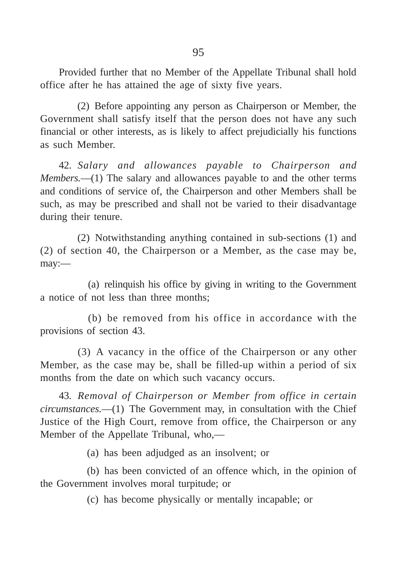Provided further that no Member of the Appellate Tribunal shall hold office after he has attained the age of sixty five years.

(2) Before appointing any person as Chairperson or Member, the Government shall satisfy itself that the person does not have any such financial or other interests, as is likely to affect prejudicially his functions as such Member.

42. *Salary and allowances payable to Chairperson and Members.*—(1) The salary and allowances payable to and the other terms and conditions of service of, the Chairperson and other Members shall be such, as may be prescribed and shall not be varied to their disadvantage during their tenure.

(2) Notwithstanding anything contained in sub-sections (1) and (2) of section 40, the Chairperson or a Member, as the case may be, may:—

(a) relinquish his office by giving in writing to the Government a notice of not less than three months;

(b) be removed from his office in accordance with the provisions of section 43.

(3) A vacancy in the office of the Chairperson or any other Member, as the case may be, shall be filled-up within a period of six months from the date on which such vacancy occurs.

43. *Removal of Chairperson or Member from office in certain circumstances.*—(1) The Government may, in consultation with the Chief Justice of the High Court, remove from office, the Chairperson or any Member of the Appellate Tribunal, who,—

(a) has been adjudged as an insolvent; or

(b) has been convicted of an offence which, in the opinion of the Government involves moral turpitude; or

(c) has become physically or mentally incapable; or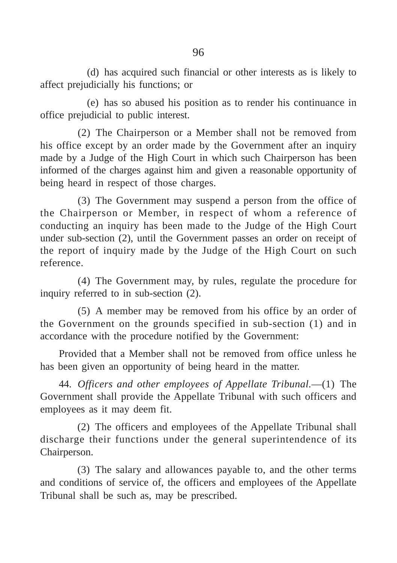(d) has acquired such financial or other interests as is likely to affect prejudicially his functions; or

(e) has so abused his position as to render his continuance in office prejudicial to public interest.

(2) The Chairperson or a Member shall not be removed from his office except by an order made by the Government after an inquiry made by a Judge of the High Court in which such Chairperson has been informed of the charges against him and given a reasonable opportunity of being heard in respect of those charges.

(3) The Government may suspend a person from the office of the Chairperson or Member, in respect of whom a reference of conducting an inquiry has been made to the Judge of the High Court under sub-section (2), until the Government passes an order on receipt of the report of inquiry made by the Judge of the High Court on such reference.

(4) The Government may, by rules, regulate the procedure for inquiry referred to in sub-section (2).

(5) A member may be removed from his office by an order of the Government on the grounds specified in sub-section (1) and in accordance with the procedure notified by the Government:

Provided that a Member shall not be removed from office unless he has been given an opportunity of being heard in the matter.

44. *Officers and other employees of Appellate Tribunal.*—(1) The Government shall provide the Appellate Tribunal with such officers and employees as it may deem fit.

(2) The officers and employees of the Appellate Tribunal shall discharge their functions under the general superintendence of its Chairperson.

(3) The salary and allowances payable to, and the other terms and conditions of service of, the officers and employees of the Appellate Tribunal shall be such as, may be prescribed.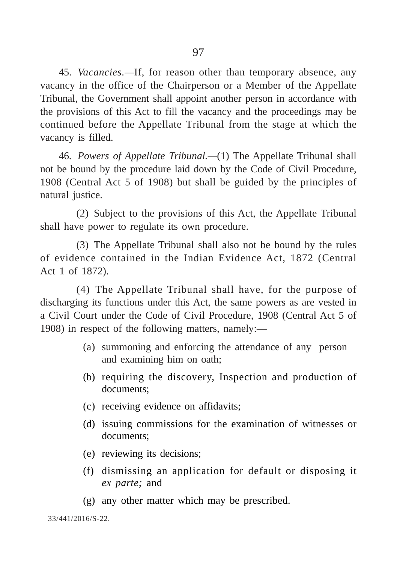45. *Vacancies.—*If, for reason other than temporary absence, any vacancy in the office of the Chairperson or a Member of the Appellate Tribunal, the Government shall appoint another person in accordance with the provisions of this Act to fill the vacancy and the proceedings may be continued before the Appellate Tribunal from the stage at which the vacancy is filled.

46. *Powers of Appellate Tribunal.—*(1) The Appellate Tribunal shall not be bound by the procedure laid down by the Code of Civil Procedure, 1908 (Central Act 5 of 1908) but shall be guided by the principles of natural justice.

(2) Subject to the provisions of this Act, the Appellate Tribunal shall have power to regulate its own procedure.

(3) The Appellate Tribunal shall also not be bound by the rules of evidence contained in the Indian Evidence Act, 1872 (Central Act 1 of 1872).

(4) The Appellate Tribunal shall have, for the purpose of discharging its functions under this Act, the same powers as are vested in a Civil Court under the Code of Civil Procedure, 1908 (Central Act 5 of 1908) in respect of the following matters, namely:—

- (a) summoning and enforcing the attendance of any person and examining him on oath;
- (b) requiring the discovery, Inspection and production of documents;
- (c) receiving evidence on affidavits;
- (d) issuing commissions for the examination of witnesses or documents;
- (e) reviewing its decisions;
- (f) dismissing an application for default or disposing it *ex parte;* and
- (g) any other matter which may be prescribed.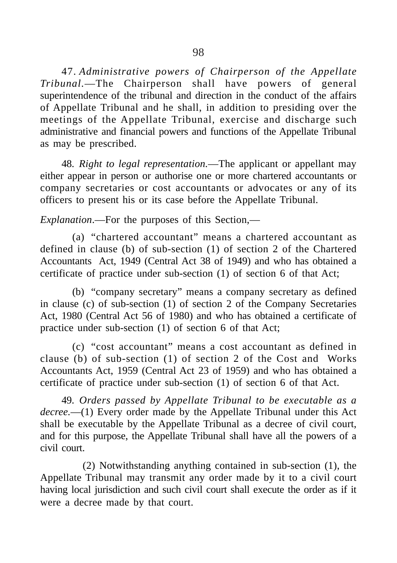47. *Administrative powers of Chairperson of the Appellate Tribunal.*—The Chairperson shall have powers of general superintendence of the tribunal and direction in the conduct of the affairs of Appellate Tribunal and he shall, in addition to presiding over the meetings of the Appellate Tribunal, exercise and discharge such administrative and financial powers and functions of the Appellate Tribunal as may be prescribed.

48. *Right to legal representation.*—The applicant or appellant may either appear in person or authorise one or more chartered accountants or company secretaries or cost accountants or advocates or any of its officers to present his or its case before the Appellate Tribunal.

*Explanation*.—For the purposes of this Section,—

(a) "chartered accountant" means a chartered accountant as defined in clause (b) of sub-section (1) of section 2 of the Chartered Accountants Act, 1949 (Central Act 38 of 1949) and who has obtained a certificate of practice under sub-section (1) of section 6 of that Act;

(b) "company secretary" means a company secretary as defined in clause (c) of sub-section (1) of section 2 of the Company Secretaries Act, 1980 (Central Act 56 of 1980) and who has obtained a certificate of practice under sub-section (1) of section 6 of that Act;

(c) "cost accountant" means a cost accountant as defined in clause (b) of sub-section (1) of section 2 of the Cost and Works Accountants Act, 1959 (Central Act 23 of 1959) and who has obtained a certificate of practice under sub-section (1) of section 6 of that Act.

49. *Orders passed by Appellate Tribunal to be executable as a decree.*—(1) Every order made by the Appellate Tribunal under this Act shall be executable by the Appellate Tribunal as a decree of civil court, and for this purpose, the Appellate Tribunal shall have all the powers of a civil court.

(2) Notwithstanding anything contained in sub-section (1), the Appellate Tribunal may transmit any order made by it to a civil court having local jurisdiction and such civil court shall execute the order as if it were a decree made by that court.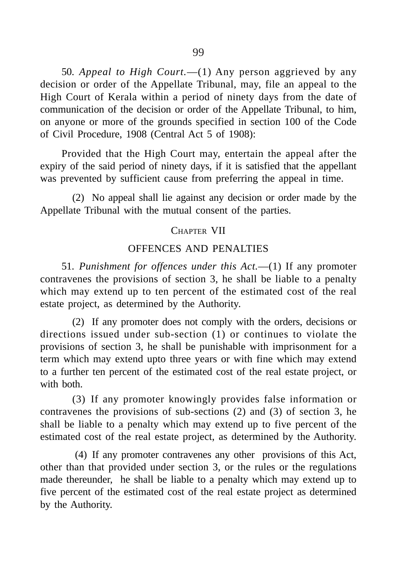50. *Appeal to High Court.*—(1) Any person aggrieved by any decision or order of the Appellate Tribunal, may, file an appeal to the High Court of Kerala within a period of ninety days from the date of communication of the decision or order of the Appellate Tribunal, to him, on anyone or more of the grounds specified in section 100 of the Code of Civil Procedure, 1908 (Central Act 5 of 1908):

Provided that the High Court may, entertain the appeal after the expiry of the said period of ninety days, if it is satisfied that the appellant was prevented by sufficient cause from preferring the appeal in time.

(2) No appeal shall lie against any decision or order made by the Appellate Tribunal with the mutual consent of the parties.

## CHAPTER VII

# OFFENCES AND PENALTIES

51. *Punishment for offences under this Act.*—(1) If any promoter contravenes the provisions of section 3, he shall be liable to a penalty which may extend up to ten percent of the estimated cost of the real estate project, as determined by the Authority.

(2) If any promoter does not comply with the orders, decisions or directions issued under sub-section (1) or continues to violate the provisions of section 3, he shall be punishable with imprisonment for a term which may extend upto three years or with fine which may extend to a further ten percent of the estimated cost of the real estate project, or with **both** 

(3) If any promoter knowingly provides false information or contravenes the provisions of sub-sections (2) and (3) of section 3, he shall be liable to a penalty which may extend up to five percent of the estimated cost of the real estate project, as determined by the Authority.

(4) If any promoter contravenes any other provisions of this Act, other than that provided under section 3, or the rules or the regulations made thereunder, he shall be liable to a penalty which may extend up to five percent of the estimated cost of the real estate project as determined by the Authority.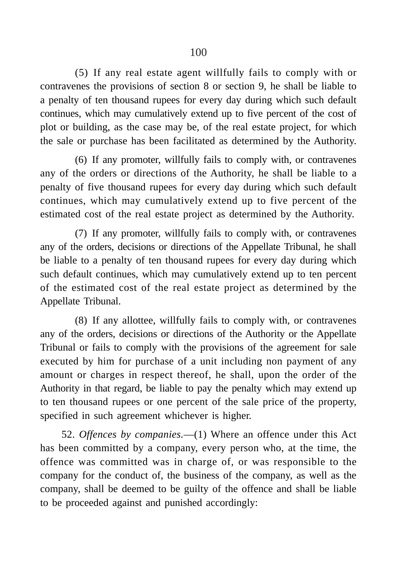(5) If any real estate agent willfully fails to comply with or contravenes the provisions of section 8 or section 9, he shall be liable to a penalty of ten thousand rupees for every day during which such default continues, which may cumulatively extend up to five percent of the cost of plot or building, as the case may be, of the real estate project, for which the sale or purchase has been facilitated as determined by the Authority.

(6) If any promoter, willfully fails to comply with, or contravenes any of the orders or directions of the Authority, he shall be liable to a penalty of five thousand rupees for every day during which such default continues, which may cumulatively extend up to five percent of the estimated cost of the real estate project as determined by the Authority.

(7) If any promoter, willfully fails to comply with, or contravenes any of the orders, decisions or directions of the Appellate Tribunal, he shall be liable to a penalty of ten thousand rupees for every day during which such default continues, which may cumulatively extend up to ten percent of the estimated cost of the real estate project as determined by the Appellate Tribunal.

(8) If any allottee, willfully fails to comply with, or contravenes any of the orders, decisions or directions of the Authority or the Appellate Tribunal or fails to comply with the provisions of the agreement for sale executed by him for purchase of a unit including non payment of any amount or charges in respect thereof, he shall, upon the order of the Authority in that regard, be liable to pay the penalty which may extend up to ten thousand rupees or one percent of the sale price of the property, specified in such agreement whichever is higher.

52. *Offences by companies.*—(1) Where an offence under this Act has been committed by a company, every person who, at the time, the offence was committed was in charge of, or was responsible to the company for the conduct of, the business of the company, as well as the company, shall be deemed to be guilty of the offence and shall be liable to be proceeded against and punished accordingly: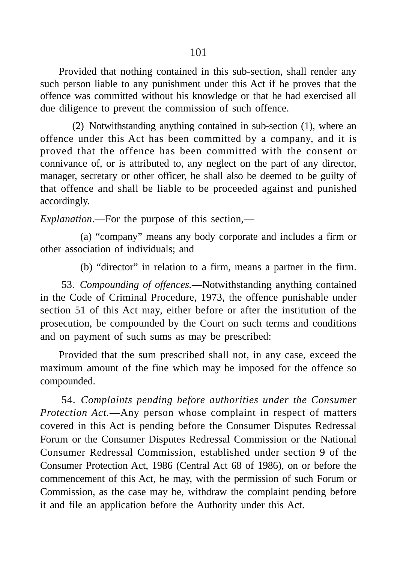Provided that nothing contained in this sub-section, shall render any such person liable to any punishment under this Act if he proves that the offence was committed without his knowledge or that he had exercised all due diligence to prevent the commission of such offence.

(2) Notwithstanding anything contained in sub-section (1), where an offence under this Act has been committed by a company, and it is proved that the offence has been committed with the consent or connivance of, or is attributed to, any neglect on the part of any director, manager, secretary or other officer, he shall also be deemed to be guilty of that offence and shall be liable to be proceeded against and punished accordingly.

*Explanation*.—For the purpose of this section,—

(a) "company" means any body corporate and includes a firm or other association of individuals; and

(b) "director" in relation to a firm, means a partner in the firm.

53. *Compounding of offences.*—Notwithstanding anything contained in the Code of Criminal Procedure, 1973, the offence punishable under section 51 of this Act may, either before or after the institution of the prosecution, be compounded by the Court on such terms and conditions and on payment of such sums as may be prescribed:

Provided that the sum prescribed shall not, in any case, exceed the maximum amount of the fine which may be imposed for the offence so compounded.

54. *Complaints pending before authorities under the Consumer Protection Act.*—Any person whose complaint in respect of matters covered in this Act is pending before the Consumer Disputes Redressal Forum or the Consumer Disputes Redressal Commission or the National Consumer Redressal Commission, established under section 9 of the Consumer Protection Act, 1986 (Central Act 68 of 1986), on or before the commencement of this Act, he may, with the permission of such Forum or Commission, as the case may be, withdraw the complaint pending before it and file an application before the Authority under this Act.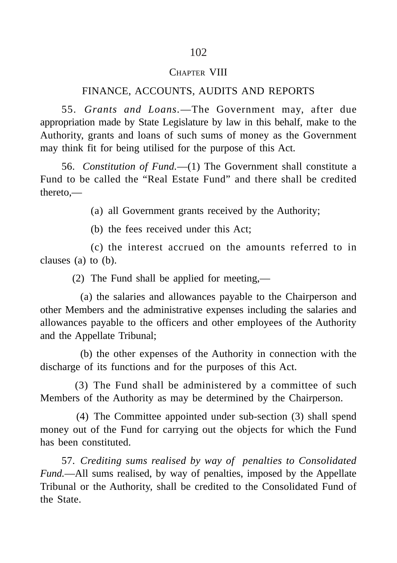#### CHAPTER VIII

## FINANCE, ACCOUNTS, AUDITS AND REPORTS

55. *Grants and Loans.*—The Government may, after due appropriation made by State Legislature by law in this behalf, make to the Authority, grants and loans of such sums of money as the Government may think fit for being utilised for the purpose of this Act.

56. *Constitution of Fund.*—(1) The Government shall constitute a Fund to be called the "Real Estate Fund" and there shall be credited thereto,—

(a) all Government grants received by the Authority;

(b) the fees received under this Act;

(c) the interest accrued on the amounts referred to in clauses (a) to (b).

(2) The Fund shall be applied for meeting,—

(a) the salaries and allowances payable to the Chairperson and other Members and the administrative expenses including the salaries and allowances payable to the officers and other employees of the Authority and the Appellate Tribunal;

(b) the other expenses of the Authority in connection with the discharge of its functions and for the purposes of this Act.

(3) The Fund shall be administered by a committee of such Members of the Authority as may be determined by the Chairperson.

 (4) The Committee appointed under sub-section (3) shall spend money out of the Fund for carrying out the objects for which the Fund has been constituted.

57. *Crediting sums realised by way of penalties to Consolidated Fund.*—All sums realised, by way of penalties, imposed by the Appellate Tribunal or the Authority, shall be credited to the Consolidated Fund of the State.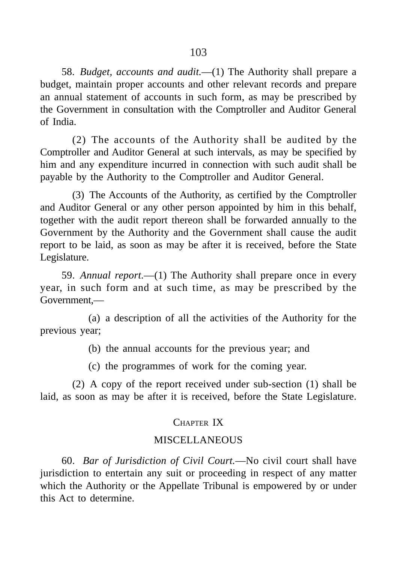58. *Budget, accounts and audit.*—(1) The Authority shall prepare a budget, maintain proper accounts and other relevant records and prepare an annual statement of accounts in such form, as may be prescribed by the Government in consultation with the Comptroller and Auditor General of India.

(2) The accounts of the Authority shall be audited by the Comptroller and Auditor General at such intervals, as may be specified by him and any expenditure incurred in connection with such audit shall be payable by the Authority to the Comptroller and Auditor General.

(3) The Accounts of the Authority, as certified by the Comptroller and Auditor General or any other person appointed by him in this behalf, together with the audit report thereon shall be forwarded annually to the Government by the Authority and the Government shall cause the audit report to be laid, as soon as may be after it is received, before the State Legislature.

59. *Annual report.*—(1) The Authority shall prepare once in every year, in such form and at such time, as may be prescribed by the Government,—

(a) a description of all the activities of the Authority for the previous year;

(b) the annual accounts for the previous year; and

(c) the programmes of work for the coming year.

(2) A copy of the report received under sub-section (1) shall be laid, as soon as may be after it is received, before the State Legislature.

## CHAPTER IX

#### **MISCELLANEOUS**

60. *Bar of Jurisdiction of Civil Court.*—No civil court shall have jurisdiction to entertain any suit or proceeding in respect of any matter which the Authority or the Appellate Tribunal is empowered by or under this Act to determine.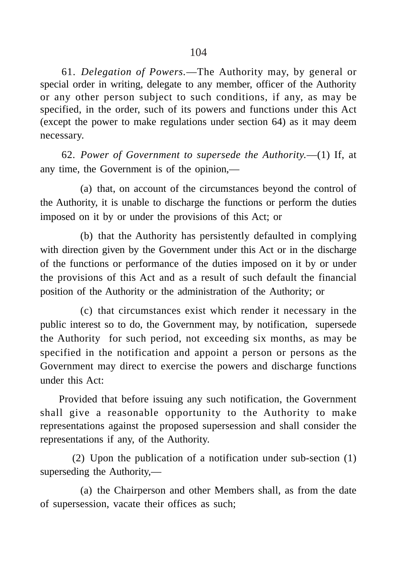61. *Delegation of Powers.*—The Authority may, by general or special order in writing, delegate to any member, officer of the Authority or any other person subject to such conditions, if any, as may be specified, in the order, such of its powers and functions under this Act (except the power to make regulations under section 64) as it may deem necessary.

62. *Power of Government to supersede the Authority.*—(1) If, at any time, the Government is of the opinion,—

(a) that, on account of the circumstances beyond the control of the Authority, it is unable to discharge the functions or perform the duties imposed on it by or under the provisions of this Act; or

(b) that the Authority has persistently defaulted in complying with direction given by the Government under this Act or in the discharge of the functions or performance of the duties imposed on it by or under the provisions of this Act and as a result of such default the financial position of the Authority or the administration of the Authority; or

(c) that circumstances exist which render it necessary in the public interest so to do, the Government may, by notification, supersede the Authority for such period, not exceeding six months, as may be specified in the notification and appoint a person or persons as the Government may direct to exercise the powers and discharge functions under this Act:

Provided that before issuing any such notification, the Government shall give a reasonable opportunity to the Authority to make representations against the proposed supersession and shall consider the representations if any, of the Authority.

(2) Upon the publication of a notification under sub-section (1) superseding the Authority,—

(a) the Chairperson and other Members shall, as from the date of supersession, vacate their offices as such;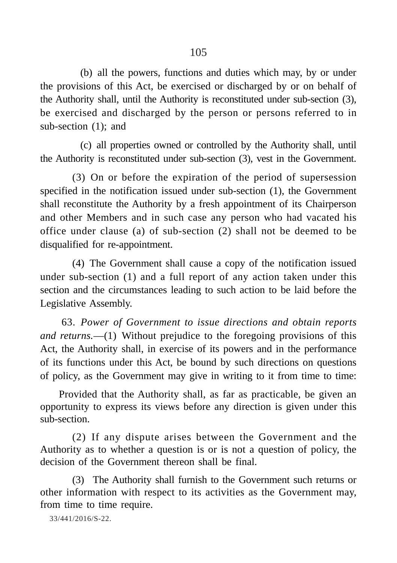(b) all the powers, functions and duties which may, by or under the provisions of this Act, be exercised or discharged by or on behalf of the Authority shall, until the Authority is reconstituted under sub-section (3), be exercised and discharged by the person or persons referred to in sub-section (1); and

(c) all properties owned or controlled by the Authority shall, until the Authority is reconstituted under sub-section (3), vest in the Government.

(3) On or before the expiration of the period of supersession specified in the notification issued under sub-section (1), the Government shall reconstitute the Authority by a fresh appointment of its Chairperson and other Members and in such case any person who had vacated his office under clause (a) of sub-section (2) shall not be deemed to be disqualified for re-appointment.

(4) The Government shall cause a copy of the notification issued under sub-section (1) and a full report of any action taken under this section and the circumstances leading to such action to be laid before the Legislative Assembly.

63. *Power of Government to issue directions and obtain reports and returns.*—(1) Without prejudice to the foregoing provisions of this Act, the Authority shall, in exercise of its powers and in the performance of its functions under this Act, be bound by such directions on questions of policy, as the Government may give in writing to it from time to time:

Provided that the Authority shall, as far as practicable, be given an opportunity to express its views before any direction is given under this sub-section.

(2) If any dispute arises between the Government and the Authority as to whether a question is or is not a question of policy, the decision of the Government thereon shall be final.

(3) The Authority shall furnish to the Government such returns or other information with respect to its activities as the Government may, from time to time require.

33/441/2016/S-22.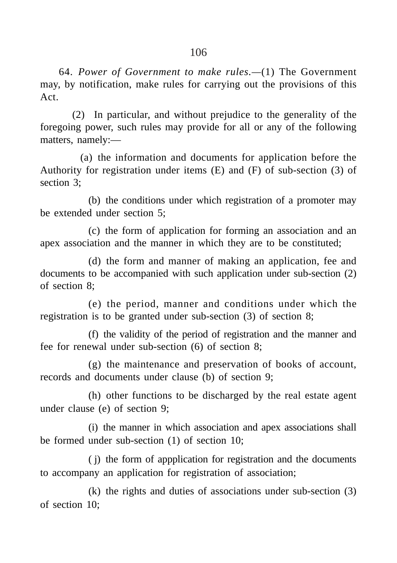64. *Power of Government to make rules.—*(1) The Government may, by notification, make rules for carrying out the provisions of this Act.

(2) In particular, and without prejudice to the generality of the foregoing power, such rules may provide for all or any of the following matters, namely:—

(a) the information and documents for application before the Authority for registration under items  $(E)$  and  $(F)$  of sub-section  $(3)$  of section 3;

(b) the conditions under which registration of a promoter may be extended under section 5;

(c) the form of application for forming an association and an apex association and the manner in which they are to be constituted;

(d) the form and manner of making an application, fee and documents to be accompanied with such application under sub-section (2) of section 8;

(e) the period, manner and conditions under which the registration is to be granted under sub-section (3) of section 8;

(f) the validity of the period of registration and the manner and fee for renewal under sub-section (6) of section 8;

(g) the maintenance and preservation of books of account, records and documents under clause (b) of section 9;

(h) other functions to be discharged by the real estate agent under clause (e) of section 9;

(i) the manner in which association and apex associations shall be formed under sub-section (1) of section 10;

( j) the form of appplication for registration and the documents to accompany an application for registration of association;

(k) the rights and duties of associations under sub-section (3) of section 10;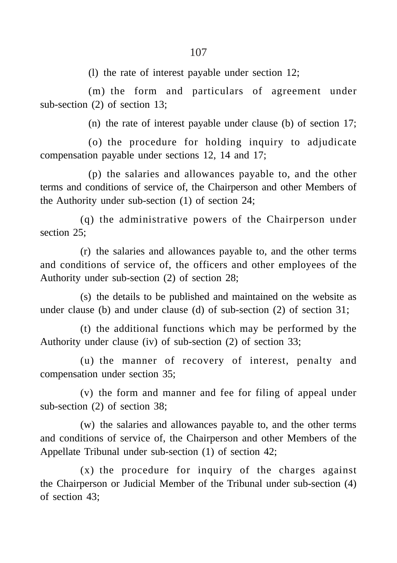(l) the rate of interest payable under section 12;

(m) the form and particulars of agreement under sub-section (2) of section 13;

(n) the rate of interest payable under clause (b) of section 17;

(o) the procedure for holding inquiry to adjudicate compensation payable under sections 12, 14 and 17;

(p) the salaries and allowances payable to, and the other terms and conditions of service of, the Chairperson and other Members of the Authority under sub-section (1) of section 24;

(q) the administrative powers of the Chairperson under section 25:

(r) the salaries and allowances payable to, and the other terms and conditions of service of, the officers and other employees of the Authority under sub-section (2) of section 28;

(s) the details to be published and maintained on the website as under clause (b) and under clause (d) of sub-section (2) of section 31;

(t) the additional functions which may be performed by the Authority under clause (iv) of sub-section (2) of section 33;

(u) the manner of recovery of interest, penalty and compensation under section 35;

(v) the form and manner and fee for filing of appeal under sub-section (2) of section 38;

(w) the salaries and allowances payable to, and the other terms and conditions of service of, the Chairperson and other Members of the Appellate Tribunal under sub-section (1) of section 42;

(x) the procedure for inquiry of the charges against the Chairperson or Judicial Member of the Tribunal under sub-section (4) of section 43;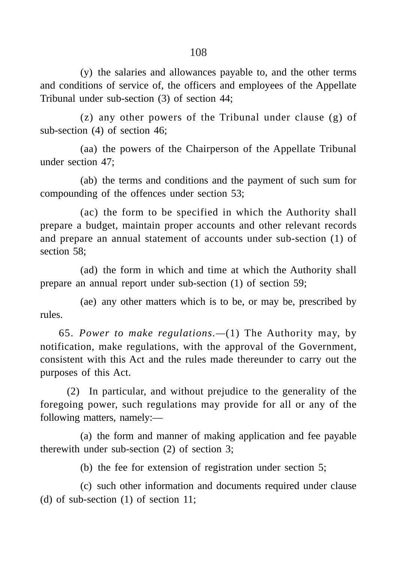(y) the salaries and allowances payable to, and the other terms and conditions of service of, the officers and employees of the Appellate Tribunal under sub-section (3) of section 44;

(z) any other powers of the Tribunal under clause (g) of sub-section (4) of section 46;

(aa) the powers of the Chairperson of the Appellate Tribunal under section 47;

(ab) the terms and conditions and the payment of such sum for compounding of the offences under section 53;

(ac) the form to be specified in which the Authority shall prepare a budget, maintain proper accounts and other relevant records and prepare an annual statement of accounts under sub-section (1) of section 58;

(ad) the form in which and time at which the Authority shall prepare an annual report under sub-section (1) of section 59;

(ae) any other matters which is to be, or may be, prescribed by rules.

65. *Power to make regulations.—*(1) The Authority may, by notification, make regulations, with the approval of the Government, consistent with this Act and the rules made thereunder to carry out the purposes of this Act.

(2) In particular, and without prejudice to the generality of the foregoing power, such regulations may provide for all or any of the following matters, namely:—

(a) the form and manner of making application and fee payable therewith under sub-section (2) of section 3;

(b) the fee for extension of registration under section 5;

(c) such other information and documents required under clause (d) of sub-section (1) of section 11;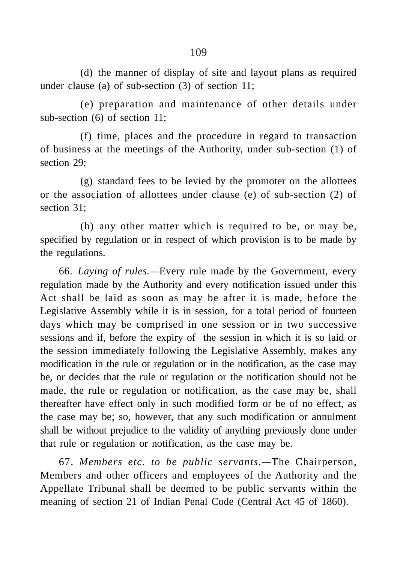(d) the manner of display of site and layout plans as required under clause (a) of sub-section (3) of section 11;

(e) preparation and maintenance of other details under sub-section (6) of section 11;

(f) time, places and the procedure in regard to transaction of business at the meetings of the Authority, under sub-section (1) of section 29;

(g) standard fees to be levied by the promoter on the allottees or the association of allottees under clause (e) of sub-section (2) of section 31;

(h) any other matter which is required to be, or may be, specified by regulation or in respect of which provision is to be made by the regulations.

66. *Laying of rules.—*Every rule made by the Government, every regulation made by the Authority and every notification issued under this Act shall be laid as soon as may be after it is made, before the Legislative Assembly while it is in session, for a total period of fourteen days which may be comprised in one session or in two successive sessions and if, before the expiry of the session in which it is so laid or the session immediately following the Legislative Assembly, makes any modification in the rule or regulation or in the notification, as the case may be, or decides that the rule or regulation or the notification should not be made, the rule or regulation or notification, as the case may be, shall thereafter have effect only in such modified form or be of no effect, as the case may be; so, however, that any such modification or annulment shall be without prejudice to the validity of anything previously done under that rule or regulation or notification, as the case may be.

67. *Members etc. to be public servants.—*The Chairperson, Members and other officers and employees of the Authority and the Appellate Tribunal shall be deemed to be public servants within the meaning of section 21 of Indian Penal Code (Central Act 45 of 1860).